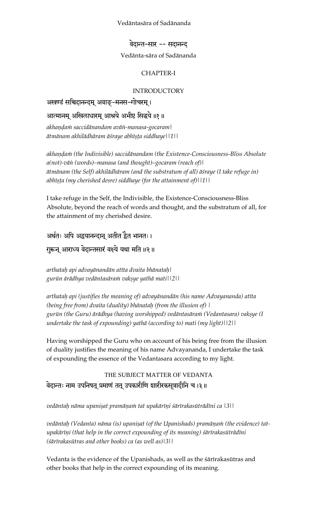#### Vedäntasära of Sadänanda

#### वेदान्त-सार -- सदानन्द

#### Vedänta-sära of Sadänanda

### CHAPTER-I

#### INTRODUCTORY

## अखण्डं सचिदानन्दम् अवाङ्-मनस-गोचरम्।

## आत्मानम् अखिलाधारम् आश्रये अभीष्ट सिद्धये ॥१॥

akhaņdam saccidānandam avān-manasa-gocaram | *ätmänam akhilädhäram äçraye abhéñöa siddhaye||1||* 

akhandam (the Indivisible) saccidānandam (the Existence-Consciousness-Bliss Absolute *a(not)-väì (words)–manasa (and thought)–gocaram (reach of)| ätmänam (the Self) akhilädhäram (and the substratum of all) äçraye (I take refuge in)*  abhīṣṭa (my cherished desre) siddhaye (for the attainment of)||1||

I take refuge in the Self, the Indivisible, the Existence-Consciousness-Bliss Absolute, beyond the reach of words and thought, and the substratum of all, for the attainment of my cherished desire.

अर्थतः अपि अद्वयानन्दान् अतीत द्वैत भानतः। गुरून् आराध्य वेदान्तसारं वक्ष्ये यथा मति ॥२ ॥

*arthataù api advayänandän atéta dvaita bhänataù| gurün ärädhya vedäntasäraà vakñye yathä mati||2||* 

*arthataù api (justifies the meaning of) advayänandän (his name Advayananda) atéta (being free from) dvaita (duality) bhänataù (from the illusion of) |*  gurūn (the Guru) ārādhya (having worshipped) vedāntasāra*ni (Vedantasara) vaksye* (I *undertake the task of expounding) yathä (according to) mati (my light)||2||* 

Having worshipped the Guru who on account of his being free from the illusion of duality justifies the meaning of his name Advayananda, I undertake the task of expounding the essence of the Vedantasara according to my light.

THE SUBJECT MATTER OF VEDANTA वेदान्तः नाम उपनिषत् प्रमाणं तत् उपकारीणि शारीरकसूत्रादीनि च ।३॥

*vedäntaù näma upaniñat pramäëaà tat upakäréëi çärérakasüträdéni ca |3||* 

vedāntaḥ (Vedanta) nāma (is) upaniṣat (of the Upanishads) pramāṇaṁ (the evidence) tatupakārīņi (that help in the correct expounding of its meaning) *śārīrakasūtrādīni (çärérakasütras and other books) ca (as well as)|3||* 

Vedanta is the evidence of the Upanishads, as well as the sārīrakasūtras and other books that help in the correct expounding of its meaning.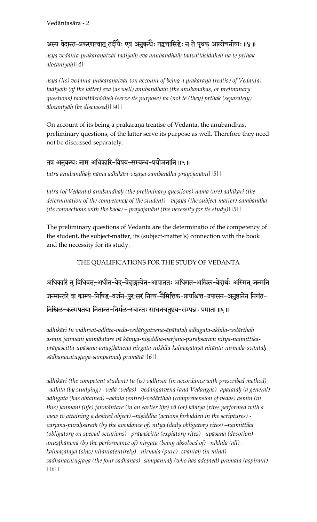## अस्य वेदान्त-प्रकरणत्वात् तदीयैः एव अनुबन्धैः तद्वत्तासिद्धेः न ते पृथक् आलोचनीयाः॥४॥

asya vedānta-prakaraṇatvāt tadīyaiḥ eva anubandhaiḥ tadvattāsiddheḥ na te pṛthak *älocanéyäù||4||* 

asya (its) vedānta-prakaraņatvāt (on account of being a prakaraņa treatise of Vedanta) tadīyaih (of the latter) eva (as well) anubandhaih (the anubandhas, or preliminary *questions) tadvattāsiddheh (serve its purpose) na (not te (they) prthak (separately) älocanéyäù (be discussed)||4||* 

On account of its being a prakaraņa treatise of Vedanta, the anubandhas, preliminary questions, of the latter serve its purpose as well. Therefore they need not be discussed separately.

## तत्र अनुबन्धः नाम अधिकारि-विषय-सम्बन्ध-प्रयोजनानि ॥५॥

*tatra anubandhaù näma adhikäri-viñaya-sambandha-prayojanäni||5||*

*tatra (of Vedanta) anubandhaù (the preliminary questions) näma (are) adhikäri (the*  determination of the competency of the student) - vișaya (the subject matter)-sambandha *(its connections with the book) – prayojanäni (the necessity for its study)||5||* 

The preliminary questions of Vedanta are the determinatio of the competency of the student, the subject-matter, its (subject-matter's) connection with the book and the necessity for its study.

## THE QUALIFICATIONS FOR THE STUDY OF VEDANTA

अधिकारि तु विधिवत्-अधीत-वेद्-वेदाङ्गत्वेन-आपाततः अधिगत-अखिल-वेदार्थः अस्मिन् जन्मनि जन्मान्तरे वा काम्य-निषिद्ध-वर्जन-पुरःसरं नित्य-नैमित्तिक-प्रायश्चित्त-उपासन-अनुष्ठानेन निर्गत-निखिल-कल्मषतया नितान्त-निर्मल-स्वान्तः साधनचतुष्टय-सम्पन्नः प्रमाता ॥६॥

*adhikäri tu vidhivat-adhéta-veda-vedäìgatvena-äpätataù adhigata-akhila-vedärthaù*  asmin janmani janmāntare vā kāmya-niṣiddha-varjana-puraḥsaraṁ nitya-naimittikaprāyaścitta-upāsana-anuṣṭhānena nirgata-nikhila-kalmaṣatayā nitānta-nirmala-svāntaḥ  $s\bar{a}$ dhanacatuṣṭaya-sampannaḥ pramātā||6||

*adhikäri (the competent student) tu (is) vidhivat (in accordance with prescribed method) –adhéta (by studying) –veda (vedas) –vedäìgatvena (and Vedangas) -äpätataù (a general) adhigata (has obtained) –akhila (entire)-vedärthaù (comprehension of vedas) asmin (in this) janmani (life) janmäntare (in an earlier life) vä (or) kämya (rites performed with a view to attaining a desired object)* –nișiddha (actions forbidden in the scriptures) varjana-purahsaram (by the avoidance of) nitya (daily obligatory rites) –naimittika *(obligatory on special occations) –präyaçcitta (expiatory rites) –upäsana (devotion)*  anuṣṭhānena (by the performance of) nirgata (being absolved of) –nikhila (all) *kalmañatayä (sins) nitänta(entirely) –nirmala (pure) -sväntaù (in mind)*  sādhanacatuṣṭaya (the four sadhanas) -sampannaḥ (who has adopted) pramātā (aspirant) *||6||*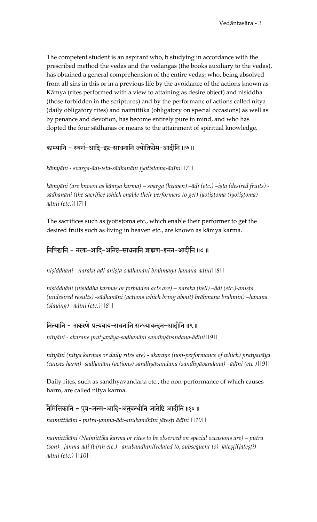The competent student is an aspirant who, b studying in accordance with the prescribed method the vedas and the vedangas (the books auxiliary to the vedas), has obtained a general comprehension of the entire vedas; who, being absolved from all sins in this or in a previous life by the avoidance of the actions known as Kāmya (rites performed with a view to attaining as desire object) and niṣiddha (those forbidden in the scriptures) and by the performanc of actions called nitya (daily obligatory rites) and naimittika (obligatory on special occasions) as well as by penance and devotion, has become entirely pure in mind, and who has dopted the four sädhanas or means to the attainment of spiritual knowledge.

## काम्यानि - स्वर्ग-आदि-इष्ट-साधनानि ज्योतिष्टोम-आदीनि॥७॥

### kāmyāni - svarga-ādi-iṣṭa-sādhanāni jyotiṣṭoma-ādīni||7||

kāmyāni (are known as kāmya karma) – svarga (heaven) –ādi (etc.) –iṣṭa (desired fruits) sādhanāni (the sacrifice which enable their performers to get) jyotistoma (jyotistoma) – *ädéni (etc.)||7||* 

The sacrifices such as jyotistoma etc., which enable their performer to get the desired fruits such as living in heaven etc., are known as kämya karma.

## iनिषिद्धानि - नरक-आदि-अनिष्ट-साधनानि ब्राह्मण-हनन-आदीनि ॥८॥

*niñiddhäni - naraka-ädi-aniñöa-sädhanäni brähmaëa-hanana-ädéni||8||* 

nișiddhāni (nișiddha karmas or forbidden acts are) – naraka (hell) –ādi (etc.)-anișța (undesired results) -sādhanāni (actions which bring about) brāhmaņa brahmin) –hanana *(slaying) –ädéni (etc.)||8||* 

## नित्यानि - अकरणे प्रत्यवाय-सधनानि सन्ध्यावन्दन-आदीनि ॥९॥

*nityäni - akaraëe pratyaväya-sadhanäni sandhyävandana-ädéni||9||* 

*nityäni (nitya karmas or daily rites are) - akaraëe (non-performance of which) pratyaväya (causes harm) -sadhanäni (actions) sandhyävandana (sandhyävandana) –ädéni (etc.)||9||* 

Daily rites, such as sandhyävandana etc., the non-performance of which causes harm, are called nitya karma.

## नैमित्तिकानि - पुत्र-जन्म-आदि-अनुबन्धीनि जातेष्टि आदीनि ॥१०॥

*naimittikäni - putra-janma-ädi-anubandhéni jäteñöi ädéni ||10||* 

*naimittikäni (Naimittika karma or rites to be observed on special occasions are) – putra*  (son) –janma-ādi (birth etc.) –anubandhīni(related to, subsequent to) jātesti(jātesti) *ädéni (etc.) ||10||*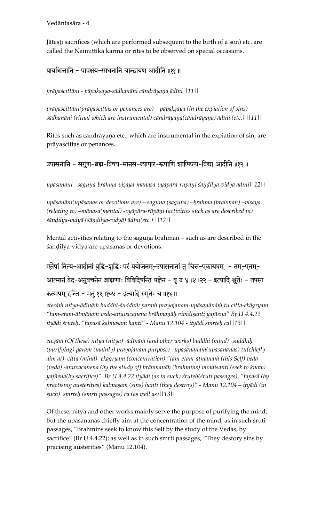Jāteșți sacrifices (which are performed subsequent to the birth of a son) etc. are called the Naimittika karma or rites to be observed on special occasions.

प्रायश्चित्तानि - पापक्षय-साधनानि चान्द्रायण आदीनि ॥११ ॥

*präyaçcittäni - päpakñaya-sädhanäni cändräyaëa ädéni||11||* 

*prāyaścittāni(prāyaścittas or penances are) – pāpakṣaya (in the expiation of sins) –* sādhanāni (ritual which are instrumental) cāndrāyaṇa(cāndrāyaṇa) ādīni (etc.) ||11||

Rites such as cāndrāyaņa etc., which are instrumental in the expiation of sin, are präyaçcittas or penances.

उपासनानि - सगुण-ब्रह्म-विषय-मानस-व्यापार-रूपाणि शाण्डिल्य-विद्या आदीनि ॥१२ ॥

upāsanāni - saguņa-brahma-viṣaya-mānasa-vyāpāra-rūpāṇi śāṇḍilya-vidyā ādīni||12||

upāsanāni(upāsanas or devotions are) – saguņa (saguņa) –brahma (brahman) –viṣaya (relating to) –mānasa(mental) -vyāpāra-rūpāņi (activities such as are described in) *çäëòilya-vidyä (çäëòilya-vidyä) ädéni(etc.) ||12||* 

Mental activities relating to the saguna brahman – such as are described in the śāņdilya-vidyā are upāsanas or devotions.

एतेषां नित्य-आदीनां बुद्धि-शुद्धिः परं प्रयोजनम्-उपासनानां तु चित्त-एकाग्रयम् - तम्-एतम्-आत्मानं वेद-अनुवचनेन ब्राह्मणाः विविदिषन्ति यज्ञेन - बृ उ ४।४।२२ - इत्यादि श्रुतेः - तपसा कल्मषम् हन्ति - मन १२ ।१०४ - इत्यादि स्मतेः च ॥१३ ॥

etesām nitya-ādīnām buddhi-śuddhiḥ param prayojanam-upāsanānām tu citta-ekāgryam "tam-etam-ātmānam veda-anuvacanena brāhmaņāḥ vividiṣanti yajñena" Bŗ U 4.4.22 *ityädi çruteù, "tapasä kalmañam hanti" - Manu 12.104 - ityädi småteù ca||13||* 

*eteñäà (Of these) nitya (nitya) -ädénäà (and other works) buddhi (mind) -çuddhiù (purifying) paraà (mainly) prayojanam purpose) –upäsanänäà(upäsanänäs) tu(chiefly*  aim at) citta (mind) -ekāgryam (concentration) "tam-etam-ātmāna*ni* (this Self) veda *(veda) -anuvacanena (by the study of) brāhmaṇāḥ (brahmins) vividiṣanti (seek to know) yajïena(by sacrifice)" Bå U 4.4.22 ityädi (as in such) çruteù(çruti passages), "tapasä (by*  practising austerities) kalmașam (sins) hanti (they destroy)" - Manu 12.104 – ityādi (in such) smrteh (smrti passages) ca (as well as)||13||

Of these, nitya and other works mainly serve the purpose of purifying the mind; but the upāsanānās chiefly aim at the concentration of the mind, as in such struti passages, "Brahmins seek to know this Self by the study of the Vedas, by sacrifice" (Br  $U$  4.4.22); as well as in such smrti passages, "They destory sins by pracising austerities" (Manu 12.104).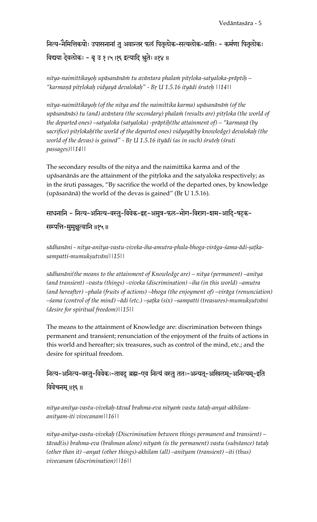नित्य-नैमित्तिकयोः उपासनानां तु अवान्तर फलं पितृलोक-सत्यलोक-प्राप्तिः - कर्मणा पितृलोकः विद्यया देवलोकः - बृ उ १।५।१६ इत्यादि श्चतेः ॥१४॥

*nitya-naimittikayoù upäsanänäà tu aväntara phalaà pitåloka-satyaloka-präptiù – "karmaëä pitålokaù vidyayä devalokaù" - Bå U 1.5.16 ityädi çruteù ||14||* 

*nitya-naimittikayoù (of the nitya and the naimittika karma) upäsanänäà (of the*  upāsanānās) tu (and) avāntara (the secondary) phala*n (results are) pitrloka (the world of the departed ones) –satyaloka (satyaloka) -prāptiḥ(the attainment of) – "karmaṇā (by* sacrifice) pitrlokah(the world of the departed ones) vidyayā(by knowledge) devalokaḥ (the world of the devas) is gained" - Br U 1.5.16 ityādi (as in such) śrute*h* (śruti *passages)||14||* 

The secondary results of the nitya and the naimittika karma and of the upāsanānās are the attainment of the pitrloka and the satyaloka respectively; as in the śruti passages, "By sacrifice the world of the departed ones, by knowledge (upāsanānā) the world of the devas is gained" (Br U 1.5.16).

साधनानि - नित्य-अनित्य-वस्तु-विवेक-इह-अमुत्र-फल-भोग-विराग-शम-आदि-षट्क-सम्पत्ति-मुमुक्षुत्वानि ॥१५॥

sādhanāni - nitya-anitya-vastu-viveka-iha-amutra-phala-bhoga-virāga-śama-ādi-ṣaṭka*sampatti-mumukñutväni||15||* 

*sädhanäni(the means to the attainment of Knowledge are) – nitya (permanent) –anitya (and transient) –vastu (things) –viveka (discrimination) –iha (in this world) –amutra (and hereafter) –phala (fruits of actions) –bhoga (the enjoyment of) –viräga (renunciation)*  –śama (control of the mind) –ādi (etc.) –ṣaṭka (six) –sampatti (treasures)-mumukṣutvāni *(desire for spiritual freedom)||15||* 

The means to the attainment of Knowledge are: discrimination between things permanent and transient; renunciation of the enjoyment of the fruits of actions in this world and hereafter; six treasures, such as control of the mind, etc.; and the desire for spiritual freedom.

नित्य-अनित्य-वस्तु-विवेकः-तावदु ब्रह्म-एव नित्यं वस्तु ततः-अन्यत्-अखिलम्-अनित्यम्-इति विवेचनम् ॥१६॥

*nitya-anitya-vastu-vivekaù-tävad brahma-eva nityaà vastu tataù-anyat-akhilamanityam-iti vivecanam||16||* 

*nitya-anitya-vastu-vivekaù (Discrimination between things permanent and transient) – tävad(is) brahma-eva (brahman alone) nityaà (is the permanent) vastu (substance) tataù (other than it) –anyat (other things)-akhilam (all) –anityam (transient) –iti (thus) vivecanam (discrimination)||16||*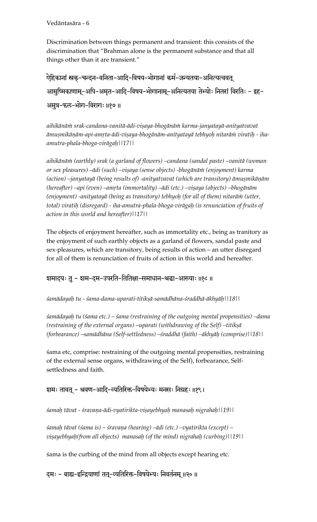Discrimination between things permanent and transient: this consists of the discrimination that "Brahman alone is the permanent substance and that all things other than it are transient."

ऐहिकानां स्रक्-चन्दन-वनिता-आदि-विषय-भोगानां कर्म-जन्यतया-अनित्यत्ववत् आमुष्मिकाणाम्-अपि-अमृत-आदि-विषय-भोगानाम्-अनित्यतया तेभ्योः नितरां विरतिः - इह-अमुत्र-फल-भोग-विरागः॥१७॥

*aihikänäà srak-candana-vanitä-ädi-viñaya-bhogänäà karma-janyatayä-anityatvavat ämuñmikäëäm-api-amåta-ädi-viñaya-bhogänäm-anityatayä tebhyoù nitaräà viratiù - ihaamutra-phala-bhoga-virägaù||17||* 

*aihikänäà (earthly) srak (a garland of flowers) –candana (sandal paste) –vanitä (woman or sex pleasures) –ädi (such) –viñaya (sense objects) -bhogänäà (enjoyment) karma*  (action) –janyatayā (being results of) -anityatvavat (which are transitory) āmușmikāņām (hereafter) –api (even) –amrta (immortality) –ādi (etc.) –viṣaya (objects) –bhogānām (enjoyment) -anityatayā (being as transitory) tebhyoh (for all of them) nitarām (utter, *total) viratiù (disregard) - iha-amutra-phala-bhoga-virägaù (is renunciation of fruits of action in this world and hereafter)||17||* 

The objects of enjoyment hereafter, such as immortality etc., being as tranitory as the enjoyment of such earthly objects as a garland of flowers, sandal paste and sex-pleasures, which are transitory, being results of action – an utter disregard for all of them is renunciation of fruits of action in this world and hereafter.

## शमादयः तु - शम-दम-उपरति-तितिक्षा-समाधान-श्रद्धा-आख्याः ॥१८॥

*çamädayaù tu - çama-dama-uparati-titikñä-samädhäna-çraddhä-äkhyäù||18||* 

*çamädayaù tu (çama etc.) – çama (restraining of the outgoing mental propensities) –dama (restraining of the external organs) –uparati (withdrawing of the Self) –titikṣā (forbearance) –samädhäna (Self-settledness) –çraddhä (faith) –äkhyäù (comprise)||18||* 

çama etc, comprise: restraining of the outgoing mental propensities, restraining of the external sense organs, withdrawing of the Self), forbearance, Selfsettledness and faith.

#### शमः तावत् - श्रवण-आदि-व्यतिरिक्त-विषयेभ्यः मनसः निग्रहः॥१९।

*çamaù tävat - çravaëa-ädi-vyatirikta-viñayebhyaù manasaù nigrahaù||19||* 

*çamaù tävat (çama is) – çravaëa (hearing) –ädi (etc.) –vyatirikta (except) –* vişayebhyaḥ(from all objects) manasaḥ (of the mind) nigrahaḥ (curbing)||19||

śama is the curbing of the mind from all objects except hearing etc.

दमः - बाह्य-इन्द्रियाणां तत्-व्यतिरिक्त-विषयेभ्यः निवर्तनम् ॥२०॥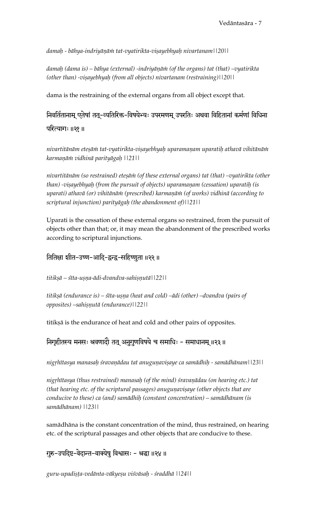*damaù - bähya-indriyäëäà tat-vyatirikta-viñayebhyaù nivartanam||20||* 

damaḥ (dama is) – bāhya (external) -indriyāṇāṁ (of the organs) tat (that) –vyatirikta *(other than) -viṣayebhyaḥ (from all objects) nivartanam (restraining)*||20||

dama is the restraining of the external organs from all object except that.

निवर्तितानाम् एतेषां तत्-व्यतिरिक्त-विषयेभ्यः उपरमणम् उपरतिः अथवा विहितानां कर्मणां विधिना परित्यागः ॥२१ ॥

*nivartitänäm eteñäà tat-vyatirikta-viñayebhyaù uparamaëam uparatiù athavä vihitänäà karmaëäà vidhinä parityägaù ||21||* 

*nivartitänäm (so restrained) eteñäà (of these external organs) tat (that) –vyatirikta (other than)* -viṣayebhyaḥ (from the pursuit of objects) uparamaṇam (cessation) uparatiḥ (is uparati) athavā (or) vihitānām (prescribed) karmaņām (of works) vidhinā (according to *scriptural injunction) parityägaù (the abandonment of)||21||* 

Uparati is the cessation of these external organs so restrained, from the pursuit of objects other than that; or, it may mean the abandonment of the prescribed works according to scriptural injunctions.

तितिक्षा शीत-उष्ण-आदि-द्वन्द्व-सहिष्णुता ॥२२ ॥

*titikñä – çéta-uñëa-ädi-dvandva-sahiñëutä||22||* 

titikṣā (endurance is) – śīta-uṣṇa (heat and cold) –ādi (other) –dvandva (pairs of *opposites)* –sahiṣṇutā (endurance)||22||

titikṣā is the endurance of heat and cold and other pairs of opposites.

निगृहीतस्य मनसः श्रवणादौ तत् अनुगुणविषये च समाधिः - समाधानम् ॥२३॥

nigrhītasya manasaḥ śravaṇādau tat anuguṇaviṣaye ca samādhiḥ - samādhānam||23||

nigrhītasya (thus restrained) manasah (of the mind) *śravanādau (on hearing etc.)* tat *(that hearing etc. of the scriptural passages) anugunavisaye (other objects that are conducive to these) ca (and) samädhiù (constant concentration) – samädhänam (is samädhänam) ||23||* 

samädhäna is the constant concentration of the mind, thus restrained, on hearing etc. of the scriptural passages and other objects that are conducive to these.

गुरु-उपदिष्ट-वेदान्त-वाक्येषु विश्वासः - श्रद्धा ॥२४ ॥

*guru-upadiñöa-vedänta-väkyeñu viçväsaù - çraddhä ||24||*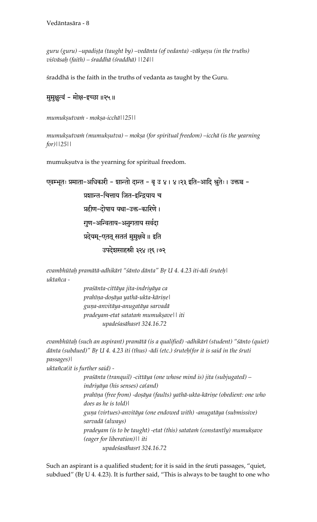guru (guru) –upadișta (taught by) –vedānta (of vedanta) -vākye*șu (in the truths*) *viçväsaù (faith) – çraddhä (çraddhä) ||24||* 

śraddhā is the faith in the truths of vedanta as taught by the Guru.

## मुमुक्षुत्वं - मोक्ष-इच्छा ॥२५॥

*mumukñutvaà - mokña-icchä||25||* 

*mumuk*șutvam (mumukșutva) – mokșa (for spiritual freedom) –icchā (is the yearning *for)||25||* 

mumukṣutva is the yearning for spiritual freedom.

```
एवम्भूतः प्रमाता-अधिकारी - शान्तो दान्त - बृ उ ४। ४।२३ इति-आदि श्रुतेः। उक्तञ्च -
               प्रशान्त-चित्ताय जित-इन्द्रियाय च
               प्रहीण-दोषाय यथा-उक्त-कारिणे।
               गुण-अन्विताय-अनुगताय सर्वदा
               <u>प्रदेयम्-एतत् सततं मुमु</u>क्षवे ॥ इति
                      उपदेशसाहस्री ३२४ ।१६ ।७२
```

```
evambhütaù pramätä-adhikäré "çänto dänta" Bå U 4. 4.23 iti-ädi çruteù| 
uktaïca -
```
*praçänta-cittäya jita-indriyäya ca prahéëa-doñäya yathä-ukta-käriëe| guëa-anvitäya-anugatäya sarvadä pradeyam-etat satataà mumukñave|| iti upadeçasähasré 324.16.72* 

*evambhütaù (such an aspirant) pramätä (is a qualified) -adhikäré (student) "çänto (quiet)*  dānta (subdued)" Bŗ U 4. 4.23 iti (thus) -ādi (etc.) śruteḥ(for it is said in the śruti *passages)|* 

*uktaïca(it is further said) -* 

*praçänta (tranquil) -cittäya (one whose mind is) jita (subjugated) – indriyäya (his senses) ca(and)*  prahīņa (free from) -doșāya (faults) yathā-ukta-kāriņe (obedient: one who *does as he is told)| guëa (virtues)-anvitäya (one endowed with) -anugatäya (submissive) sarvadä (always) pradeyam (is to be taught) -etat (this) satatam (constantly) mumukṣave (eager for liberation)|| iti upadeçasähasré 324.16.72* 

Such an aspirant is a qualified student; for it is said in the sruti passages, "quiet, subdued" (Br U 4. 4.23). It is further said, "This is always to be taught to one who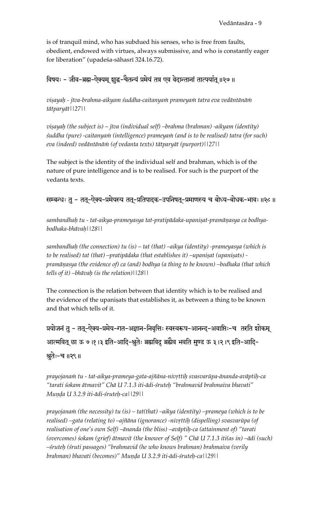is of tranquil mind, who has subdued his senses, who is free from faults, obedient, endowed with virtues, always submissive, and who is constantly eager for liberation" (upadeśa-sāhasrī 324.16.72).

## विषयः - जीव-ब्रह्म-ऐक्यम् शुद्ध-चैतन्यं प्रमेयं तत्र एव वेदान्तानां तात्पर्यात् ॥२७॥

*viñayaù - jéva-brahma-aikyam çuddha-caitanyaà prameyaà tatra eva vedäntänäà tätparyät||27||* 

vișayaḥ (the subject is) – jīva (individual self) –brahma (brahman) -aikyam (identity)  $s$ uddha (pure) -caitanya $m$  (intelligence) prameya $m$  (and is to be realised) tatra (for such) *eva (indeed) vedäntänäà (of vedanta texts) tätparyät (purport)||27||* 

The subject is the identity of the individual self and brahman, which is of the nature of pure intelligence and is to be realised. For such is the purport of the vedanta texts.

सम्बन्धः तु - तत्-ऐक्य-प्रमेयस्य तत्-प्रतिपादक-उपनिषत्-प्रमाणस्य च बोध्य-बोधक-भावः॥२८॥

sambandhah tu - tat-aikya-prameyasya tat-pratipādaka-upaniṣat-pramāṇasya ca bodhya*bodhaka-bhävaù||28||* 

*sambandhaù (the connection) tu (is) – tat (that) –aikya (identity) -prameyasya (which is*  to be realised) tat (that) –pratipādaka (that establishes it) –upanișat (upanișats) *pramäëasya (the evidence of) ca (and) bodhya (a thing to be known) –bodhaka (that which tells of it) –bhävaù (is the relation)||28||* 

The connection is the relation between that identity which is to be realised and the evidence of the upanisats that establishes it, as between a thing to be known and that which tells of it.

प्रयोजनं तु - तत्-ऐक्य-प्रमेय-गत-अज्ञान-निवृत्तिः स्वस्वरूप-आनन्द-अवाप्तिः-च तरति शोकम् आत्मवित् छा ऊ ७।१।३ इति-आदि-श्रुतेः ब्रह्मविदु ब्रह्मैव भवति मुण्ड ऊ ३।२।९ इति-आदि-श्चतेः-च ॥२९॥

*prayojanaà tu - tat-aikya-prameya-gata-ajïäna-nivåttiù svasvarüpa-änanda-aväptiù-ca "tarati çokam ätmavit" Chä U 7.1.3 iti-ädi-çruteù "brahmavid brahmaiva bhavati" Muëòa U 3.2.9 iti-ädi-çruteù-ca||29||* 

prayojana*in* (the necessity) tu (is) – tat(that) –aikya (identity) –prameya (which is to be realised) –gata (relating to) –ajñāna (ignorance) -nivṛttiḥ (dispelling) svasvarūpa (of *realisation of one's own Self) –änanda (the bliss) –aväptiù-ca (attainment of) "tarati (overcomes) çokam (grief) ätmavit (the knower of Self) " Chä U 7.1.3 iti(as in) –ädi (such) –çruteù (çruti passages) "brahmavid (he who knows brahman) brahmaiva (verily brahman) bhavati (becomes)*" Munda U 3.2.9 iti-ādi-śruteh-ca||29||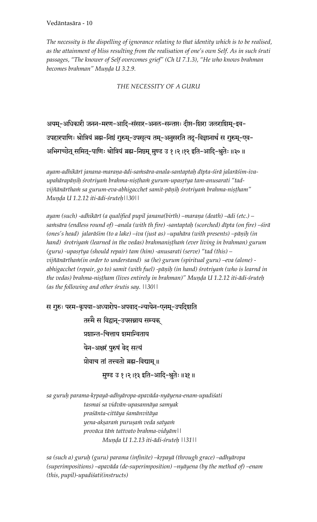*The necessity is the dispelling of ignorance relating to that identity which is to be realised, as the attainment of bliss resulting from the realisation of one's own Self. As in such çruti passages, "The knower of Self overcomes grief" (Ch U 7.1.3), "He who knows brahman*  becomes brahman" Munda U 3.2.9.

*THE NECESSITY OF A GURU* 

अयम्-अधिकारी जनन-मरण-आदि-संसार-अनल-सन्तप्तः दीप्त-शिरा जलराशिम्-इव-उपहारपाणिः श्रोत्रियं ब्रह्म-निष्ठं गुरुम्-उपसृत्य तम्-अनुसरति तदु-विज्ञानार्थं स गुरुम्-एव-अभिगच्छेत् समित्-पाणिः श्रोत्रियं ब्रह्म-निष्ठम् मुण्ड उ १।२।१२ इति-आदि-श्रुतेः॥३०॥

ayam-adhikārī janana-maraņa-ādi-saṁsāra-anala-santaptaḥ dīpta-śirā jalarāśim-ivaupahārapāņih śrotriyam brahma-nistham gurum-upasrtya tam-anusarati "tadvijñānārtham sa gurum-eva-abhigacchet samit-pāņiḥ śrotriyam brahma-niṣṭham" *Muëòa U 1.2.12 iti-ädi-çruteù||30||* 

*ayam (such) -adhikäré (a qualified pupil janana(birth) –maraëa (death) –ädi (etc.) – saàsära (endless round of) –anala (with th fire) -santaptaù (scorched) dépta (on fire) –çirä*  (ones's head) jalarāśim (to a lake) –iva (just as) –upahāra (with presents) –pāņiḥ (in hand) srotriyam (learned in the vedas) brahmanistham (ever living in brahman) gurum (guru) -upasrtya (should repair) tam (him) -anusarati (serve) "tad (this) – *vijïänärthaà(in order to understand) sa (he) gurum (spiritual guru) –eva (alone)*  abhigacchet (repair, go to) samit (with fuel) -pāṇiḥ (in hand) śrotriyaṁ (who is learnd in the vedas) brahma-niṣṭham (lives entirely in brahman)" Muṇḍa U 1.2.12 iti-ādi-śruteḥ *(as the following and other çrutis say. ||30||* 

स गुरुः परम-कृपया-अध्यारोप-अपवाद-न्यायेन-एनम्-उपदिशति तस्मै स विद्वान्-उपसन्नाय सम्यक् प्रशान्त-चित्ताय शमान्विताय

.<br>येन-अक्षरं पुरुषं वेद सत्यं

प्रोवाच तां तत्त्वतो ब्रह्म-विद्याम् ॥

मुण्ड उ १।२।१३ इति-आदि-श्रुतेः ॥३१॥

sa guruh parama-krpayā-adhyāropa-apavāda-nyāyena-enam-upadiśati *tasmai sa vidvän-upasannäya samyak praçänta-cittäya çamänvitäya yena-akñaraà puruñaà veda satyaà proväca täà tattvato brahma-vidyäm|| Muëòa U 1.2.13 iti-ädi-çruteù ||31||* 

sa (such a) guruḥ (guru) parama (infinite) –kṛpayā (through grace) –adhyāropa *(superimpositions) –apaväda (de-superimposition) –nyäyena (by the method of) –enam (this, pupil)-upadiçati(instructs)*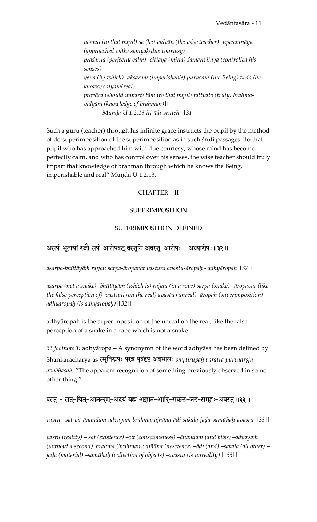*tasmai (to that pupil) sa (he) vidvän (the wise teacher) -upasannäya (approached with) samyak(due courtesy) praçänta (perfectly calm) -cittäya (mind) çamänvitäya (controlled his senses) yena (by which) -akñaraà (imperishable) puruñaà (the Being) veda (he knows) satyaà(real)*  provāca (should impart) tām (to that pupil) tattvato (truly) brahma*vidyäm (knowledge of brahman)|| Muëòa U 1.2.13 iti-ädi-çruteù ||31||* 

Such a guru (teacher) through his infinite grace instructs the pupil by the method of de-superimposition of the superimposition as in such śruti passages: To that pupil who has approached him with due courtesy, whose mind has become perfectly calm, and who has control over his senses, the wise teacher should truly impart that knowledge of brahman through which he knows the Being, imperishable and real" Munda U 1.2.13.

#### CHAPTER – II

#### SUPERIMPOSITION

#### SUPERIMPOSITION DEFINED

## असर्प-भूतायां रज्जौ सर्प-आरोपवत् वस्तुनि अवस्तु-आरोपः - अध्यारोपः ॥३२॥

*asarpa-bhütäyäà rajjau sarpa-äropavat vastuni avastu-äropaù - adhyäropaù||32||* 

*asarpa (not a snake) -bhütäyäà (which is) rajjau (in a rope) sarpa (snake) –äropavat (like the false perception of) vastuni (on the real) avastu (unreal) -äropaù (superimposition) – adhyäropaù (is adhyäropaù)||32||* 

adhyāropaḥ is the superimposition of the unreal on the real, like the false perception of a snake in a rope which is not a snake.

*32 footnote 1:* adhyäropa – A synonymn of the word adhyäsa has been defined by Shankaracharya as <del>रमुतिरू</del>पः परत्र पूर्वदृष्ट अवभासः *smrtirūpah paratra pūrvadrsta avabhäsaù*, "The apparent recognition of something previously observed in some other thing."

## वस्तु - सत्-चित्-आनन्दम्-अद्वयं ब्रह्म अज्ञान-आदि-सकल-जड-समूहः-अवस्तु॥३३॥

*vastu - sat-cit-änandam-advayaà brahma; ajïäna-ädi-sakala-jaòa-samühaù-avastu||33||* 

*vastu (reality) – sat (existence) –cit (consciousness) –änandam (and bliss) –advayaà (without a second) brahma (brahman); ajïäna (nescience) –ädi (and) –sakala (all other) – jaòa (material) –samühaù (collection of objects) –avastu (is unreality) ||33||*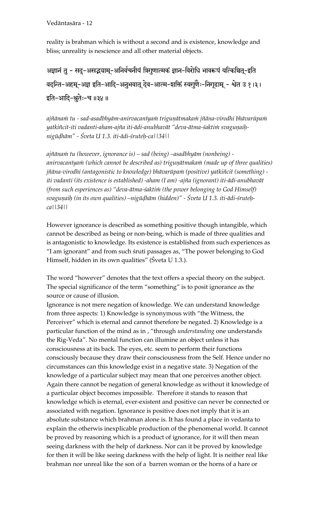reality is brahman which is without a second and is existence, knowledge and bliss; unreality is nescience and all other material objects.

अज्ञानं तु - सदु-असद्भ्याम्-अनिर्वचनीयं त्रिगुणात्मकं ज्ञान-विरोधि भावरूपं यत्किञ्चित्-इति वदन्ति-अहम्-अज्ञ इति-आदि-अनुभवात् देव-आत्म-शक्तिं स्वगुणैः-निगूढाम् - श्वेत उ १।३।  $\bar{\mathbf{z}}$ ति-आदि-श्रुतेः-च ॥३४॥

ajñāna $\dot{m}$  tu - sad-asadbhyām-anirvacanīya $\dot{m}$  triguņātmaka $\dot{m}$  jñāna-virodhi bhāvarūpa $\dot{m}$ yatkiñcit-iti vadanti-aham-ajña iti-ādi-anubhavāt "deva-ātma-śaktim svagunaih*nigüòhäm" - Çveta U 1.3. iti-ädi-çruteù-ca||34||*

*ajïänaà tu (however, ignorance is) – sad (being) –asadbhyäm (nonbeing)*  anirvacanīyam (which cannot be described as) triguṇātmakam (made up of three qualities) *jñāna-virodhi (antagonistic to knowledge) bhāvarūpam (positive) yatkiñcit (something) iti vadanti (its existence is established) -aham (I am) -ajïa (ignorant) iti-ädi-anubhavät*  (from such esperiences as) "deva-ātma-śaktim (the power belonging to God Himself) svaguņaiḥ (in its own qualities) –nigūḍhām (hidden)" - Śveta U 1.3. iti-ādi-śruteḥ*ca||34||*

However ignorance is described as something positive though intangible, which cannot be described as being or non-being, which is made of three qualities and is antagonistic to knowledge. Its existence is established from such experiences as "I am ignorant" and from such çruti passages as, "The power belonging to God Himself, hidden in its own qualities" (Śveta U 1.3.).

The word "however" denotes that the text offers a special theory on the subject. The special significance of the term "something" is to posit ignorance as the source or cause of illusion.

Ignorance is not mere negation of knowledge. We can understand knowledge from three aspects: 1) Knowledge is synonymous with "the Witness, the Perceiver" which is eternal and cannot therefore be negated. 2) Knowledge is a particular function of the mind as in , "through *understanding* one understands the Rig-Veda". No mental function can illumine an object unless it has consciousness at its back. The eyes, etc. seem to perform their functions consciously because they draw their consciousness from the Self. Hence under no circumstances can this knowledge exist in a negative state. 3) Negation of the knowledge of a particular subject may mean that one perceives another object. Again there cannot be negation of general knowledge as without it knowledge of a particular object becomes impossible. Therefore it stands to reason that knowledge which is eternal, ever-existent and positive can never be connected or associated with negation. Ignorance is positive does not imply that it is an absolute substance which brahman alone is. It has found a place in vedanta to explain the otherwis inexplicable production of the phenomenal world. It cannot be proved by reasoning which is a product of ignorance, for it will then mean seeing darkness with the help of darkness. Nor can it be proved by knowledge for then it will be like seeing darkness with the help of light. It is neither real like brahman nor unreal like the son of a barren woman or the horns of a hare or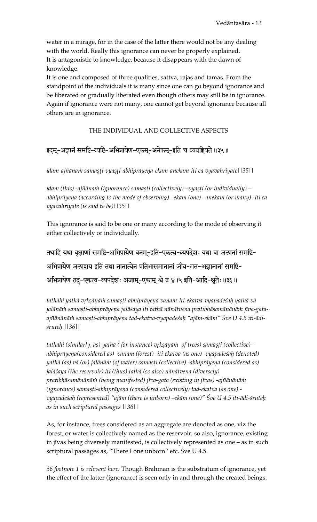water in a mirage, for in the case of the latter there would not be any dealing with the world. Really this ignorance can never be properly explained. It is antagonistic to knowledge, because it disappears with the dawn of knowledge.

It is one and composed of three qualities, sattva, rajas and tamas. From the standpoint of the individuals it is many since one can go beyond ignorance and be liberated or gradually liberated even though others may still be in ignorance. Again if ignorance were not many, one cannot get beyond ignorance because all others are in ignorance.

### THE INDIVIDUAL AND COLLECTIVE ASPECTS

## इदम्-अज्ञानं समष्टि-व्यष्टि-अभिप्रायेण-एकम्-अनेकम्-इति च व्यवह्रियते ॥३५॥

idam-ajñānam samașți-vyașți-abhiprāyeṇa-ekam-anekam-iti ca vyavahriyate||35||

*idam (this) -ajñānam (ignorance) samasți (collectively) –vyasți (or individually) –* abhiprāyeņa (according to the mode of observing) –ekam (one) –anekam (or many) -iti ca *vyavahriyate (is said to be)||35||* 

This ignorance is said to be one or many according to the mode of observing it either collectively or individually.

तथाहि यथा वृक्षाणां समष्टि-अभिप्रायेण वनम्-इति-एकत्व-व्यपदेशः यथा वा जलानां समष्टि-अभिप्रायेण जलाशय इति तथा नानात्वेन प्रतिभासमानानां जीव-गत-अज्ञानानां समष्टि-अभिप्रायेण तदु-एकत्व-व्यपदेशः अजाम्-एकाम् श्वे उ ४।५ इति-आदि-श्रुतेः॥३६॥

tathāhi yathā vŗkṣāṇāṁ samaṣṭi-abhiprāyeṇa vanam-iti-ekatva-vyapadeśaḥ yathā vā jalānāṁ samaṣṭi-abhiprāyeṇa jalāśaya iti tathā nānātvena pratibhāsamānānāṁ jīva-gataajñānānām samasti-abhiprāyeņa tad-ekatva-vyapadeśaḥ "ajām-ekām" Śve U 4.5 iti-ādi*çruteù ||36||* 

*tathāhi (similarly, as) yathā ( for instance) vrkṣāṇāṅ of trees) samaṣṭi (collective) –* abhiprāyeņa(considered as) vanam (forest) -iti-ekatva (as one) -vyapadeśaḥ (denoted) yathā (as) vā (or) jalānām (of water) samasti (collective) -abhiprāyeņa (considered as) *jaläçaya (the reservoir) iti (thus) tathä (so also) nänätvena (diversely) pratibhäsamänänäà (being manifested) jéva-gata (existing in jévas) -ajïänänäà*  (ignorance) samașți-abhiprāyeņa (considered collectively) tad-ekatva (as one) *vyapadeçaù (represented) "ajäm (there is unborn) –ekäm (one)" Çve U 4.5 iti-ädi-çruteù as in such scriptural passages ||36||* 

As, for instance, trees considered as an aggregate are denoted as one, viz the forest, or water is collectively named as the reservoir, so also, ignorance, existing in jīvas being diversely manifested, is collectively represented as one – as in such scriptural passages as, "There I one unborn" etc. Sve U 4.5.

*36 footnote 1 is relevent here:* Though Brahman is the substratum of ignorance, yet the effect of the latter (ignorance) is seen only in and through the created beings.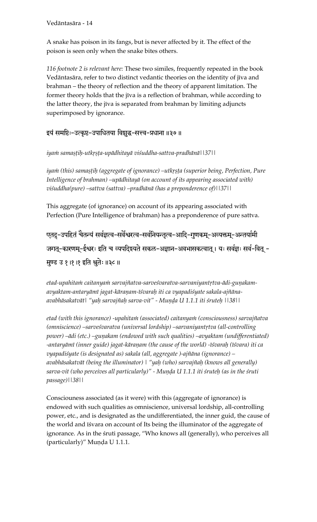A snake has poison in its fangs, but is never affected by it. The effect of the poison is seen only when the snake bites others.

*116 footnote 2 is relevant here:* These two similes, frequently repeated in the book Vedāntasāra, refer to two distinct vedantic theories on the identity of jīva and brahman – the theory of reflection and the theory of apparent limitation. The former theory holds that the jīva is a reflection of brahman, while according to the latter theory, the jīva is separated from brahman by limiting adjuncts superimposed by ignorance.

### इयं समष्टिः-उत्कृष्ट-उपाधितया विशुद्ध-सत्त्व-प्रधाना ॥३७॥

iyam samaṣṭiḥ-utkṛṣṭa-upādhitayā viśuddha-sattva-pradhānā||37||

iyam (this) samașțih (aggregate of ignorance) –utkrșța (superior being, Perfection, Pure *Intelligence of brahman) –upädhitayä (on account of its appearing associated with) viçuddha(pure) –sattva (sattva) –pradhänä (has a preponderence of)||37||* 

This aggregate (of ignorance) on account of its appearing associated with Perfection (Pure Intelligence of brahman) has a preponderence of pure sattva.

एतदु-उपहितं चैतन्यं सर्वज्ञत्व-सर्वेश्वरत्व-सर्वनियन्तृत्व-आदि-गुणकम्-अन्यक्तम्-अन्तर्यामी जगत्-कारणम्-ईश्वरः इति च व्यपदि्रयते सकल-अज्ञान-अवभासकत्वात् । यः सर्वज्ञः सर्व-वित् -मुण्ड उ १ ।१ ।१ इति श्रुतेः ॥३८ ॥

etad-upahitam caitanyam sarvajñatva-sarveśvaratva-sarvaniyantrtva-ādi-gunakam*avyaktam-antaryämé jagat-käraëam-éçvaraù iti ca vyapadiçyate sakala-ajïänaavabhäsakatvät| "yaù sarvajïaù sarva-vit" - Muëòa U 1.1.1 iti çruteù ||38||* 

etad (with this ignorance) -upahitam (associated) caitanyam (consciousness) sarvajñatva *(omniscience) –sarveśvaratva (universal lordship) –sarvaniyantrtva (all-controlling* power) –ādi (etc.) –guņakam (endowed with such qualities) –avyaktam (undifferentiated) -antaryāmī (inner guide) jagat-kāraṇam (the cause of the world) -īśvaraḥ (īśvara) iti ca *vyapadiçyate (is designated as) sakala (all, aggregate )-ajïäna (ignorance) – avabhäsakatvät (being the illuminator) | "yaù (who) sarvajïaù (knows all generally)*  sarva-vit (who perceives all particularly)" - Muṇḍa U 1.1.1 iti śruteḥ (as in the śruti *passage)||38||*

Consciouness associated (as it were) with this (aggregate of ignorance) is endowed with such qualities as omniscience, universal lordship, all-controlling power, etc., and is designated as the undifferentiated, the inner guid, the cause of the world and is vara on account of Its being the illuminator of the aggregate of ignorance. As in the sruti passage, "Who knows all (generally), who perceives all (particularly)" Munda U 1.1.1.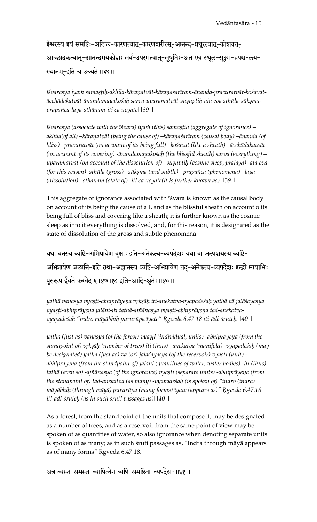ईश्वरस्य इयं समष्टिः-अखिल-कारणत्वात्-कारणशरीरम्-आनन्द-प्रचुरत्वात्-कोशवत्-आच्छादकत्वात्-आनन्दमयकोशः सर्व-उपरमत्वात्-सुषुप्तिः-अत एव स्थूल-सुक्ष्म-प्रपञ्च-लय-स्थानम्-इति च उच्यते ॥३९॥

īśvarasya iyam samaştih-akhila-kāraņatvāt-kāraņaśarīram-ānanda-pracuratvāt-kośavat*äcchädakatvät-änandamayakoçaù sarva-uparamatvät-suñuptiù-ata eva sthüla-sükñmaprapaïca-laya-sthänam-iti ca ucyate||39||* 

*iśvarasya (associate with the iśvara) iyam (this) samastih (aggregate of ignorance) –* akhila(of all) –kāraṇatvāt (being the cause of) –kāraṇaśarīram (causal body) –ānanda (of *bliss) –pracuratvät (on account of its being full) –koçavat (like a sheath) –äcchädakatvät (on account of its covering) -änandamayakoçaù (the blissful sheath) sarva (everything) – uparamatvāt (on account of the dissolution of) –susuptih (cosmic sleep, pralaya) -ata eva (for this reason) sthūla (gross) –sūkṣma (and subtle) –prapañca (phenomena) –laya (dissolution) –sthänam (state of) -iti ca ucyate(it is further known as)||39||* 

This aggregate of ignorance associated with isvara is known as the causal body on account of its being the cause of all, and as the blissful sheath on account o its being full of bliss and covering like a sheath; it is further known as the cosmic sleep as into it everything is dissolved, and, for this reason, it is designated as the state of dissolution of the gross and subtle phenomena.

यथा वनस्य व्यष्टि-अभिप्रायेण वृक्षाः इति-अनेकत्व-व्यपदेशः यथा वा जलाशयस्य व्यष्टि-अभिप्रायेण जलानि-इति तथा-अज्ञानस्य व्यष्टि-अभिप्रायेण तदु-अनेकत्व-व्यपदेशः इन्द्रो मायाभिः पुरुरूप ईयते ऋग्वेद ६।४७।१८ इति-आदि-श्रुतेः॥४०॥

yathā vanasya vyaṣṭi-abhiprāyeṇa vṛkṣāḥ iti-anekatva-vyapadeśaḥ yathā vā jalāśayasya vyasti-abhiprāyeņa jalāni-iti tathā-ajñānasya vyasti-abhiprāyeņa tad-anekatva*vyapadeçaù "indro mäyäbhiù pururüpa éyate" Ågveda 6.47.18 iti-ädi-çruteù||40||* 

yathā (just as) vanasya (of the forest) vyasti (individual, units) -abhiprāyena (from the standpoint of) vṛkṣāḥ (number of trees) iti (thus) –anekatva (manifold) -vyapadeśaḥ (may be designated) yathā (just as) vā (or) jalāśayasya (of the reservoir) vyasti (unit) abhiprāyeņa (from the standpoint of) jalāni (quantities of water, water bodies) -iti (thus) tathā (even so) -ajñānasya (of the ignorance) vyasti (separate units) -abhiprāyeņa (from *the standpoint of) tad-anekatva (as many) -vyapadeçaù (is spoken of) "indro (indra) mäyäbhiù (through mäyä) pururüpa (many forms) éyate (appears as)" Ågveda 6.47.18 iti-ädi-çruteù (as in such çruti passages as)||40||* 

As a forest, from the standpoint of the units that compose it, may be designated as a number of trees, and as a reservoir from the same point of view may be spoken of as quantities of water, so also ignorance when denoting separate units is spoken of as many; as in such śruti passages as, "Indra through māyā appears as of many forms" Rgveda 6.47.18.

अत्र व्यस्त-समस्त-व्यापित्वेन व्यष्टि-समष्टिता-व्यपदेशः॥४१॥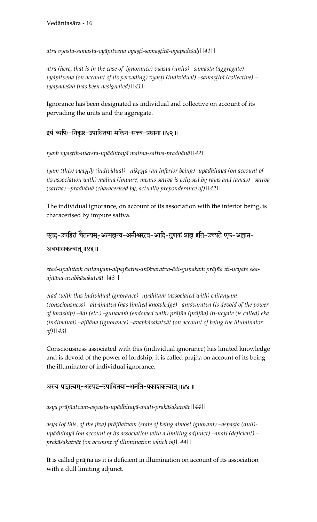*atra vyasta-samasta-vyäpitvena vyañöi-samañöitä-vyapadeçaù||41||* 

*atra (here, that is in the case of ignorance) vyasta (units) –samasta (aggregate) vyāpitvena (on account of its pervading) vya*șți (individual) –samașțitā (collective) – *vyapadeçaù (has been designated)||41||* 

Ignorance has been designated as individual and collective on account of its pervading the units and the aggregate.

इयं व्यष्टिः-निकृष्ट-उपाधितया मलिन-सत्त्व-प्रधाना ॥४२ ॥

*iyaà vyañöiù-nikåñöa-upädhitayä malina-sattva-pradhänä||42||* 

iyam (this) vyașțih (individual) –nikrșța (an inferior being) -upādhitayā (on account of *its association with) malina (impure, means sattva is eclipsed by rajas and tamas) –sattva (sattva) –pradhänä (characerised by, actually preponderance of)||42||*

The individual ignorance, on account of its association with the inferior being, is characerised by impure sattva.

एतदु-उपहितं चैतन्यम्-अल्पज्ञत्व-अनीश्वरत्व-आदि-गुणकं प्राज्ञ इति-उच्यते एक-अज्ञान-

अवभासकत्वात् ॥४३॥

etad-upahitam caitanyam-alpajñatva-anīśvaratva-ādi-guņakam prājña iti-ucyate eka*ajïäna-avabhäsakatvät||43||* 

etad (with this individual ignorance) -upahitam (associated with) caitanyam (consciousness) –alpajñatva (has limited knowledge) –anīśvaratva (is devoid of the power of lordship) –ādi (etc.) -guņakam (endowed with) prājña (prājña) iti-ucyate (is called) eka *(individual) –ajïäna (ignorance) –avabhäsakatvät (on account of being the illuminator of)||43||* 

Consciousness associated with this (individual ignorance) has limited knowledge and is devoid of the power of lordship; it is called prājña on account of its being the illuminator of individual ignorance.

#### अस्य प्राज्ञत्वम्-अस्पष्ट-उपाधितया-अनति-प्रकाशकत्वात् ॥४४॥

*asya präjïatvam-aspañöa-upädhitayä-anati-prakäçakatvät||44||* 

asya (of this, of the jīva) prājñatvam (state of being almost ignorant) –aspasta (dull)*upädhitayä (on account of its association with a limiting adjunct) –anati (deficient) – prakäçakatvät (on account of illumination which is)||44||* 

It is called prājña as it is deficient in illumination on account of its association with a dull limiting adjunct.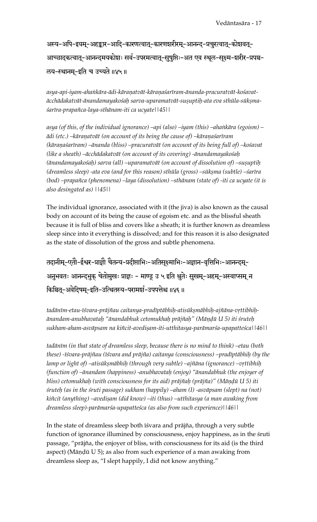अस्य-अपि-इयम्-अहङ्कार-आदि-कारणत्वात्-कारणशररीरम्-आनन्द-प्रचुरत्वात्-कोशवत्-आच्छादकत्वात्-आनन्दमयकोशः सर्व-उपरमत्वात्-सुषुप्तिः-अत एव स्थूल-सूक्ष्म-शरीर-प्रपञ्च-लय-स्थानम्-इति च उच्यते ॥४५॥

asya-api-iyam-ahaṅkāra-ādi-kāraṇatvāt-kāraṇaśarīram-ānanda-pracuratvāt-kośavat*äcchädakatvät-änandamayakoçaù sarva-uparamatvät-suñuptiù-ata eva sthüla-sükñmaçaréra-prapaïca-laya-sthänam-iti ca ucyate||45||* 

*asya (of this, of the individual ignorance) –api (also) –iyam (this) –ahaìkära (egoism) –*  $\bar{a}$ *di (etc.) –kāraṇatvāt (on account of its being the cause of) –kāraṇaśarīram* (kāraņaśarīram) –ānanda (bliss) –pracuratvāt (on account of its being full of) –kośavat *(like a sheath) –äcchädakatvät (on account of its covering) -änandamayakoçaù*  (ānandamayakośah) sarva (all) –uparamatvāt (on account of dissolution of) –suṣuptiḥ *(dreamless sleep) -ata eva (and for this reason) sthūla (gross) –sūkṣma (subtle) –śarīra (bod) –prapaïca (phenomena) –laya (dissolution) –sthänam (state of) -iti ca ucyate (it is also desingated as) ||45||* 

The individual ignorance, associated with it (the jiva) is also known as the causal body on account of its being the cause of egoism etc. and as the blissful sheath because it is full of bliss and covers like a sheath; it is further known as dreamless sleep since into it everything is dissolved; and for this reason it is also designated as the state of dissolution of the gross and subtle phenomena.

तदानीम्-एतौ-ईश्वर-प्राज्ञौ चैतन्य-प्रदीप्ताभिः-अतिसूक्ष्माभिः-अज्ञान-वृत्तिभिः-आनन्दम्-अनुभवतः आनन्द्भुक् चेतोमुखः प्राज्ञः - माण्डू उ ५ इति श्रुतेः सुखम्-अहम्-अस्वाप्सम् न किञ्चित्-अवेदिषम्-इति-उत्थितस्य-परामर्श-उपपत्तेश्च ॥४६॥

tadānīm-etau-īśvara-prājñau caitanya-pradīptābhiḥ-atisūkṣmābhiḥ-ajñāna-vṛttibhiḥ*änandam-anubhavataù "änandabhuk cetomukhaù präjïaù" (Mäëòü U 5) iti çruteù sukham-aham-asväpsam na kiïcit-avediñam-iti-utthitasya-parämarça-upapatteçca||46||* 

tadānīm (in that state of dreamless sleep, because there is no mind to think) –etau (both *these) -éçvara-präjïau (éçvara and präjïa) caitanya (consciousness) –pradéptäbhiù (by the*  lamp or light of) –atisūkṣmābhiḥ (through very subtle) –ajñāna (ignorance) –vṛttibhiḥ *(function of) –änandam (happiness) -anubhavataù (enjoy) "änandabhuk (the enjoyer of bliss) cetomukhah (with consciousness for its aid) prājñaḥ (prājña)'' (Māṇḍū U 5) iti çruteù (as in the çruti passage) sukham (happily) –aham (I) -asväpsam (slept) na (not)*  kiñcit (anything) –avedi*șam (did know) –iti (thus) –utthitasya (a man awaking from dreamless sleep)-parämarça-upapatteçca (as also from such experience)||46||* 

In the state of dreamless sleep both isvara and prājña, through a very subtle function of ignorance illumined by consciousness, enjoy happiness, as in the struti passage, "präjïa, the enjoyer of bliss, with consciousness for its aid (is the third aspect) (Māņḍū U 5); as also from such experience of a man awaking from dreamless sleep as, "I slept happily, I did not know anything."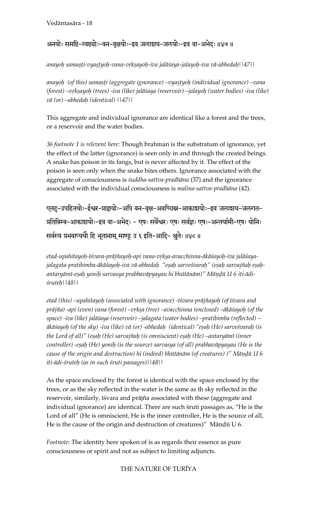## अनयोः समष्टि-व्यष्ट्योः-वन-वृक्षयोः-इव जलाशय-जलयोः-इव वा-अभेदः ॥४७ ॥

anayoh samaṣṭi-vyaṣṭyoḥ-vana-vṛkṣayoḥ-iva jalāśaya-jalayoḥ-iva vā-abhedaḥ||47||

anayoh (of this) samașți (aggregate ignorance) –vyaștyoh (individual ignorance) –vana (forest) –vrkṣayoh (trees) -iva (like) jalāśaya (reservoir) –jalayoḥ (water bodies) -iva (like) *vä (or) –abhedaù (identical) ||47||* 

This aggregate and individual ignorance are identical like a forest and the trees, or a reservoir and the water bodies.

*36 footnote 1 is relevent here:* Though brahman is the substratum of ignorance, yet the effect of the latter (ignorance) is seen only in and through the created beings. A snake has poison in its fangs, but is never affected by it. The effect of the poison is seen only when the snake bites others. Ignorance associated with the aggregate of consciousness is *çuddha-sattva-pradhäna* (37) and the ignorance associated with the individual consciousness is *malina-sattva-pradhäna* (42).

एतद्-उपहितयोः-ईश्वर-प्राज्ञयोः-अपि वन-वृक्ष-अवच्छिन्न-आकाशयोः-इव जलाशय-जलगत-प्रतिबिम्ब-आकाशयोः-इव वा-अभेदः - एषः सर्वेश्वरः एषः सर्वज्ञः एषः-अन्तर्यामी-एषः योनिः सर्वस्य प्रभवाप्ययौ हि भूतानाम् माण्डू उ ६ इति-आदि- श्रुतेः ॥४८ ॥

etad-upahitayo*h-īśvara-prājñayoh-api vana-vrkṣa-avacchinna-ākāśayoḥ-iva jalāśaya*jalagata-pratibimba-ākāśayoh-iva vā-abhedaḥ "eṣaḥ sarveśvaraḥ" (eṣaḥ sarvajñaḥ eṣaḥantaryāmī-eṣaḥ yoniḥ sarvasya prabhavāpyayau hi bhūtānām)" Māṇḍū U 6 iti-ādi*çruteù||48||* 

etad (this) –upahitayoh (associated with ignorance) -īśvara-prājñayoh (of īśvara and prājña) -api (even) vana (forest) –vṛkṣa (tree) –avacchinna (enclosed) –ākāśayoḥ (of the *space) -iva (like) jaläçaya (reservoir) –jalagata (water bodies) –pratibimba (reflected) – äkäçayoù (of the sky) -iva (like) vä (or) -abhedaù (identical) "eñaù (He) sarveçvaraù (is the Lord of all)" (eñaù (He) sarvajïaù (is omniscient) eñaù (He) –antaryämé (inner controller) -eñaù (He) yoniù (is the source) sarvasya (of all) prabhaväpyayau (He is the cause of the origin and destruction) hi (indeed) bhūtānām (of creatures) )*" Māņḍū U 6 *iti-ädi-çruteù (as in such çruti passages)||48||*

As the space enclosed by the forest is identical with the space enclosed by the trees, or as the sky reflected in the water is the same as th sky reflected in the reservoir, similarly, isvara and prājña associated with these (aggregate and individual ignorance) are identical. There are such sruti passages as, "He is the Lord of all" (He is omniscient, He is the inner controller, He is the source of all, He is the cause of the origin and destruction of creatures)" Māņḍū U 6.

*Footnote:* The identity here spoken of is as regards their essence as pure consciousness or spirit and not as subject to limiting adjuncts.

#### THE NATURE OF TURÉYA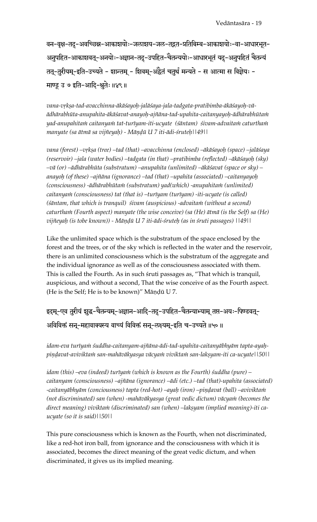वन-वृक्ष-तदु-अवच्छिन्न-आकाशयोः-जलाशय-जल-तद्गत-प्रतिबिम्ब-आकाशयोः-वा-आधारभूत-अनुपहित-आकाशवत्-अनयोः-अज्ञान-तदु-उपहित-चैतन्ययोः-आधारभूतं यदु-अनुपहितं चैतन्यं तत्-तुरीयम्-इति-उच्यते - शान्तम् - शिवम्-अद्वैतं चतुर्थं मन्यते - स आत्मा स विज्ञेयः -माण्डू उ ७ इति-आदि-श्नुतेः ॥४९॥

vana-vṛkṣa-tad-avacchinna-ākāśayoḥ-jalāśaya-jala-tadgata-pratibimba-ākāśayoḥ-vā*ädhärabhüta-anupahita-äkäçavat-anayoù-ajïäna-tad-upahita-caitanyayoù-ädhärabhütaà yad-anupahitaà caitanyaà tat-turéyam-iti-ucyate (çäntam) çivam-advaitaà caturthaà manyate (sa ätmä sa vijïeyaù) - Mäëòü U 7 iti-ädi-çruteù||49||* 

vana (forest) –vṛkṣa (tree) –tad (that) –avacchinna (enclosed) –ākāśayoḥ (space) –jalāśaya *(reservoir) –jala (water bodies) –tadgata (in that) –pratibimba (reflected) –äkäçayoù (sky) –vä (or) –ädhärabhüta (substratum) –anupahita (unlimited) –äkäçavat (space or sky) – anayoù (of these) –ajïäna (ignorance) –tad (that) –upahita (associated) –caitanyayoù (consciousness) -ädhärabhütaà (substratum) yad(which) -anupahitaà (unlimited)*  caitanyam (consciousness) tat (that is) –turīyam (turīyam) -iti-ucyate (is called) (sāntam, that which is tranquil) sivam (auspicious) -advaitam (without a second) caturtham (Fourth aspect) manyate (the wise conceive) (sa (He) ātmā (is the Self) sa (He) *vijïeyaù (is tobe known)) - Mäëòü U 7 iti-ädi-çruteù (as in çruti passages) ||49||*

Like the unlimited space which is the substratum of the space enclosed by the forest and the trees, or of the sky which is reflected in the water and the reservoir, there is an unlimited consciousness which is the substratum of the aggregate and the individual ignorance as well as of the consciousness associated with them. This is called the Fourth. As in such sruti passages as, "That which is tranquil, auspicious, and without a second, That the wise conceive of as the Fourth aspect. (He is the Self; He is to be known)" Māņḍū U 7.

# इदम्-एव तुरीयं शुद्ध-चैतन्यम्-अज्ञान-आदि-तदु-उपहित-चैतन्याभ्याम् तप्त-अयः-पिण्डवत्-अविविक्तं सन्-महावाक्यस्य वाच्यं विविक्तं सन्-लक्ष्यम्-इति च-उच्यते ॥५०॥

idam-eva turīyam śuddha-caitanyam-ajñāna-ādi-tad-upahita-caitanyābhyām tapta-ayaḥ*piëòavat-aviviktaà san-mahäväkyasya väcyaà viviktaà san-lakñyam-iti ca-ucyate||50||* 

*idam (this) –eva (indeed) turīyam (which is known as the Fourth) śuddha (pure) – caitanyam (consciousness) –ajïäna (ignorance) –ädi (etc.) –tad (that)-upahita (associated)*  -caitanyābhyām (conciousness) tapta (red-hot) –ayaḥ (iron) –piṇḍavat (ball) –aviviktam (not discriminated) san (when) -mahāvākyasya (great vedic dictum) vācyam (becomes the direct meaning) viviktam (discriminated) san (when) –lakṣyam (implied meaning)-iti ca*ucyate (so it is said)||50||* 

This pure consciousness which is known as the Fourth, when not discriminated, like a red-hot iron ball, from ignorance and the consciousness with which it is associated, becomes the direct meaning of the great vedic dictum, and when discriminated, it gives us its implied meaning.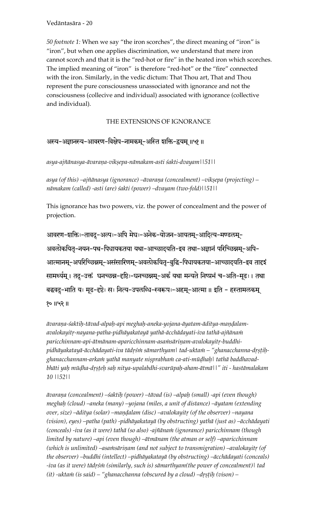*50 footnote 1:* When we say "the iron scorches", the direct meaning of "iron" is "iron", but when one applies discrimination, we understand that mere iron cannot scorch and that it is the "red-hot or fire" in the heated iron which scorches. The implied meaning of "iron" is therefore "red-hot" or the "fire" connected with the iron. Similarly, in the vedic dictum: That Thou art, That and Thou represent the pure consciousness unassociated with ignorance and not the consciousness (collecive and individual) associated with ignorance (collective and individual).

#### THE EXTENSIONS OF IGNORANCE

## अस्य-अज्ञानस्य-आवरण-विक्षेप-नामकम्-अस्ति शक्ति-द्वयम् ॥५१॥

#### *asya-ajïänasya-ävaraëa-vikñepa-nämakam-asti çakti-dvayam||51||*

asya (of this) –ajñānasya (ignorance) –āvaraṇa (concealment) –vikṣepa (projecting) – *nämakam (called) -asti (are) çakti (power) –dvayam (two-fold)||51||* 

This ignorance has two powers, viz. the power of concealment and the power of projection.

आवरण-शक्तिः-तावदु-अल्पः-अपि मेघः-अनेक-योजन-आयतम्-आदित्य-मण्डलम्-अवलोकयित-नयन-पथ-पिधायकतया यथा-आच्छादयति-इव तथा-अज्ञानं परिच्छिन्नम्-अपि-आत्मानम्-अपरिच्छिन्नम्-असंसारिणम्-अवलोकयितृ-बुद्धि-पिधायकतया-आच्छादयति-इव तादृइं सामर्थ्यम् । तदु-उक्तं घनच्छन्न-दृष्टिः-घनच्छन्नम्-अर्कं यथा मन्यते निष्प्रभं च-अति-मूढः । तथा बद्धवदु-भाति यः मृढ-दृष्टेः सः नित्य-उपलब्धि-स्वरूपः-अहम्-आत्मा॥ इति - हस्तामलकम् १० ॥५२ ॥

*ävaraëa-çaktiù-tävad-alpaù-api meghaù-aneka-yojana-äyatam-äditya-maëòalam*avalokayitŗ-nayana-patha-pidhāyakatayā yathā-ācchādayati-iva tathā-ajñāna*in* paricchinnam-api-ātmānam-aparicchinnam-asa*insāriņam-avalokayitr-buddhi*pidhāyakatayā-ācchādayati-iva tādrśm sāmarthyam\ tad-uktam – "ghanacchanna-drstihghanacchannam-arkam yathā manyate nisprabham ca-ati-mūdhah | tathā baddhavad*bhäti yaù müòha-dåñöeù saù nitya-upalabdhi-svarüpaù-aham-ätmä||" iti - hastämalakam 10 ||52||*

 $\bar{a}$ varana (concealment) – saktih (power) –tāvad (is) –alpah (small) -api (even though) *meghaù (cloud) –aneka (many) –yojana (miles, a unit of distance) –äyatam (extending over, size) –āditya (solar) –mandalam (disc) –avalokayitr (of the observer) –nayana (vision), eyes) –patha (path) -pidhäyakatayä (by obstructing) yathä (just as) –äcchädayati (conceals) -iva (as it were) tathā (so also) -ajñānam (ignorance) paricchinnam (though limited by nature) –api (even though) –ätmänam (the atman or self) –aparicchinnam*  (which is unlimited) –asa*insāriņam (and not subject to transmigration*) –avalokayitr (of *the observer) –buddhi (intellect) –pidhäyakatayä (by obstructing) –äcchädayati (conceals)*  -iva (as it were) tādrśm (similarly, such is) sāmarthyam(the power of concealment)| tad *(it)* -uktam *(is said) – "ghanacchanna (obscured by a cloud) –drstih (vison) –*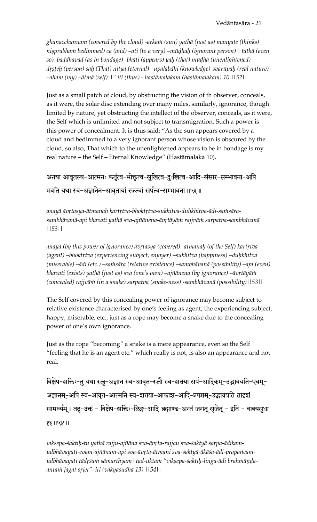*ghanacchannam (covered by the cloud) -arkaà (sun) yathä (just as) manyate (thinks) niñprabhaà bedimmed) ca (and) –ati (to a very) –müòhaù (ignorant person) | tathä (even so) baddhavad (as in bondage) -bhäti (appears) yaù (that) müòha (unenlightened) – dåñöeù (person) saù (That) nitya (eternal) –upalabdhi (knowledge)-svarüpaù (real nature) –aham (my) –ätmä (self)||" iti (thus) - hastämalakam (hastämalakam) 10 ||52||* 

Just as a small patch of cloud, by obstructing the vision of th observer, conceals, as it were, the solar disc extending over many miles, similarly, ignorance, though limited by nature, yet obstructing the intellect of the observer, conceals, as it were, the Self which is unlimited and not subject to transmigration. Such a power is this power of concealment. It is thus said: "As the sun appears covered by a cloud and bedimmed to a very ignorant person whose vision is obscured by the cloud, so also, That which to the unenlightened appears to be in bondage is my real nature – the Self – Eternal Knowledge" (Hastämalaka 10).

# अनया आवृतस्य-आत्मनः कर्तृत्व-भोक्तत्व-सुखित्व-दुःखित्व-आदि-संसार-सम्भावना-अपि भवति यथा स्व-अज्ञानेन-आवृतायां रज्ज्वां सर्पत्व-सम्भावना ॥५३॥

anayā āvrtasya-ātmanah kartrtva-bhoktrtva-sukhitva-duḥkhitva-ādi-samsārasambhāvanā-api bhavati yathā sva-ajñānena-āvṛtāyāṁ rajjvāṁ sarpatva-sambhāvanā *||53||* 

anayā (by this power of ignorance) āvṛtasya (covered) -ātmanaḥ (of the Self) kartṛtva (agent) –bhoktrtva (experiencing subject, enjoyer) –sukhitva (happiness) –duhkhitva (miserable) –ādi (etc.) –sa*insāra (relative existence)* –sambhāvanā (possibility) –api (even) bhavati (exists) yathā (just as) sva (one's own) –ajñānena (by ignorance) –āvṛtāyāṁ *(concealed) rajjväà (in a snake) sarpatva (snake-ness) -sambhävanä (possibility)||53||* 

The Self covered by this concealing power of ignorance may become subject to relative existence characterised by one's feeling as agent, the experiencing subject, happy, miserable, etc., just as a rope may become a snake due to the concealing power of one's own ignorance.

Just as the rope "becoming" a snake is a mere appearance, even so the Self "feeling that he is an agent etc." which really is not, is also an appearance and not real.

विक्षेप-शक्तिः-तु यथा रज्जु-अज्ञान स्व-आवृत-रज्जौ स्व-शक्त्या सर्प-आदिकम्-उद्भावयति-एवम्-अज्ञानम्-अपि स्व-आवृत-आत्मनि स्व-शक्त्या-आकाश-आदि-प्रपञ्चम्-उद्भावयति तादृशं सामर्थ्यम् । तदु-उक्तं - विक्षेप-शक्तिः-लिङ्ग-आदि् ब्रह्माण्ड-अन्तं जगत् सृजेत् - इति - वाक्यसुधा 11.58

vikṣepa-śaktiḥ-tu yathā rajju-ajñāna sva-āvṛta-rajjau sva-śaktyā sarpa-ādikamudbhāvayati-evam-ajñānam-api sva-āvrta-ātmani sva-śaktyā-ākāśa-ādi-prapañcamudbhāvayati tādrśam sāmarthyam| tad-uktam "vikṣepa-śaktiḥ-linga-ādi brahmāṇḍa*antaà jagat såjet" iti (väkyasudhä 13) ||54||*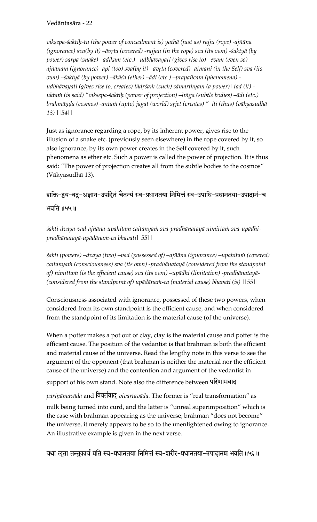*vikñepa-çaktiù-tu (the power of concealment is) yathä (just as) rajju (rope) -ajïäna (ignorance) sva*(by it) –āvrta (covered) -rajjau (in the rope) sva (its own) -śaktyā (by *power) sarpa (snake) –ädikam (etc.) –udbhävayati (gives rise to) –evam (even so) –* ajñānam (ignorance) -api (too) sva(by it) –āvrta (covered) -ātmani (in the Self) sva (its *own) –çaktyä (by power) –äkäça (ether) –ädi (etc.) –prapaïcam (phenomena) udbhävayati (gives rise to, creates) tädåçaà (such) sämarthyam (a power)| tad (it)*  uktam (is said) "vikṣepa-śaktiḥ (power of projection) –linga (subtle bodies) –ādi (etc.) brahmāņḍa (cosmos) -antam (upto) jagat (world) srjet (creates) " iti (thus) (vākyasudhā *13) ||54||*

Just as ignorance regarding a rope, by its inherent power, gives rise to the illusion of a snake etc. (previously seen elsewhere) in the rope covered by it, so also ignorance, by its own power creates in the Self covered by it, such phenomena as ether etc. Such a power is called the power of projection. It is thus said: "The power of projection creates all from the subtle bodies to the cosmos" (Väkyasudhä 13).

## zाक्ति-द्वय-वदु-अज्ञान-उपहितं चेतन्यं स्व-प्रधानतया निमित्तं स्व-उपाधि-प्रधानतया-उपादानं-च

भवति ॥५५॥

śakti-dvaya-vad-ajñāna-upahitam caitanyam sva-pradhānatayā nimittam sva-upādhi*pradhänatayä-upädänaà-ca bhavati||55||* 

śakti (powers) –dvaya (two) –vad (possessed of) –ajñāna (ignorance) –upahitam (covered) caitanyam (consciousness) sva (its own) -pradhānatayā (considered from the standpoint *of) nimittaà (is the efficient cause) sva (its own) –upädhi (limitation) -pradhänatayä- (considered from the standpoint of) upādānam-ca (material cause) bhavati (is)*  $|155|$ 

Consciousness associated with ignorance, possessed of these two powers, when considered from its own standpoint is the efficient cause, and when considered from the standpoint of its limitation is the material cause (of the universe).

When a potter makes a pot out of clay, clay is the material cause and potter is the efficient cause. The position of the vedantist is that brahman is both the efficient and material cause of the universe. Read the lengthy note in this verse to see the argument of the opponent (that brahman is neither the material nor the efficient cause of the universe) and the contention and argument of the vedantist in support of his own stand. Note also the difference between परिणामवाद

*pariṇāmavāda* and विवर्तवाद् *vivartavāda*. The former is "real transformation" as milk being turned into curd, and the latter is "unreal superimposition" which is the case with brahman appearing as the universe; brahman "does not become" the universe, it merely appears to be so to the unenlightened owing to ignorance. An illustrative example is given in the next verse.

यथा ऌूता तन्तुकार्यं प्रति स्व-प्रधानतया निमित्तं स्व-इारीर-प्रधानतया-उपादानञ्च भवति ॥५६ ॥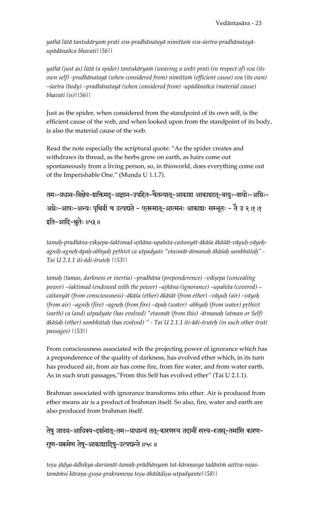yathā lūtā tantukāryaṁ prati sva-pradhānatayā nimittaṁ sva-śarīra-pradhānatayā*upädänaïca bhavati||56||* 

*yathä (just as) lütä (a spider) tantukäryaà (weaving a web) prati (in respect of) sva (its own self) -pradhänatayä (when considered from) nimittaà (efficient cause) sva (its own) –çaréra (body) –pradhänatayä (when considered from) -upädänaïca (material cause) bhavati (is)||56||* 

Just as the spider, when considered from the standpoint of its own self, is the efficient cause of the web, and when looked upon from the standpoint of its body, is also the material cause of the web.

Read the note especially the scriptural quote: "As the spider creates and withdraws its thread, as the herbs grow on earth, as hairs come out spontaneously from a living person, so, in thisworld, does everything come out of the Imperishable One." (Munda U 1.1.7).

तमः-प्रधान-विक्षेप-शक्तिमदु-अज्ञान-उपहित-चैतन्यात्-आकाश आकाशात्-वायुः-वायोः-अग्निः-अम्नेः-आपः-अभ्यः पृथिवी च उत्पद्यते - एतस्मात्-आत्मनः आकाशः सम्भूतः - तै उ २।१।१  $\frac{1}{36}$ दति-आदि-श्रुतेः ॥५३॥

tamaḥ-pradhāna-vikṣepa-śaktimad-ajñāna-upahita-caitanyāt-ākāśa ākāśāt-vāyuḥ-vāyoḥ*agniù-agneù-äpaù-abhyaù påthivé ca utpadyate "etasmät-ätmanaù äkäçaù sambhütaù" - Tai U 2.1.1 iti-ädi-çruteù ||53||* 

tamah (tamas, darkness or inertia) –pradhāna (preponderence) –vikṣepa (concealing *power) –çaktimad (endowed with the power) –ajïäna (ignorance) –upahita (covered) – caitanyät (from consciousness) -äkäça (ether) äkäçät (from ether) –väyuù (air) –väyoù (from air) –agnih (fire) –agneh (from fire) –āpah (water) -abhyah (from water) prthivī (earth) ca (and) utpadyate (has evolved) "etasmät (from this) -ätmanaù (atman or Self) äkäçaù (ether) sambhütaù (has evolved) " - Tai U 2.1.1 iti-ädi-çruteù (in such other çruti passages) ||53||* 

From consciousness associated wih the projecting power of ignorance which has a preponderence of the quality of darkness, has evolved ether which, in its turn has produced air, from air has come fire, from fire water, and from water earth. As in such śruti passages,"From this Self has evolved ether" (Tai U 2.1.1).

Brahman associated with ignorance transforms into ether. Air is produced from ether means air is a product of brahman itself. So also, fire, water and earth are also produced from brahman itself.

तेषु जाड्य-आधिक्य-दर्शनात्-तमः-प्राधान्यं तत्-कारणस्य तदानीं सत्त्व-रजस्-तमांसि कारण-गुण-प्रक्रमेण तेषु-आकाशादिषु-उत्पद्यन्ते ॥५८॥

teșu jādya-ādhikya-darśanāt-tamaḥ-prādhānyaṁ tat-kāraṇasya tadānīṁ sattva-rajas*tamäàsi käraëa-guëa-prakrameëa teñu-äkäçädiñu-utpadyante||58||*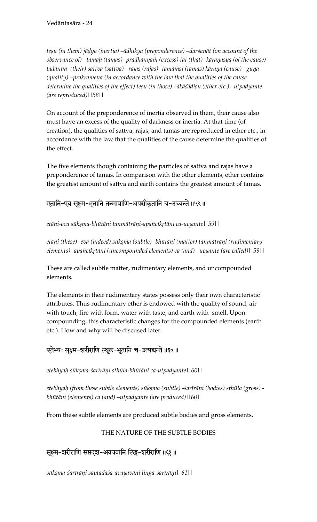teșu (in them) jādya (inertia) –ādhikya (preponderence) –darśanāt (on account of the *observance of) –tamah (tamas) -prādhānya* $\dot{m}$  *(excess) tat (that) -kāranasya (of the cause)* tadānīm (their) sattva (sattva) –rajas (rajas) -tamāmsi (tamas) kāraņa (cause) –guņa (quality) –prakrameņa (in accordance with the law that the qualities of the cause determine the qualities of the effect) teșu (in those) –ākāśādișu (ether etc.) –utpadyante *(are reproduced)||58||* 

On account of the preponderence of inertia observed in them, their cause also must have an excess of the quality of darkness or inertia. At that time (of creation), the qualities of sattva, rajas, and tamas are reproduced in ether etc., in accordance with the law that the qualities of the cause determine the qualities of the effect.

The five elements though containing the particles of sattva and rajas have a preponderence of tamas. In comparison with the other elements, ether contains the greatest amount of sattva and earth contains the greatest amount of tamas.

## एतानि-एव सूक्ष्म-भूतानि तन्मात्राणि-अपञ्चीकृतानि च-उच्यन्ते ॥५९॥

*etäni-eva sükñma-bhütäni tanmäträëi-apaïcékåtäni ca-ucyante||59||* 

etāni (these) -eva (indeed) sūkṣma (subtle) -bhūtāni (matter) tanmātrāṇi (rudimentary *elements) -apaïcékåtäni (uncompounded elements) ca (and) –ucyante (are called)||59||* 

These are called subtle matter, rudimentary elements, and uncompounded elements.

The elements in their rudimentary states possess only their own characteristic attributes. Thus rudimentary ether is endowed with the quality of sound, air with touch, fire with form, water with taste, and earth with smell. Upon compounding, this characteristic changes for the compounded elements (earth etc.). How and why will be discused later.

## एतेभ्यः सूक्ष्म-शरीराणि स्थूल-भूतानि च-उत्पद्यन्ते ॥६०॥

*etebhyaù sükñma-çaréräëi sthüla-bhütäni ca-utpadyante||60||* 

etebhyaḥ (from these subtle elements) sūkṣma (subtle) -śarīrāṇi (bodies) sthūla (gross) *bhütäni (elements) ca (and) –utpadyante (are produced)||60||* 

From these subtle elements are produced subtle bodies and gross elements.

## THE NATURE OF THE SUBTLE BODIES

सूक्ष्म-शरीराणि सप्तदश-अवयवानि लिङ्ग-शरीराणि ॥६१ ॥

*sükñma-çaréräëi saptadaça-avayaväni liìga-çaréräëi||61||*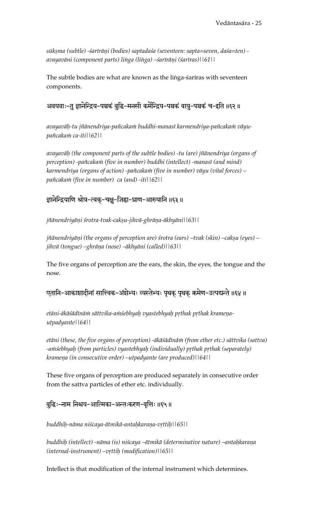*sükñma (subtle) -çaréräëi (bodies) saptadaça (seventeen: sapta=seven, daça=ten) avayaväni (component parts) liìga (liìga) –çaréräëi (çaréras)||61||* 

The subtle bodies are what are known as the linga-sariras with seventeen components.

## अवयवाः-तु ज्ञानेन्द्रिय-पञ्चकं बुद्धि-मनसी कर्मेन्द्रिय-पञ्चकं वायु-पञ्चकं च-इति ॥६२ ॥

avayavāh-tu jñānendriya-pañcakam buddhi-manasī karmendriya-pañcakam vāyu*païcakaà ca-iti||62||* 

*avayaväù (the component parts of the subtle bodies) -tu (are) jïänendriya (organs of*  perception) -pañcakam (five in number) buddhi (intellect) -manasī (and mind) *karmendriya (organs of action) -païcakaà (five in number) väyu (vital forces) – païcakaà (five in number) ca (and) -iti||62||*

## ज्ञानेन्द्रियाणि श्रोत्र-त्वक्-चक्षु-जिह्वा-घ्राण-आख्यानि ॥६३॥

*jïänendriyäëi çrotra-tvak-cakñu-jihvä-ghräëa-äkhyäni||63||* 

*jñānendriyāņi (the organs of perception are) śrotra (ears) –tvak (skin) –cakșu (eyes) – jihvä (tongue) –ghräëa (nose) –äkhyäni (called)||63||* 

The five organs of perception are the ears, the skin, the eyes, the tongue and the nose.

एतानि-आकाशादीनां सात्त्विक-अंशेभ्यः व्यस्तेभ्यः पृथक् पृथक् क्रमेण-उत्पद्यन्ते ॥६४॥

etāni-ākāśādīnām sāttvika-amśebhyah vyastebhyah prthak prthak krameņa*utpadyante||64||* 

etāni (these, the five organs of perception) -ākāśādīnām (from ether etc.) sāttvika (sattva) -a $m$ sebhyah (from particles) vyastebhyah (individually) prthak prthak (separately) *krameëa (in consecutive order) –utpadyante (are produced)||64||* 

These five organs of perception are produced separately in consecutive order from the sattva particles of ether etc. individually.

## बुद्धिः-नाम निश्चय-आत्मिका-अन्तःकरण-वृत्तिः ॥६५॥

*buddhiù-näma niçcaya-ätmikä-antaùkaraëa-våttiù||65||* 

buddhih (intellect) -nāma (is) niścaya –ātmikā (determinative nature) –antaḥkaraṇa *(internal-instrument) –våttiù (modification)||65||* 

Intellect is that modification of the internal instrument which determines.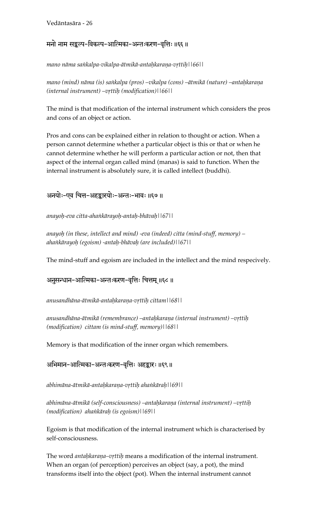### मनो नाम सङ्कल्प-विकल्प-आत्मिका-अन्तःकरण-वृत्तिः॥६६॥

*mano näma saìkalpa-vikalpa-ätmikä-antaùkaraëa-våttiù||66||* 

mano (mind) nāma (is) saṅkalpa (pros) –vikalpa (cons) –ātmikā (nature) –antaḥkaraṇa *(internal instrument) –våttiù (modification)||66||* 

The mind is that modification of the internal instrument which considers the pros and cons of an object or action.

Pros and cons can be explained either in relation to thought or action. When a person cannot determine whether a particular object is this or that or when he cannot determine whether he will perform a particular action or not, then that aspect of the internal organ called mind (manas) is said to function. When the internal instrument is absolutely sure, it is called intellect (buddhi).

## अनयोः-एव चित्त-अहङ्कारयोः-अन्तः-भावः ॥६७॥

*anayoù-eva citta-ahaìkärayoù-antaù-bhävaù||67||* 

*anayoù (in these, intellect and mind) -eva (indeed) citta (mind-stuff, memory) – ahaìkärayoù (egoism) -antaù-bhävaù (are included)||67||* 

The mind-stuff and egoism are included in the intellect and the mind respecively.

अनुसन्धान-आत्मिका-अन्तःकरण-वृत्तिः चित्तम् ॥६८ ॥

*anusandhäna-ätmikä-antaùkaraëa-våttiù cittam||68||* 

anusandhāna-ātmikā (remembrance) –antaḥkaraṇa (internal instrument) –vṛttiḥ *(modification) cittam (is mind-stuff, memory)||68||* 

Memory is that modification of the inner organ which remembers.

अभिमान-आत्मिका-अन्तःकरण-वृत्तिः अहङ्कारः ॥६९॥

*abhimäna-ätmikä-antaùkaraëa-våttiù ahaìkäraù||69||* 

abhimāna-ātmikā (self-consciousness) –antahkaraņa (internal instrument) –vṛttiḥ *(modification) ahaìkäraù (is egoism)||69||*

Egoism is that modification of the internal instrument which is characterised by self-consciousness.

The word *antahkarana–vrttih* means a modification of the internal instrument. When an organ (of perception) perceives an object (say, a pot), the mind transforms itself into the object (pot). When the internal instrument cannot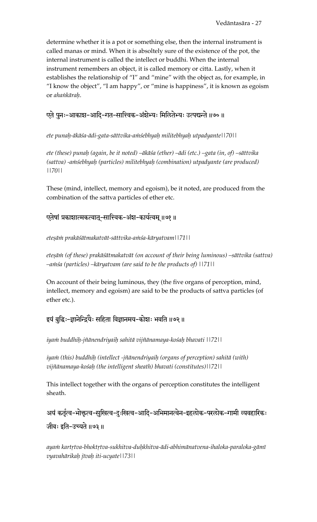determine whether it is a pot or something else, then the internal instrument is called manas or mind. When it is absoltely sure of the existence of the pot, the internal instrument is called the intellect or buddhi. When the internal instrument remembers an object, it is called memory or citta. Lastly, when it establishes the relationship of "I" and "mine" with the object as, for example, in "I know the object", "I am happy", or "mine is happiness", it is known as egoism or *ahaìkäraù*.

## एते पुनः-आकाश-आदि-गत-सात्त्विक-अंशेभ्यः मिलितेभ्यः उत्पद्यन्ते ॥७०॥

*ete punaù-äkäça-ädi-gata-sättvika-aàçebhyaù militebhyaù utpadyante||70||* 

*ete (these) punaù (again, be it noted) –äkäça (ether) –ädi (etc.) –gata (in, of) –sättvika*  (sattva) -amśebhyah (particles) militebhyah (combination) utpadyante (are produced) *||70||* 

These (mind, intellect, memory and egoism), be it noted, are produced from the combination of the sattva particles of ether etc.

## एतेषां प्रकाशात्मकत्वात्-सात्त्विक-अंश-कार्यत्वम् ॥७१॥

*eteñäà prakäçätmakatvät-sättvika-aàça-käryatvam||71||*

*eteñäà (of these) prakäçätmakatvät (on account of their being luminous) –sättvika (sattva)*   $-\alpha$ *nisa (particles) –kāryatvam (are said to be the products of)*  $||71||$ 

On account of their being luminous, they (the five organs of perception, mind, intellect, memory and egoism) are said to be the products of sattva particles (of ether etc.).

## इयं बुद्धिः-ज्ञानेन्द्रियैः सहिता विज्ञानमय-कोशः भवति ॥७२॥

*iyaà buddhiù-jïänendriyaiù sahitä vijïänamaya-koçaù bhavati ||72||* 

iyam (this) buddhih (intellect -jñānendriyaiḥ (organs of perception) sahitā (with) *vijïänamaya-koçaù (the intelligent sheath) bhavati (constitutes)||72||* 

This intellect together with the organs of perception constitutes the intelligent sheath.

अयं कर्तृत्व-भोक्तृत्व-सुखित्व-दुःखित्व-आदि-अभिमानत्वेन-इहलोक-परलोक-गामी व्यवहारिकः जीवः इति-उच्यते ॥७३॥

ayan kartrtva-bhoktrtva-sukhitva-duḥkhitva-ādi-abhimānatvena-ihaloka-paraloka-gāmī *vyavahärikaù jévaù iti-ucyate||73||*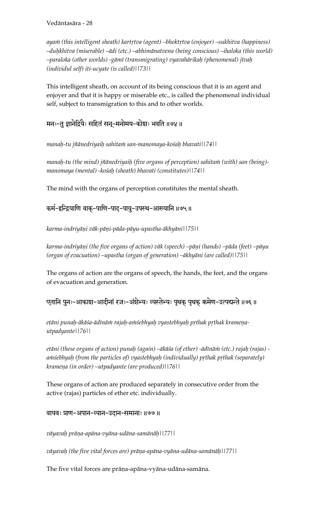ayann (this intelligent sheath) kartrtva (agent) –bhoktrtva (enjoyer) –sukhitva (happiness) *–duùkhitva (miserable) –ädi (etc.) –abhimänatvena (being conscious) –ihaloka (this world) –paraloka (other worlds) -gämé (transmigrating) vyavahärikaù (phenomenal) jévaù (individul self) iti-ucyate (is called)||73||* 

This intelligent sheath, on account of its being conscious that it is an agent and enjoyer and that it is happy or miserable etc., is called the phenomenal individual self, subject to transmigration to this and to other worlds.

## मनः-तु ज्ञानेद्रियैः सहितं सन्-मनोमय-कोशः भवति ॥७४॥

*manaù-tu jïänedriyaiù sahitaà san-manomaya-koçaù bhavati||74||* 

manah-tu (the mind) jñānedriyaih (five organs of perception) sahitam (with) san (being)*manomaya (mental) -koçaù (sheath) bhavati (constitutes)||74||* 

The mind with the organs of perception constitutes the mental sheath.

## कर्म-इन्द्रियाणि वाक्-पाणि-पाद्-पायु-उपस्थ-आख्यानि ॥७५॥

*karma-indriyäëi väk-päëi-päda-päyu-upastha-äkhyäni||75||* 

*karma-indriyäëi (the five organs of action) väk (speech) –päëi (hands) –päda (feet) –päyu (organ of evacuation) –upastha (organ of generation) –äkhyäni (are called)||75||* 

The organs of action are the organs of speech, the hands, the feet, and the organs of evacuation and generation.

एतानि पुनः-आकाश-आदीनां रजः-अंशेभ्यः व्यस्तेभ्यः पृथक् पृथक् क्रमेण-उत्पद्यन्ते ॥७६॥

etāni puna*ḥ-ākāśa-ādīnām rajaḥ-amśebhyaḥ vyastebhyaḥ prthak prthak krameṇautpadyante||76||* 

*etäni (these organs of action) punaù (again) –äkäça (of ether) -ädénäà (etc.) rajaù (rajas)*  a*insebhyah (from the particles of) vyastebhyah (individually) prthak prthak (separately) krameëa (in order) –utpadyante (are produced)||76||* 

These organs of action are produced separately in consecutive order from the active (rajas) particles of ether etc. individually.

#### वायवः प्राण-अपान-व्यान-उदान-समानाः ॥७७ ॥

*väyavaù präëa-apäna-vyäna-udäna-samänäù||77||*

*väyavaù (the five vital forces are) präëa-apäna-vyäna-udäna-samänäù||77||* 

The five vital forces are prāņa-apāna-vyāna-udāna-samāna.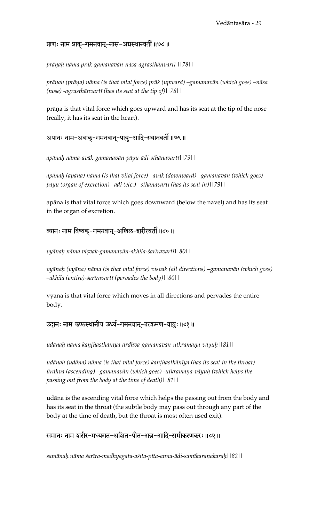## प्राणः नाम प्राक्-गमनवान्-नास-अग्रस्थान्वर्ती ॥७८ ॥

*präëaù näma präk-gamanavän-näsa-agrasthänvarté ||78||* 

prāņaḥ (prāņa) nāma (is that vital force) prāk (upward) –gamanavān (which goes) –nāsa *(nose) -agrasthänvarté (has its seat at the tip of)||78||* 

prāņa is that vital force which goes upward and has its seat at the tip of the nose (really, it has its seat in the heart).

## अपानः नाम-अवाक्-गमनवान्-पायु-आदि-स्थानवर्ती ॥७९॥

*apänaù näma-aväk-gamanavän-päyu-ädi-sthänavarté||79||* 

*apänaù (apäna) näma (is that vital force) –aväk (downward) –gamanavän (which goes) – päyu (organ of excretion) –ädi (etc.) –sthänavarté (has its seat in)||79||* 

apäna is that vital force which goes downward (below the navel) and has its seat in the organ of excretion.

## व्यानः नाम विष्वक्-गमनवान्-अखिल-शरीरवर्ती ॥८०॥

*vyänaù näma viñvak-gamanavän-akhila-çaréravarté||80||* 

vyānaḥ (vyāna) nāma (is that vital force) viṣvak (all directions) –gamanavān (which goes) *–akhila (entire)-çaréravarté (pervades the body)||80||* 

vyäna is that vital force which moves in all directions and pervades the entire body.

#### उदानः नाम कण्ठस्थानीय ऊर्ध्व-गमनवान्-उत्क्रमण-वायुः॥८१॥

udānaḥ nāma kaṇṭhasthānīya ūrdhva-gamanavān-utkramaṇa-vāyuḥ||81||

udānaḥ (udāna) nāma (is that vital force) kaṇṭhasthānīya (has its seat in the throat)  $\bar{u}$ rdhva (ascending) –gamanavān (which goes) -utkramaṇa-vāyuḥ (which helps the *passing out from the body at the time of death)||81||* 

udäna is the ascending vital force which helps the passing out from the body and has its seat in the throat (the subtle body may pass out through any part of the body at the time of death, but the throat is most often used exit).

## समानः नाम शरीर-मध्यगत-अशित-पीत-अन्न-आदि-समीकरणकरः॥८२॥

*samänaù näma çaréra-madhyagata-açita-péta-anna-ädi-samékaraëakaraù||82||*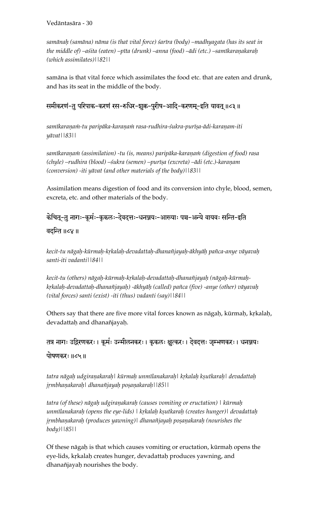samānaḥ (samāna) nāma (is that vital force) śarīra (body) –madhyagata (has its seat in the middle of) –aśita (eaten) –pīta (drunk) –anna (food) –ādi (etc.) –samīkaranakarah *(which assimilates)||82||* 

samäna is that vital force which assimilates the food etc. that are eaten and drunk, and has its seat in the middle of the body.

## समीकरणं-तु परिपाक-करणं रस-रुधिर-शुक्र-पुरीष-आदि-करणम्-इति यावत् ॥८३॥

samīkaraņam-tu paripāka-karaņam rasa-rudhira-śukra-purīṣa-ādi-karaṇam-iti *yävat||83||* 

samīkaraņam (assimilation) -tu (is, means) paripāka-karaņam (digestion of food) rasa (chyle) –rudhira (blood) –*śukra (semen) –purī*ṣa (excreta) –ādi (etc.)-karaṇam *(conversion) -iti yävat (and other materials of the body)||83||*

Assimilation means digestion of food and its conversion into chyle, blood, semen, excreta, etc. and other materials of the body.

## .<br>केचित्-त नागः-कर्मः-क्रकलः-देवदत्तः-धनञ्जयः-आख्याः पञ्च-अन्ये वायवः सन्ति-इति

वदन्ति ॥८४ ॥

*kecit-tu nägaù-kürmaù-kåkalaù-devadattaù-dhanaïjayaù-äkhyäù païca-anye väyavaù santi-iti vadanti||84||*

kecit-tu (others) nāgaḥ-kūrmaḥ-kṛkalaḥ-devadattaḥ-dhanañjayaḥ (nāgaḥ-kūrmaḥ*kåkalaù-devadattaù-dhanaïjayaù) -äkhyäù (called) païca (five) -anye (other) väyavaù (vital forces) santi (exist) -iti (thus) vadanti (say)||84||* 

Others say that there are five more vital forces known as nāgaḥ, kūrmaḥ, kṛkalaḥ, devadattaḥ and dhanañjayaḥ.

तत्र नागः उद्गिरणकरः। कूर्मः उन्मीलनकरः। कुकलः क्षुत्करः। देवदत्तः जुम्भणकरः। धनञ्जयः पोषणकरः ॥८५॥

*tatra nägaù udgiraëakaraù| kürmaù unmélanakaraù| kåkalaù kñutkaraù| devadattaù jåmbhaëakaraù| dhanaïjayaù poñaëakaraù||85||* 

*tatra (of these) nägaù udgiraëakaraù (causes vomiting or eructation) | kürmaù unmélanakaraù (opens the eye-lids) | kåkalaù kñutkaraù (creates hunger)| devadattaù*  jrmbhanakarah (produces yawning)| dhanañjayah poṣaṇakarah (nourishes the *body)||85||* 

Of these nāgaḥ is that which causes vomiting or eructation, kūrmaḥ opens the eye-lids, krkalah creates hunger, devadattah produces yawning, and dhanañjayaḥ nourishes the body.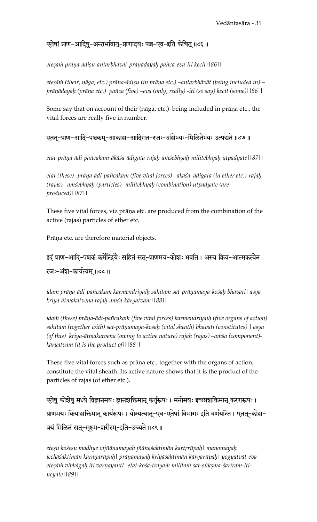## एतेषां प्राण-आदिषु-अन्तर्भावात्-प्राणादयः पञ्च-एव-इति केचित् ॥८६॥

*eteñäà präëa-ädiñu-antarbhävät-präëädayaù païca-eva-iti kecit||86||* 

eteșām (their, nāga, etc.) prāņa-ādișu (in prāņa etc.) –antarbhāvāt (being included in) – prāņādayaḥ (prāṇa etc.) pañca (five) –eva (only, really) -iti (so say) kecit (some)||86||

Some say that on account of their (nāga, etc.) being included in prāņa etc., the vital forces are really five in number.

## एतत्-प्राण-आदि-पञ्चकम्-आकाश-आदिगत-रजः-अंशेभ्यः-मिलितेभ्यः उत्पद्यते ॥८७॥

*etat-präëa-ädi-païcakam-äkäça-ädigata-rajaù-aàçebhyaù-militebhyaù utpadyate||87||* 

etat (these) -prāņa-ādi-pañcakam (five vital forces) –ākāśa–ādigata (in ether etc.)-rajaḥ *(rajas) –aàçebhyaù (particles) -militebhyaù (combination) utpadyate (are produced)||87||* 

These five vital forces, viz prāņa etc. are produced from the combination of the active (rajas) particles of ether etc.

Prāņa etc. are therefore material objects.

# इदं प्राण-आदि-पञ्चकं कर्मेन्द्रियैः सहितं सतु-प्राणमय-कोशः भवति । अस्य क्रिय-आत्मकत्वेन रजः-अंश-कार्यत्वम् ॥८८॥

idam prāņa-ādi-pañcakam karmendriyaih sahitam sat-prāņamaya-kośah bhavati| asya *kriya-ätmakatvena rajaù-aàça-käryatvam||88||* 

*idam (these) prāņa-ādi-pañcakam (five vital forces) karmendriyaih (five organs of action)* sahitam (together with) sat-prāṇamaya-kośaḥ (vital sheath) bhavati (constitutes) | asya *(of this) kriya-ātmakatvena (owing to active nature) rajah (rajas) –amśa (component)käryatvam (it is the product of)||88||* 

These five vital forces such as prāņa etc., together with the organs of action, constitute the vital sheath. Its active nature shows that it is the product of the particles of rajas (of ether etc.).

एतेषु कोशेषु मध्ये विज्ञानमयः ज्ञानशक्तिमान् कर्तृरूपः । मनोमयः इच्छाशक्तिमान् करणरूपः । प्राणमयः क्रियाशक्तिमान् कार्यरूपः । योग्यत्वात्-एव-एतेषां विभागः इति वर्णयन्ति । एतत्-कोश-त्रयं मिलितं सत्-सूक्ष्म-शरीरम्-इति-उच्यते ॥८९॥

*eteñu koçeñu madhye vijïänamayaù jïänaçaktimän kartårüpaù| manomayaù*  icchāśaktimān karaņarūpaḥ| prāṇamayaḥ kriyāśaktimān kāryarūpaḥ| yogyatvāt-evaeteșām vibhāgaḥ iti varṇayanti| etat-kośa-trayam militam sat-sūkṣma-śarīram-iti*ucyate||89||*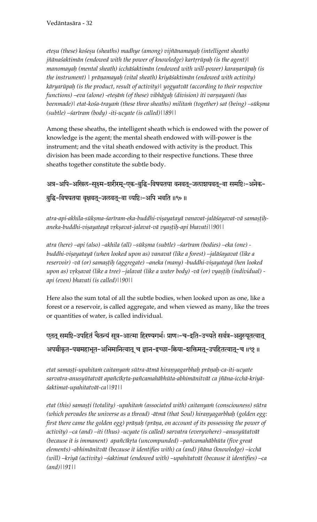*eteñu (these) koçeñu (sheaths) madhye (among) vijïänamayaù (intelligent sheath) jñānaśaktimān (endowed with the power of knowledge) kartrrūpaḥ (is the agent)*| manomayah (mental sheath) icchāśaktimān (endowed with will-power) karanarūpah (is *the instrument) | präëamayaù (vital sheath) kriyäçaktimän (endowed with activity) käryarüpaù (is the product, result of activity)| yogyatvät (according to their respective functions) –eva (alone) -eteșām (of these) vibhāgaḥ (division) iti varṇayanti (has* beenmade)| etat-kośa-traya*in* (these three sheaths) milita*in* (together) sat (being) –sūkṣma *(subtle) –çaréram (body) -iti-ucyate (is called)||89||*

Among these sheaths, the intelligent sheath which is endowed with the power of knowledge is the agent; the mental sheath endowed with will-power is the instrument; and the vital sheath endowed with activity is the product. This division has been made according to their respective functions. These three sheaths together constitute the subtle body.

अत्र-अपि-अखिल-सूक्ष्म-शरीरम्-एक-बुद्धि-विषयतया वनवत्-जलाशयवत्-वा समष्टिः-अनेक-बुद्धि-विषयतया वृक्षवत्-जलवत्-वा व्यष्टिः-अपि भवति ॥९०॥

atra-api-akhila-sūkṣma-śarīram-eka-buddhi-viṣayatayā vanavat-jalāśayavat-vā samaṣṭiḥ*aneka-buddhi-viñayatayä våkñavat-jalavat-vä vyañöiù-api bhavati||90||* 

*atra (here) –api (also) –akhila (all) –sükñma (subtle) –çaréram (bodies) –eka (one)*  buddhi-viṣayatayā (when looked upon as) vanavat (like a forest) –jalāśayavat (like a reservoir) -vā (or) samastih (aggregate) –aneka (many) -buddhi-viṣayatayā (hen looked *upon as) vṛkṣavat (like a tree) –jalavat (like a water body) -vā (or) vyaṣṭiḥ (individual) api (even) bhavati (is called)||90||* 

Here also the sum total of all the subtle bodies, when looked upon as one, like a forest or a reservoir, is called aggregate, and when viewed as many, like the trees or quantities of water, is called individual.

एतत् समष्टि-उपहितं चैतन्यं सूत्र-आत्मा हिरण्यगर्भः प्राणः-च-इति-उच्यते सर्वत्र-अनुस्यूतत्वात् अपञ्चीकृत-पञ्चमहाभूत-अभिमानित्वात् च ज्ञान-इच्छा-क्रिया-शक्तिमत्-उपहितत्वात्-च ॥९१॥

etat samașți-upahitam caitanyam sūtra-ātmā hiranyagarbhah prāņah-ca-iti-ucyate sarvatra-anusyūtatvāt apañcīkṛta-pañcamahābhūta-abhimānitvāt ca jñāna-icchā-kriyā*çaktimat-upahitatvät-ca||91||* 

*etat (this) samasti (totality) -upahitam (associated with) caitanyam (consciouness) sūtra* (which pervades the universe as a thread) -ātmā (that Soul) hiraņyagarbhaḥ (golden egg: *first there came the golden egg) prāṇaḥ (prāṇa, on account of its possessing the power of activity) –ca (and) –iti (thus) -ucyate (is called) sarvatra (everywhere) –anusyütatvät*  (because it is immanent) apañcīk*rta (uncompunded) –pañcamahābhūta (five great elements) -abhimänitvät (because it identifies with) ca (and) jïäna (knowledge) –icchä (will) –kriyä (activity) –çaktimat (endowed with) –upahitatvät (because it identifies) –ca (and)||91||*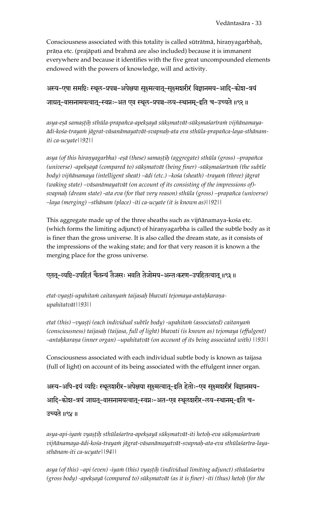Consciousness associated with this totality is called sūtrātmā, hiraņyagarbhaḥ, prāņa etc. (prajāpati and brahmā are also included) because it is immanent everywhere and because it identifies with the five great uncompounded elements endowed with the powers of knowledge, will and activity.

अस्य-एषा समष्टिः स्थूल-प्रपञ्च-अपेक्षया सूक्ष्मत्वात्-सूक्ष्मशरीरं विज्ञानमय-आदि-कोश-त्रयं जाग्रत्-वासनामयत्वात्-स्वप्नः-अत एव स्थूल-प्रपञ्च-लय-स्थानम्-इति च-उच्यते ॥९२॥

asya-eşā samaştih sthūla-prapañca-apekṣayā sūkṣmatvāt-sūkṣmaśarīraṁ vijñānamaya*ädi-koça-trayaà jägrat-väsanämayatvät-svapnaù-ata eva sthüla-prapaïca-laya-sthänamiti ca-ucyate||92||* 

asya (of this hiranyagarbha) -eṣā (these) samaṣṭiḥ (aggregate) sthūla (gross) –prapañca *(universe) -apekṣayā (compared to) sūkṣmatvāt (being finer) -sūkṣmaśarīraṅn (the subtle* body) vijñānamaya (intelligent sheat) –ādi (etc.) –kośa (sheath) -trayaṁ (three) jāgrat *(waking state) –väsanämayatvät (on account of its consisting of the impressions of) svapnaù (dream state) -ata eva (for that very reason) sthüla (gross) –prapaïca (universe) –laya (merging) –sthänam (place) -iti ca-ucyate (it is known as)||92||* 

This aggregate made up of the three sheaths such as vijñānamaya-kośa etc. (which forms the limiting adjunct) of hiranyagarbha is called the subtle body as it is finer than the gross universe. It is also called the dream state, as it consists of the impressions of the waking state; and for that very reason it is known a the merging place for the gross universe.

## एतत्-व्यष्टि-उपहितं चैतन्यं तैजसः भवति तेजोमय-अन्तःकरण-उपहितत्वात् ॥९३॥

etat-vyasti-upahitam caitanyam taijasah bhavati tejomaya-antahkarana*upahitatvät||93||* 

etat (this) –vyașți (each individual subtle body) -upahitam (associated) caitanyam *(consciousness) taijasaù (taijasa, full of light) bhavati (is known as) tejomaya (effulgent) –antaùkaraëa (inner organ) –upahitatvät (on account of its being associated with) ||93||* 

Consciousness associated with each individual subtle body is known as taijasa (full of light) on account of its being associated with the effulgent inner organ.

अस्य-अपि-इयं व्यष्टिः स्थूलशरीर-अपेक्षया सुक्ष्मत्वात्-इति हेतोः-एव सुक्ष्मशरीरं विज्ञानमय-आदि-कोश-त्रयं जाग्रत्-वासनामयत्वात्-स्वप्नः-अत-एव स्थूलशरीर-लय-स्थानम्-इति च-उच्यते ॥९४ ॥

asya-api-iya $m$  vyaştih sthūlasarīra-apekṣayā sūkṣmatvāt-iti hetoḥ-eva sūkṣmaśarīra $\dot{m}$ vijñānamaya-ādi-kośa-trayaṁ jāgrat-vāsanāmayatvāt-svapnaḥ-ata-eva sthūlaśarīra-laya*sthänam-iti ca-ucyate||94||* 

asya (of this) –api (even) -iyam (this) vyastih (individual limiting adjunct) sthūlasarīra (gross body) -apekṣayā (compared to) sūkṣmatvāt (as it is finer) -iti (thus) hetoh (for the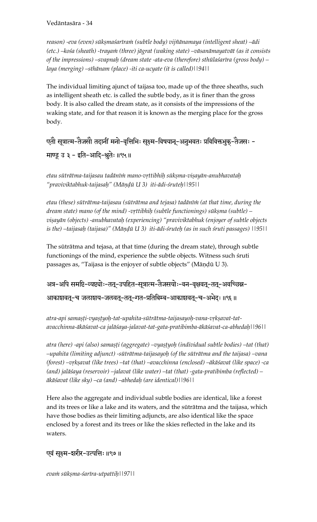reason) -eva (even) sūkṣmaśarīraṁ (subtle body) vijñānamaya (intelligent sheat) –ādi (etc.) –kośa (sheath) -trayam (three) jāgrat (waking state) –vāsanāmayatvāt (as it consists *of the impressions) –svapnaù (dream state -ata-eva (therefore) sthülaçaréra (gross body) – laya (merging) –sthänam (place) -iti ca-ucyate (it is called)||94||* 

The individual limiting ajunct of taijasa too, made up of the three sheaths, such as intelligent sheath etc. is called the subtle body, as it is finer than the gross body. It is also called the dream state, as it consists of the impressions of the waking state, and for that reason it is known as the merging place for the gross body.

एतौ सूत्रात्म-तैजसौ तदानीं मनो-वृत्तिभिः सूक्ष्म-विषयान्-अनुभवतः प्रविविक्तभुक्-तैजसः -

माण्डू उ ३ - इति-आदि-श्रुतेः ॥९५॥

*etau süträtma-taijasau tadänéà mano-våttibhiù sükñma-viñayän-anubhavataù "praviviktabhuk-taijasaù" (Mäëòü U 3) iti-ädi-çruteù||95||*

*etau (these) süträtma-taijasau (süträtma and tejasa) tadänéà (at that time, during the dream state) mano (of the mind) -vṛttibhiḥ (subtle functionings) sūkṣma (subtle) – viñayän (objects) -anubhavataù (experiencing) "praviviktabhuk (enjoyer of subtle objects*  is the) –taijasaḥ (taijasa)" (Māṇḍū U 3) iti-ādi-śruteḥ (as in such śruti passages) ||95||

The süträtma and tejasa, at that time (during the dream state), through subtle functionings of the mind, experience the subtle objects. Witness such śruti passages as, "Taijasa is the enjoyer of subtle objects" (Māņḍū U 3).

अत्र-अपि समष्टि-व्यष्ट्योः-तत्-उपहित-सुत्रात्म-तैजसयोः-वन-वृक्षवत्-तत्-अवच्छिन्न-

आकाशवत्-च जलाशय-जलवत्-तत्-गत-प्रतिबिम्ब-आकाशवत्-च-अभेदः ॥९६॥

atra-api samaṣṭi-vyaṣṭyoḥ-tat-upahita-sūtrātma-taijasayoḥ-vana-vṛkṣavat-tat*avacchinna-äkäçavat-ca jaläçaya-jalavat-tat-gata-pratibimba-äkäçavat-ca-abhedaù||96||* 

atra (here) -api (also) samașți (aggregate) –vyaștyoh (individual subtle bodies) –tat (that) *–upahita (limiting adjunct) -süträtma-taijasayoù (of the süträtma and the taijasa) –vana*  (forest) –vrkṣavat (like trees) –tat (that) –avacchinna (enclosed) –ākāśavat (like space) -ca *(and) jaläçaya (reservoir) –jalavat (like water) –tat (that) -gata-pratibimba (reflected) – äkäçavat (like sky) –ca (and) –abhedaù (are identical)||96||* 

Here also the aggregate and individual subtle bodies are identical, like a forest and its trees or like a lake and its waters, and the süträtma and the taijasa, which have those bodies as their limiting adjuncts, are also identical like the space enclosed by a forest and its trees or like the skies reflected in the lake and its waters.

एवं सूक्ष्म-शरीर-उत्पत्तिः ॥९७॥

*evaà sükñma-çaréra-utpattiù||97||*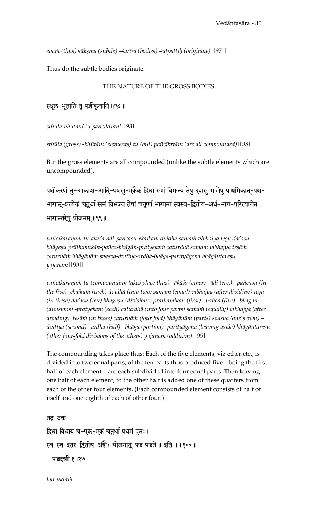eva $\dot{m}$  (thus) sūksma (subtle) – sarīra (bodies) – utpattih (originate)||97||

Thus do the subtle bodies originate.

#### THE NATURE OF THE GROSS BODIES

स्थूल-भूतानि तु पञ्चीकृतानि ॥९८ ॥

*sthüla-bhütäni tu païcékåtäni||98||*

sthūla (gross) -bhūtāni (elements) tu (but) pañcīkrtāni (are all compounded)||98||

But the gross elements are all compounded (unlike the subtle elements which are uncompounded).

पञ्चीकरणं तु-आकाश-आदि-पञ्चसु-एकैकं द्विधा समं विभज्य तेषु दशसु भागेषु प्राथमिकानू-पञ्च-भागान्-प्रत्येकं चतुर्धा समं विभज्य तेषां चतुर्णां भागानां स्वस्व-द्वितीय-अर्ध-भाग-परित्यागेन भागान्तरेषु योजनम् ॥९९॥

pañcīkaraņam tu-ākāśa-ādi-pañcasu-ekaikam dvidhā samam vibhajya teşu daśasu bhāgeșu prāthamikān-pañca-bhāgān-pratyekam caturdhā samam vibhajya teșām caturņām bhāgānām svasva-dvitīya-ardha-bhāga-parityāgena bhāgāntareșu *yojanam||99||*

pañcīkaraņam tu (compounding takes place thus) –ākāśa (ether) –ādi (etc.) –pañcasu (in the five) -ekaikam (each) dvidhā (into two) samam (equal) vibhajya (after dividing) teșu (in these) daśasu (ten) bhāgeșu (divisions) prāthamikān (first) –pañca (five) –bhāgān (divisions) -pratyekam (each) caturdhā (into four parts) samam (equally) vibhajya (after *dividing) teñäà (in these) caturëäà (four fold) bhägänäà (parts) svasva (one's own) –* dvitīya (second) –ardha (half) –bhāga (portion) -parityāgena (leaving aside) bhāgāntareṣu *(other four-fold divisions of the others) yojanam (addition)||99||* 

The compounding takes place thus: Each of the five elements, viz ether etc., is divided into two equal parts; of the ten parts thus produced five – being the first half of each element – are each subdivided into four equal parts. Then leaving one half of each element, to the other half is added one of these quarters from each of the other four elements. (Each compounded element consists of half of itself and one-eighth of each of other four.)

तदु-उक्तं -द्विधा विधाय च-एक-एकं चतुर्धा प्रथमं पुनः। .<br>स्व-स्व-इतर-द्वितीय-अंशैः-योजनातू-पञ्च पञ्चते ॥ इति ॥ ॥१०० ॥ - पञ्चदशी १।२७

*tad-uktaà –*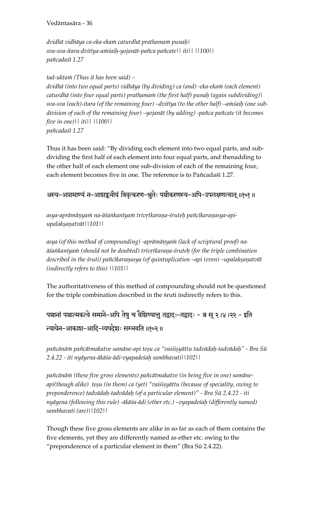*dvidhä vidhäya ca-eka-ekaà caturdhä prathamaà punaù| sva-sva-itara-dvitéya-aàçaiù-yojanät-païca païcate|| iti|| ||100|| païcadaçé 1.27* 

*tad-uktaà (Thus it has been said) – dvidhä (into two equal parts) vidhäya (by dividing) ca (and) -eka-ekaà (each element) caturdhä (into four equal parts) prathamaà (the first half) punaù (again subdividing)|*  sva-sva (each)-itara (of the remaining four) –dvitīya (to the other half) –amsaih (one sub*division of each of the remaining four) –yojanät (by adding) -païca païcate (it becomes five in one)|| iti|| ||100|| païcadaçé 1.27* 

Thus it has been said: "By dividing each element into two equal parts, and subdividing the first half of each element into four equal parts, and thenadding to the other half of each element one sub-division of each of the remaining four, each element becomes five in one. The reference is to Pañcadaśī 1.27.

अस्य-अप्रामाण्यं न-आशङ्कनीयं त्रिवृत्करण-श्रुतेः पञ्चीकरणस्य-अपि-उपलक्षणत्वात् ॥१०१॥

asya-aprāmāņyam na-āśankanīyam trivrtkaraņa-śruteh pañcīkaraņasya-api*upalakñaëatvät||101||* 

asya (of this method of compounding) -aprāmāņyam (lack of scriptural proof) na- $\bar{a}$ sankanīyam (should not be doubted) trivrtkaraṇa-śruteḥ (for the triple combination described in the śruti) pañcīkaraņasya (of quintuplication –api (even) –upalakṣaṇatvāt *(indirectly refers to this) ||101||* 

The authoritativeness of this method of compounding should not be questioned for the triple combination described in the śruti indirectly refers to this.

पञ्चानां पञ्चात्मकत्वे समाने-अपि तेषु च वैशिष्यात्तु तद्वादः-तद्वादः - ब्र सू २।४।२२ - इति न्यायेन-आकाश-आदि-व्यपदेशः सम्भवति ॥१०२॥

pañcānām pañcātmakatve samāne-api teșu ca "vaiśisyāttu tadvādaḥ-tadvādaḥ" - Bra Sū *2.4.22 - iti nyäyena-äkäça-ädi-vyapadeçaù sambhavati||102||* 

pañcānām (these five gross elements) pañcātmakatve (in being five in one) samāneapi(though alike) teșu (in them) ca (yet) "vaiśișyāttu (because of speciality, owing to *preponderence) tadvädaù-tadvädaù (of a particular element)" - Bra Sü 2.4.22 - iti nyäyena (following this rule) -äkäça-ädi (ether etc.) –vyapadeçaù (differently named) sambhavati (are)||102||* 

Though these five gross elements are alike in so far as each of them contains the five elements, yet they are differently named as ether etc. owing to the "preponderence of a particular element in them" (Bra Sü 2.4.22).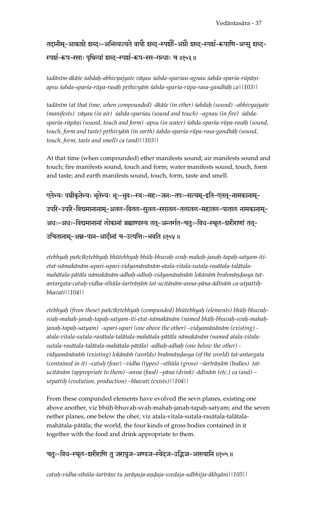तदानीम्-आकाशे शब्दः-अभिव्यज्यते वायौ शब्द-स्पर्शौ-अग्नौ शब्द-स्पर्श-रूपाणि-अप्सु शब्द-रूपर्श-रूप-रसाः पृथिव्यां शब्द-स्पर्श-रूप-रस-गन्धाः च ॥१०३॥

tadānīm-ākāśe śabda*ḥ-abhivyajyate vāyau śabda-sparśau-agnau śabda-sparśa-rūpāṇiapsu çabda-sparça-rüpa-rasäù påthivyäà çabda-sparça-rüpa-rasa-gandhäù ca||103||* 

*tadäném (at that time, when compounded) -äkäçe (in ether) çabdaù (sound) –abhivyajyate*  (manifests) vāyau (in air) sabda-sparsau (sound and touch) –agnau (in fire) sabda*sparça-rüpäëi (sound, touch and form) -apsu (in water) çabda-sparça-rüpa-rasäù (sound,*  touch, form and taste) pṛthivyāṁ (in earth) śabda-sparśa-rūpa-rasa-gandhāḥ (sound, *touch, form, taste and smell) ca (and)||103||* 

At that time (when compounded) ether manifests sound; air manifests sound and touch; fire manifests sound, touch and form; water manifests sound, touch, form and taste; and earth manifests sound, touch, form, taste and smell.

एतेभ्यः पञ्चीकृतेभ्यः भूतेभ्यः भूः-भूवः-स्वः-महः-जनः-तपः-सत्यम्-इति-एतत्-नामकानाम्-उपरि-उपरि-विद्यमानानाम्-अतल-वितल-सुतल-रसातल-तलातल-महातल-पाताल नामकानाम्-अधः-अधः-विद्यमानानां लोकानां ब्रह्माण्डस्य तत्-अन्तर्गत-चतुः-विध-स्थूल-शरीराणां तत्-उचितानाम्-अन्न-पान-आदीनां च-उत्पत्तिः-भवति ॥१०४ ॥

etebhyaḥ pañcīkṛtebhyaḥ bhūtebhyaḥ bhūḥ-bhuvaḥ-svaḥ-mahaḥ-janaḥ-tapaḥ-satyam-iti*etat-nämakänäm-upari-upari-vidyamänänäm-atala-vitala-sutala-rasätala-talätala*mahātala-pātāla nāmakānām-adhaḥ-adhaḥ-vidyamānānāni lokānāṁ brahmāṇḍasya tat*antargata-catuù-vidha-sthüla-çaréräëäà tat-ucitänäm-anna-päna-ädénäà ca-utpattiùbhavati||104||* 

etebhyah (from these) pañcīkrtebhyah (compunded) bhūtebhyah (elements) bhūḥ-bhuvaḥ*svaù-mahaù-janaù-tapaù-satyam-iti-etat-nämakänäm (named bhüù-bhuvaù-svaù-mahaùjanaù-tapaù-satyam) -upari-upari (one above the other) –vidyamänänäm (existing) atala-vitala-sutala-rasätala-talätala-mahätala-pätäla nämakänäm (named atala-vitalasutala-rasätala-talätala-mahätala-pätäla) -adhaù-adhaù (one below the other) vidyamänänäà (existing) lokänäà (worlds) brahmäëòasya (of the world) tat-antargata*  (contained in it) -catuh (four) -vidha (types) -sthūla (gross) -sarīrāņām (bodies) tat*ucitänäm (appropriate to them) –anna (food) –päna (drink) -ädénäà (etc.) ca (and) – utpattiù (evolution, production) –bhavati (exists)||104||*

From these compunded elements have evolved the sevn planes, existing one above another, viz bhüù-bhuvaù-svaù-mahaù-janaù-tapaù-satyam; and the seven nether planes, one below the oher, viz atala-vitala-sutala-rasätala-talätalamahätala-pätäla; the world, the four kinds of gross bodies contained in it together with the food and drink appropriate to them.

चतुः-विध-स्थूल-शरीराणि तु जरायुज-अण्डज-स्वेदज-उद्भिज्ज-आख्यानि ॥१०५॥

*catuù-vidha-sthüla-çaréräëi tu jaräyuja-aëòaja-svedaja-udbhijja-äkhyäni||105||*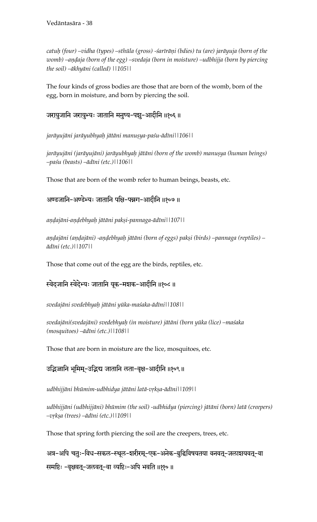*catuù (four) –vidha (types) –sthüla (gross) -çaréräëi (bdies) tu (are) jaräyuja (born of the*  womb) –andaja (born of the egg) –svedaja (born in moisture) –udbhijja (born by piercing *the soil) –äkhyäni (called) ||105||* 

The four kinds of gross bodies are those that are born of the womb, born of the egg, born in moisture, and born by piercing the soil.

## जरायुजानि जरायुभ्यः जातानि मनुष्य-पशु-आदीनि ॥१०६॥

jarāyujāni jarāyubhyaḥ jātāni manuṣya-paśu-ādīni||106||

jarāyujāni (jarāyujāni) jarāyubhyaḥ jātāni (born of the womb) manuṣya (human beings) *–paçu (beasts) –ädéni (etc.)||106||* 

Those that are born of the womb refer to human beings, beasts, etc.

अण्डजानि-अण्डेभ्यः जातानि पक्षि-पन्नग-आदीनि ॥१०७ ॥

*aëòajäni-aëòebhyaù jätäni pakñi-pannaga-ädéni||107||* 

aņdajāni (aņdajāni) -aņdebhyaḥ jātāni (born of eggs) pakṣi (birds) –pannaga (reptiles) – *ädéni (etc.)||107||* 

Those that come out of the egg are the birds, reptiles, etc.

स्वेदजानि स्वेदेभ्यः जातानि यूक-मशक-आदीनि ॥१०८॥

*svedajäni svedebhyaù jätäni yüka-maçaka-ädéni||108||* 

*svedajäni(svedajäni) svedebhyaù (in moisture) jätäni (born yüka (lice) –maçaka (mosquitoes) –ädéni (etc.)||108||*

Those that are born in moisture are the lice, mosquitoes, etc.

उद्भिज्जानि भूमिम्-उद्भिद्य जातानि लता-वृक्ष-आदीनि ॥१०९॥

udbhijjāni bhūmim-udbhidya jātāni latā-vṛkṣa-ādīni||109||

*udbhijjäni (udbhijjäni) bhümim (the soil) -udbhidya (piercing) jätäni (born) latä (creepers) –våkña (trees) –ädéni (etc.)||109||* 

Those that spring forth piercing the soil are the creepers, trees, etc.

अत्र-अपि चतुः-विध-सकल-स्थूल-शरीरम्-एक-अनेक-बुद्धिविषयतया वनवत्-जलाशयवत्-वा समष्टिः -वृक्षवत्-जलवत्-वा व्यष्टिः-अपि भवति ॥११०॥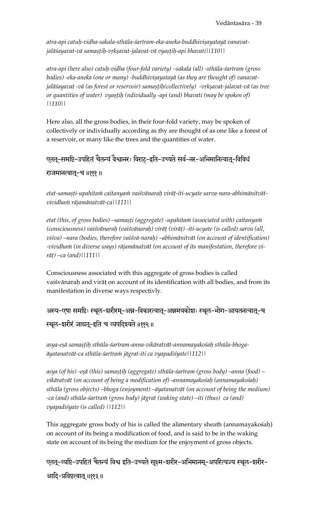atra-api catuh-vidha-sakala-sthūla-śarīram-eka-aneka-buddhiviṣayatayā vanavat*jaläçayavat-vä samañöiù-våkñavat-jalavat-vä vyañöiù-api bhavati||110||*

*atra-api (here also) catuù-vidha (four-fold variety) –sakala (all) -sthüla-çaréram (gross*  bodies) -eka-aneka (one or many) -buddhiviṣayatayā (as they are thought of) vanavatjalāśayavat -vā (as forest or reservoir) samastiḥ(collectively) -vṛkṣavat-jalavat-vā (as tree or quantities of water) vyastih (ndividually -api (and) bhavati (may be spoken of) *||110||* 

Here also, all the gross bodies, in their four-fold variety, may be spoken of collectively or individually according as thy are thought of as one like a forest of a reservoir, or many like the trees and the quantities of water.

#### एतत्-समष्टि-उपहितं चैतन्यं वैश्वानरः विराट्-इति-उच्यते सर्व-नर-अभिमानित्वात्-विविधं

#### राजमानत्वातू-च ॥१११ ॥

etat-samașți-upahitam caitanyam vaiśvānarah virāț-iti-ucyate sarva-nara-abhimānitvāt*vividhaà räjamänatvät-ca||111||* 

etat (this, of gross bodies) –samaṣṭi (aggregate) -upahitaṁ (associated with) caitanyaṁ *(consciousness) vaiçvänaraù (vaiçvänaraù) viräö (viräö) -iti-ucyate (is called) sarva (all, viçva) –nara (bodies, therefore vaiçvä-naraù) –abhimänitvät (on account of identification)*  -vividham (in diverse ways) rājamānatvāt (on account of its manifestation, therefore vi*rāt*) –ca (and)||111||

Consciousness associated with this aggregate of gross bodies is called vaiśvānarah and virāt on account of its identification with all bodies, and from its manifestation in diverse ways respectivly.

अस्य-एषा समष्टिः स्थूल-शरीरम्-अन्न-विकारत्वात्-अन्नमयकोशः स्थूल-भोग-आयतनत्वात्-च स्थूल-शरीरं जाग्रत्-इति च व्यपदिश्यते ॥११२॥

asya-eșā samașțih sthūla-śarīram-anna-vikāratvāt-annamayakośaḥ sthūla-bhoga*äyatanatvät-ca sthüla-çaréraà jägrat-iti ca vyapadiçyate||112||* 

asya (of his) -eṣā (this) samaṣṭiḥ (aggregate) sthūla-śarīram (gross body) –anna (food) – *vikäratvät (on account of being a modification of) -annamayakoçaù (annamayakoçaù) sthüla (gross objects) –bhoga (enjoyment) –äyatanatvät (on account of being the medium) -ca (and) sthüla-çaréraà (gross body) jägrat (waking state) –iti (thus) ca (and) vyapadiçyate (is called) ||112||*

This aggregate gross body of his is called the alimentary sheath (annamayakosah) on account of its being a modification of food, and is said to be in the waking state on account of its being the medium for the enjoyment of gross objects.

एतत्-व्यष्टि-उपहितं चैतन्यं विश्व इति-उच्यते सूक्ष्म-शरीर-अभिमानम्-अपरित्यज्य स्थूल-शरीर-आदि-प्रविष्टत्वात् ॥११३॥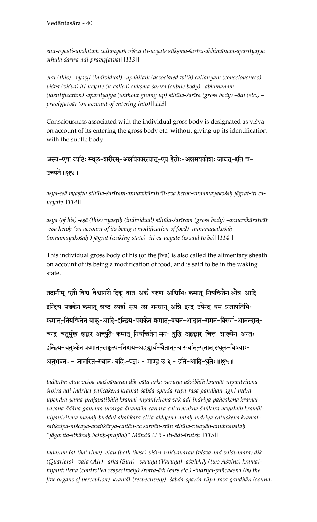etat-vyasti-upahitam caitanyam viśva iti-ucyate sūksma-śarīra-abhimānam-aparityajya sthūla-śarīra-ādi-pravișțatvāt||113||

etat (this) –vyașți (individual) -upahitam (associated with) caitanyam (consciousness) *viçva (viçva) iti-ucyate (is called) sükñma-çaréra (subtle body) –abhimänam*  (*identification*) -aparityajya (without giving up) sthūla-śarīra (gross body) –ādi (etc.) – pravișțatvāt (on account of entering into)||113||

Consciousness associated with the individual gross body is designated as viśva on account of its entering the gross body etc. without giving up its identification with the subtle body.

अस्य-एषा व्यष्टिः स्थूल-शरीरम्-अन्नविकारत्वात्-एव हेतोः-अन्नमयकोशः जाग्रत्-इति च-

#### उच्यते ॥११४॥

asya-eșā vyașțih sthūla-śarīram-annavikāratvāt-eva hetoh-annamayakośah jāgrat-iti ca*ucyate||114||* 

asya (of his) -eșā (this) vyașțih (individual) sthūla-śarīram (gross body) –annavikāratvāt *-eva hetoù (on account of its being a modification of food) -annamayakoçaù (annamayakoçaù ) jägrat (waking state) -iti ca-ucyate (is said to be)||114||* 

This individual gross body of his (of the jīva) is also called the alimentary sheath on account of its being a modification of food, and is said to be in the waking state.

तदानीम्-एतौ विश्व-वैश्वानरौ दिक्-वात-अर्क-वरुण-अश्विभिः क्रमात्-नियन्त्रितेन श्रोत्र-आदि-इन्द्रिय-पञ्चकेन क्रमात्-शब्द-स्पर्श-रूप-रस-गन्धान्-अग्नि-इन्द्र-उपेन्द्र-यम-प्रजापतिभिः कमात्-नियन्त्रितेन वाक्-आदि-इन्द्रिय-पञ्चकेन कमात्-वचन-आदान-गमन-विसर्ग-आनन्दान्--<br>चन्द्र-चतुर्मुख-शङ्कर-अच्युतेः कमात्-नियन्त्रितेन मनः-बुद्धि-अहङ्कार-चित्त-आख्येन-अन्तः इन्द्रिय-चतुष्केन क्रमात्-सङ्कल्प-निश्चय-अहङ्कार्य-चैतान्-च सर्वान्-एतान् स्थूल-विषयाः-अनुभवतः - जागरित-स्थानः बहिः-प्रज्ञः - माण्डू उ ३ - इति-आदि-श्रुतेः ॥११५॥

*tadäném-etau viçva-vaiçvänarau dik-väta-arka-varuëa-açvibhiù kramät-niyantritena çrotra-ädi-indriya-païcakena kramät-çabda-sparça-rüpa-rasa-gandhän-agni-indraupendra-yama-prajäpatibhiù kramät-niyantritena väk-ädi-indriya-païcakena kramätvacana-ädäna-gamana-visarga-änandän-candra-caturmukha-çaìkara-acyutaiù kramät*niyantritena manah-buddhi-ahankāra-citta-ākhyena-antaḥ-indriya-catuṣkena kramāt*saìkalpa-niçcaya-ahaìkärya-caitän-ca sarvän-etän sthüla-viñayäù-anubhavataù "jägarita-sthänaù bahiù-prajïaù" Mäëòü U 3 - iti-ädi-çruteù||115||* 

*tadäném (at that time) -etau (both these) viçva-vaiçvänarau (viçva and vaiçvänara) dik*  (Quarters) -vāta (Air) -arka (Sun) -varuņa (Varuņa) -aśvibhiḥ (two Aśvins) kramāt*niyantritena (controlled respectively) çrotra-ädi (ears etc.) -indriya-païcakena (by the five organs of perception) kramät (respectively) -çabda-sparça-rüpa-rasa-gandhän (sound,*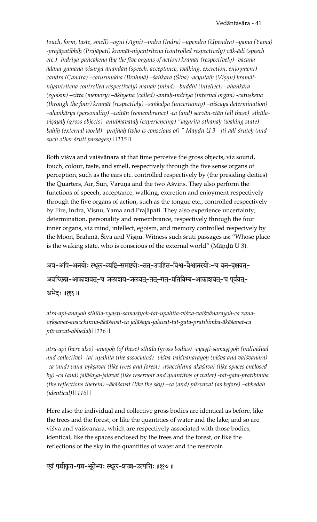*touch, form, taste, smell) –agni (Agni) –indra (Indra) –upendra (Upendra) –yama (Yama) -prajäpatibhiù (Prajäpati) kramät-niyantritena (controlled respectively) väk-ädi (speech etc.) -indriya-païcakena (by the five organs of action) kramät (respectively) -vacanaädäna-gamana-visarga-änandän (speech, acceptance, walking, excretion, enjoyment) –* candra (Candra) –caturmukha (Brahmā) –śaṅkara (Śiva) -acyutaiḥ (Viṣṇu) kramāt*niyantritena controlled respectively) manaù (mind) –buddhi (intellect) –ahaìkära*  (egoism) –citta (memory) –ākhyena (called) -antaḥ-indriya (internal organ) -catuṣkena *(through the four) kramät (respectivly) –saìkalpa (uncertainty) –niçcaya determination) –ahaìkärya (personality) –caitän (remembrance) -ca (and) sarvän-etän (all these) sthüla* $v$ *isayāh (gross objects) -anubhavataḥ (experiencing) "jāgarita-sthānaḥ (waking state)* bahih (external world) –prajñah (who is conscious of) " Māndū U 3 - iti-ādi-śruteh (and *such other çruti passages) ||115||* 

Both viśva and vaiśvānara at that time perceive the gross objects, viz sound, touch, colour, taste, and smell, respectively through the five sense organs of perception, such as the ears etc. controlled respectively by (the presiding deities) the Quarters, Air, Sun, Varuņa and the two Aśvins. They also perform the functions of speech, acceptance, walking, excretion and enjoyment respectively through the five organs of action, such as the tongue etc., controlled respectively by Fire, Indra, Vișnu, Yama and Prajāpati. They also experience uncertainty, determination, personality and remembrance, respectively through the four inner organs, viz mind, intellect, egoism, and memory controlled respecively by the Moon, Brahmā, Śiva and Vișņu. Witness such śruti passages as: "Whose place is the waking state, who is conscious of the external world" (Māṇḍū U 3).

अत्र-अपि-अनयोः स्थूल-व्यष्टि-समष्ट्योः-ततू-उपहित-विश्व-वैश्वानरयोः-च वन-वृक्षवतू-अवच्छिन्न-आकाशवत्-च जलाशय-जलवत्-तत्-गत-प्रतिबिम्ब-आकाशवत्-च पूर्ववत्-अभेदः ॥११६॥

atra-api-anayoh sthūla-vyasti-samastyoh-tat-upahita-viśva-vaiśvānarayoh-ca vana*våkñavat-avacchinna-äkäçavat-ca jaläçaya-jalavat-tat-gata-pratibimba-äkäçavat-ca pürvavat-abhedaù||116||* 

atra-api (here also) -anayoh (of these) sthūla (gross bodies) -vyaṣṭi-samaṣṭyoḥ (individual *and collective) -tat-upahita (the associated) -viçva-vaiçvänarayoù (viçva and vaiçvänara)*  -ca (and) vana-vṛkṣavat (like trees and forest) -avacchinna-ākāśavat (like spaces enclosed *by) -ca (and) jaläçaya-jalavat (like reservoir and quantities of water) -tat-gata-pratibimba (the reflections therein) –äkäçavat (like the sky) –ca (and) pürvavat (as before) –abhedaù (identical)||116||* 

Here also the individual and collective gross bodies are identical as before, like the trees and the forest, or like the quantities of water and the lake; and so are viśva and vaiśvānara, which are respectively associated with those bodies, identical, like the spaces enclosed by the trees and the forest, or like the reflections of the sky in the quantities of water and the reservoir.

एवं पञ्चीकृत-पञ्च-भूतेभ्यः स्थूल-प्रपञ्च-उत्पत्तिः ॥११७॥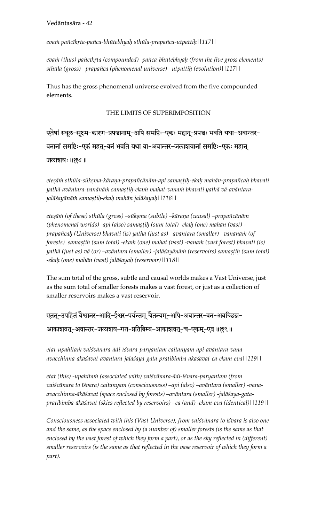*evaà païcékåta-païca-bhütebhyaù sthüla-prapaïca-utpattiù||117||* 

eva $m$  (thus) pañcīkṛta (compounded) -pañca-bhūtebhyaḥ (from the five gross elements) *sthüla (gross) –prapaïca (phenomenal universe) –utpattiù (evolution)||117||*

Thus has the gross phenomenal universe evolved from the five compounded elements.

#### THE LIMITS OF SUPERIMPOSITION

एतेषां स्थूल-सूक्ष्म-कारण-प्रपञ्चानाम्-अपि समष्टिः-एकः महान्-प्रपञ्चः भवति यथा-अवान्तर-वनानां समष्टिः-एकं महत्-वनं भवति यथा वा-अवान्तर-जलाशयानां समष्टिः-एकः महान्

#### जलाशयः ॥११८॥

eteșām sthūla-sūkșma-kāraņa-prapañcānām-api samaștih-ekah mahān-prapañcah bhavati yathā-avāntara-vanānām samastih-ekam mahat-vanam bhavati yathā vā-avāntara*jaläçayänäà samañöiù-ekaù mahän jaläçayaù||118||* 

eteșām (of these) sthūla (gross) –sūkșma (subtle) –kāraņa (causal) –prapañcānām *(phenomenal worlds) -api (also) samañöiù (sum total) -ekaù (one) mahän (vast) prapaïcaù (Universe) bhavati (is) yathä (just as) –aväntara (smaller) –vanänäà (of forests)* samașțih (sum total) -ekam (one) mahat (vast) -vanam (vast forest) bhavati (is) yathā (just as) vā (or) –avāntara (smaller) -jalāśayānām (reservoirs) samastih (sum total) *-ekaù (one) mahän (vast) jaläçayaù (reservoir)||118||*

The sum total of the gross, subtle and causal worlds makes a Vast Universe, just as the sum total of smaller forests makes a vast forest, or just as a collection of smaller reservoirs makes a vast reservoir.

## एतत्-उपहितं वैश्वानर-आदि-ईश्वर-पर्यन्तम् चैतन्यम्-अपि-अवान्तर-वन-अवच्छिन्न-

#### आकाशवत्-अवान्तर-जलाशय-गत-प्रतिबिम्ब-आकाशवत्-च-एकम्-एव ॥११९॥

etat-upahitam vaiśvānara-ādi-īśvara-paryantam caitanyam-api-avāntara-vana*avacchinna-äkäçavat-aväntara-jaläçaya-gata-pratibimba-äkäçavat-ca-ekam-eva||119||* 

*etat (this) -upahitaà (associated with) vaiçvänara-ädi-éçvara-paryantam (from*  vaiśvānara to īśvara) caitanyam (consciousness) –api (also) –avāntara (smaller) -vana*avacchinna-äkäçavat (space enclosed by forests) –aväntara (smaller) -jaläçaya-gatapratibimba-äkäçavat (skies reflected by reservoirs) –ca (and) -ekam-eva (identical)||119||*

*Consciousness associated with this (Vast Universe), from vaiçvänara to éçvara is also one and the same, as the space enclosed by (a number of) smaller forests (is the same as that enclosed by the vast forest of which they form a part), or as the sky reflected in (different) smaller reservoirs (is the same as that reflected in the vase reservoir of which they form a part).*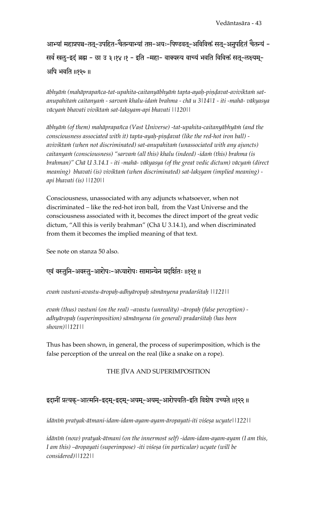आभ्यां महाप्रपञ्च-तत्-उपहित-चैतन्याभ्यां तप्त-अयः-पिण्डवत्-अविविक्तं सत्-अनुपहितं चैतन्यं -सर्वं खलू-इदं ब्रह्म - छा उ ३।१४।१ - इति -महा- वाक्यस्य वाच्यं भवति विविक्तं सतू-लक्ष्यमू-अपि भवति ॥१२०॥

ābhyā $\dot{m}$  (mahāprapañca-tat-upahita-caitanyābhyā $\dot{m}$  tapta-ayaḥ-piṇḍavat-avivikta $\dot{m}$  sat*anupahitaà caitanyaà - sarvaà khalu-idaà brahma - chä u 3|14|1 - iti -mahä- väkyasya väcyaà bhavati viviktaà sat-lakñyam-api bhavati ||120||* 

 $\bar{a}$ bhyā $\dot{m}$  (of them) mahāprapañca (Vast Universe) -tat-upahita-caitanyābhyā $\dot{m}$  (and the *consciousness associated with it) tapta-ayah-pindavat (like the red-hot iron ball)* aviviktam (when not discriminated) sat-anupahitam (unassociated with any ajuncts) caitanyam (consciousness) "sarvam (all this) khalu (indeed) -idam (this) brahma (is brahman)" Chā U 3.14.1 - iti -mahā- vākyasya (of the great vedic dictum) vācyam (direct *meaning) bhavati (is) viviktam (when discriminated) sat-lakṣyam (implied meaning) api bhavati (is) ||120||* 

Consciousness, unassociated with any adjuncts whatsoever, when not discriminated – like the red-hot iron ball, from the Vast Universe and the consciousness associated with it, becomes the direct import of the great vedic dictum, "All this is verily brahman" (Chä U 3.14.1), and when discriminated from them it becomes the implied meaning of that text.

See note on stanza 50 also.

## एवं वस्तुनि-अवस्तु-आरोपः-अध्यारोपः सामान्येन प्रदर्शितः ॥१२१॥

*evaà vastuni-avastu-äropaù-adhyäropaù sämänyena pradarçitaù ||121||* 

*evam (thus) vastuni (on the real) –avastu (unreality) –āropaḥ (false perception) adhyäropaù (superimposition) sämänyena (in general) pradarçitaù (has been shown)||121||* 

Thus has been shown, in general, the process of superimposition, which is the false perception of the unreal on the real (like a snake on a rope).

#### THE JĪVA AND SUPERIMPOSITION

# इदानीं प्रत्यक्-आत्मनि-इदम्-इदम्-अयम्-अयम्-आरोपयति-इति विशेष उच्यते ॥१२२॥

*idänéà pratyak-ätmani-idam-idam-ayam-ayam-äropayati-iti viçeña ucyate||122||* 

*idānīm (now) pratyak-ātmani (on the innermost self) -idam-idam-ayam-ayam (I am this,* I am this) –āropayati (superimpose) -iti viśeșa (in particular) ucyate (will be *considered)||122||*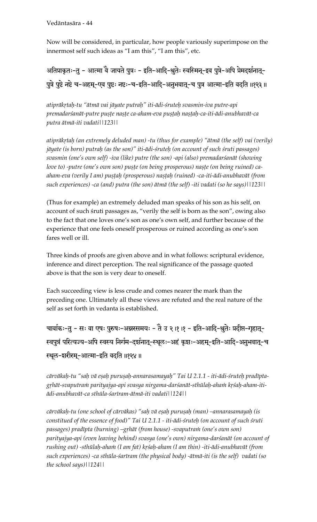Vedäntasära - 44

Now will be considered, in particular, how people variously superimpose on the innermost self such ideas as "I am this", "I am this", etc.

अतिप्राकृतः-तु - आत्मा वे जायते पुत्रः - इति-आदि-श्रुतेः स्वस्मिन्-इव पुत्रे-अपि प्रेमदर्शनात्-पुत्रे पुष्टे नष्टे च-अहम्-एव पुष्टः नष्टः-च-इति-आदि-अनुभवात्-च पुत्र आत्मा-इति वदति ॥१२३॥

*atipräkåtaù-tu "ätmä vai jäyate putraù" iti-ädi-çruteù svasmin-iva putre-api*  premadarśanāt-putre pușțe nașțe ca-aham-eva pușțah nașțah-ca-iti-ādi-anubhavāt-ca *putra ätmä-iti vadati||123||* 

atiprākrtah (an extremely deluded man) -tu (thus for example) "ātmā (the self) vai (verily) *jäyate (is born) putraù (as the son)" iti-ädi-çruteù (on account of such çruti passages) svasmin (one's own self) -iva (like) putre (the son) -api (also) premadarçanät (showing*  love to) -putre (one's own son) puste (on being prosperous) naste (on being ruined) caaham-eva (verily I am) pușțah (prosperous) nașțah (ruined) -ca-iti-ādi-anubhavāt (from *such experiences) -ca (and) putra (the son) ätmä (the self) -iti vadati (so he says)||123||* 

(Thus for example) an extremely deluded man speaks of his son as his self, on account of such śruti passages as, "verily the self is born as the son", owing also to the fact that one loves one's son as one's own self, and further because of the experience that one feels oneself prosperous or ruined according as one's son fares well or ill.

Three kinds of proofs are given above and in what follows: scriptural evidence, inference and direct perception. The real significance of the passage quoted above is that the son is very dear to oneself.

Each succeeding view is less crude and comes nearer the mark than the preceding one. Ultimately all these views are refuted and the real nature of the self as set forth in vedanta is established.

-चार्वाकः-तु - सः वा एषः पुरुषः-अन्नरसमयः - तै उ २।१।१ - इति-आदि-श्रुतेः प्रदीप्त-गृहात्-स्वपुत्रं परित्यज्य-अपि स्वस्य निर्गम-दर्शनात्-स्थूलः-अहं कृशः-अहम्-इति-आदि-अनुभवात्-च स्थूल-शरीरम्-आत्मा-इति वदति ॥१२४॥

cārvākah-tu "sah vā esah purusah-annarasamayah" Tai U 2.1.1 - iti-ādi-śruteh pradīptagrhāt-svaputram parityajya-api svasya nirgama-darśanāt-sthūlah-aham krśah-aham-iti*ädi-anubhavät-ca sthüla-çaréram-ätmä-iti vadati||124||* 

*cärväkaù-tu (one school of cärväkas) "saù vä eñaù puruñaù (man) –annarasamayaù (is*  constitued of the essence of food)" Tai U 2.1.1 - iti-ādi-śruteh (on account of such śruti passages) pradīpta (burning) –gṛhāt (from house) -svaputraṁ (one's own son) *parityajya-api (even leaving behind) svasya (one's own) nirgama-darçanät (on account of*  rushing out) -sthūlaḥ-ahaṁ (I am fat) kṛśaḥ-aham (I am thin) -iti-ādi-anubhavāt (from *such experiences) -ca sthüla-çaréram (the physical body) -ätmä-iti (is the self) vadati (so the school says)||124||*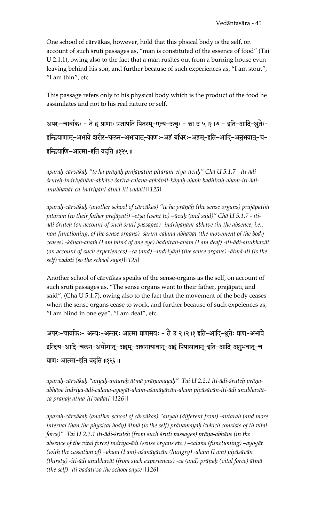One school of cārvākas, however, hold that this phsical body is the self, on account of such sruti passages as, "man is constituted of the essence of food" (Tai U 2.1.1), owing also to the fact that a man rushes out from a burning house even leaving behind his son, and further because of such experiences as, "I am stout", "I am thin", etc.

This passage refers only to his physical body which is the product of the food he assimilates and not to his real nature or self.

अपरः-चार्वाकः - ते ह प्राणाः प्रजापतिं पितरम्-एत्य-ऊचुः - छा उ ५।१।७ - इति-आदि-श्रुतेः-इन्द्रियाणाम्-अभावे शरीर-चलन-अभावात्-काणः-अहं बधिरः-अहम्-इति-आदि-अनुभवात्-च-इन्द्रियाणि-आत्मा-इति वदति ॥१२५॥

aparah-cārvākah "te ha prāņāh prajāpatim pitaram-etya-ūcuh" Chā U 5.1.7 - iti-ādiśruteḥ-indriyāṇām-abhāve śarīra-calana-abhāvāt-kāṇaḥ-ahaṁ badhiraḥ-aham-iti-ādianubhavāt-ca-indriyāņi-ātmā-iti vadatil | 125 | |

aparah-cārvākah (another school of cārvākas) "te ha prāņāh (the sense organs) prajāpatim pitaram (to their father prajāpati) -etya (went to) -ūcuḥ (and said)" Chā U 5.1.7 - itiādi-śruteh (on account of such śruti passages) -indriyāņām-abhāve (in the absence, i.e., non-functioning, of the sense organs) sarīra-calana-abhāvāt (the movement of the body ceases) -kāṇaḥ-ahaṁ (I am blind of one eye) badhiraḥ-aham (I am deaf) -iti-ādi-anubhavāt (on account of such experiences) -ca (and) -indriyāṇi (the sense organs) -ātmā-iti (is the self) vadati (so the school says) | | 125 | |

Another school of cārvākas speaks of the sense-organs as the self, on account of such śruti passages as, "The sense organs went to their father, prajāpati, and said", (Chā U 5.1.7), owing also to the fact that the movement of the body ceases when the sense organs cease to work, and further because of such expeiences as, "I am blind in one eye", "I am deaf", etc.

अपरः-चार्वाकः- अन्यः-अन्तरः आत्मा प्राणमयः - तै उ २।२।१ इति-आदि-श्रुतेः प्राण-अभावे इन्द्रिय-आदि-चलन-अयोगात्-अहम्-अशनायावान्-अहं पिपासावान्-इति-आदि अनुभवात्-च प्राणः आत्मा-इति वदति ॥१२६॥

aparah-cārvākah "anyah-antarah ātmā prāņamayah" Tai U 2.2.1 iti-ādi-śruteh prāņaabhāve indriya-ādi-calana-ayogāt-aham-aśanāyāvān-aham pipāsāvān-iti-ādi anubhavātca prāņah ātmā-iti vadatil 12611

aparah-cārvākah (another school of cārvākas) "anyah (different from) -antarah (and more internal than the physical body) ātmā (is the self) prāṇamayaḥ (which consists of th vital force)" Tai U 2.2.1 iti-ādi-śruteh (from such śruti passages) prāņa-abhāve (in the absence of the vital force) indriya-ādi (sense organs etc.) -calana (functioning) -ayogāt (with the cessation of) –aham (I am)-aśanāyāvān (hungry) -aham (I am) pipāsāvān (thirsty) -iti-ādi anubhavāt (from such experiences) -ca (and) prāņaḥ (vital force) ātmā (the self) -iti vadati(so the school says) | | 126 | |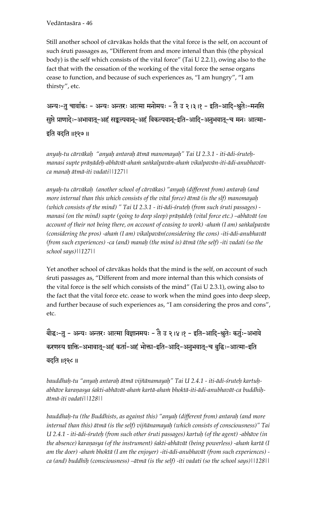#### Vedäntasära - 46

Still another school of cärväkas holds that the vital force is the self, on account of such śruti passages as, "Different from and more intenal than this (the physical body) is the self which consists of the vital force" (Tai U 2.2.1), owing also to the fact that with the cessation of the working of the vital force the sense organs cease to function, and because of such experiences as, "I am hungry", "I am thirsty", etc.

अन्यः-तु चार्वाकः - अन्यः अन्तरः आत्मा मनोमयः - तै उ २।३।१ - इति-आदि-श्रुतेः-मनसि सुप्ते प्राणादेः-अभावात्-अहं सङ्कल्पवान्-अहं विकल्पवान्-इति-आदि-अनुभवात्-च मनः आत्मा-इति वदति ॥१२७॥

*anyaù-tu cärväkaù "anyaù antaraù ätmä manomayaù" Tai U 2.3.1 - iti-ädi-çruteù*manasi supte prāņādeh-abhāvāt-aham sankalpavān-aham vikalpavān-iti-ādi-anubhavāt*ca manaù ätmä-iti vadati||127||* 

*anyaù-tu cärväkaù (another school of cärväkas) "anyaù (different from) antaraù (and more internal than this which consists of the vital force) ätmä (is the slf) manomayaù*  (which consists of the mind) " Tai U 2.3.1 - iti-ādi-śruteḥ (from such śruti passages) manasi (on the mind) supte (going to deep sleep) prāṇādeḥ (vital force etc.) –abhāvāt (on account of their not being there, on account of ceasing to work) -aha $\dot{m}$  (I am) sa $\dot{n}$ kalpavān (considering the pros) -aham (I am) vikalpavān(considering the cons) -iti-ādi-anubhavāt *(from such experiences) -ca (and) manaù (the mind is) ätmä (the self) -iti vadati (so the school says)||127||* 

Yet another school of cärväkas holds that the mind is the self, on account of such çruti passages as, "Different from and more internal than this which consists of the vital force is the self which consists of the mind" (Tai U 2.3.1), owing also to the fact that the vital force etc. cease to work when the mind goes into deep sleep, and further because of such experiences as, "I am considering the pros and cons", etc.

बौद्धः-तु - अन्यः अन्तरः आत्मा विज्ञानमयः - तै उ २।४।१ - इति-आदि-श्रुतेः कर्तुः-अभावे करणस्य शक्ति-अभावात्-अहं कर्ता-अहं भोक्ता-इति-आदि-अनुभवात्-च बुद्धिः-आत्मा-इति वदति ॥१२८॥

*bauddhaù-tu "anyaù antaraù ätmä vijïänamayaù" Tai U 2.4.1 - iti-ädi-çruteù kartuù*abhāve karaņasya śakti-abhāvāt-aha*nn kartā-ahann bhoktā-iti-ādi-anubhavāt-ca buddhi*ļ. *ätmä-iti vadati||128||* 

*bauddhaù-tu (the Buddhists, as against this) "anyaù (different from) antaraù (and more internal than this) ätmä (is the self) vijïänamayaù (which consists of consciousness)" Tai U 2.4.1 - iti-ädi-çruteù (from such other çruti passages) kartuù (of the agent) -abhäve (in the absence) karanasya (of the instrument) śakti-abhāvāt (being powerless) -aha* $\dot{m}$  *kartā (I* am the doer) -aham bhoktā (I am the enjoyer) -iti-ādi-anubhavāt (from such experiences) *ca (and) buddhiù (consciousness) –ätmä (is the self) -iti vadati (so the school says)||128||*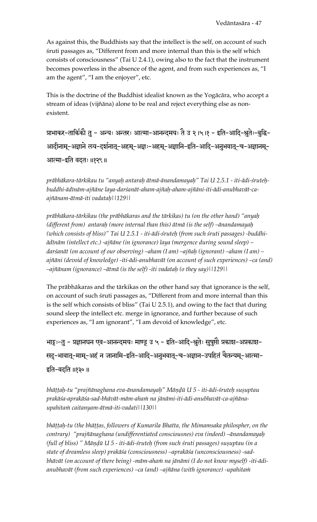As against this, the Buddhists say that the intellect is the self, on account of such çruti passages as, "Different from and more internal than this is the self which consists of consciousness" (Tai U 2.4.1), owing also to the fact that the instrument becomes powerless in the absence of the agent, and from such experiences as, "I am the agent", "I am the enjoyer", etc.

This is the doctrine of the Buddhist idealist known as the Yogäcära, who accept a stream of ideas (vijïäna) alone to be real and reject everything else as nonexistent.

प्राभाकर-तार्किको तु - अन्यः अन्तरः आत्मा-आनन्दमयः तेै उ २।५।१ - इति-आदि-श्नुतेः-बुद्धि-आदीनाम्-अज्ञाने लय-दर्शनात्-अहम्-अज्ञः-अहम्-अज्ञानि-इति-आदि-अनुभवात्-च-अज्ञानम्-आत्मा-इति वदतः ॥१२९॥

*präbhäkara-tärkikau tu "anyaù antaraù ätmä-änandamayaù" Tai U 2.5.1 - iti-ädi-çruteùbuddhi-ädénäm-ajïäne laya-darçanät-aham-ajïaù-aham-ajïäni-iti-ädi-anubhavät-caajïänam-ätmä-iti vadataù||129||* 

*präbhäkara-tärkikau (the präbhäkaras and the tärkikas) tu (on the other hand) "anyaù (different from) antaraù (more internal than this) ätmä (is the self) –änandamayaù*  (which consists of bliss)" Tai U 2.5.1 - iti-ādi-śruteḥ (from such śruti passages) -buddhi*ädénäm (intellect etc.) -ajïäne (in ignorance) laya (mergence during sound sleep) – darçanät (on account of our observing) –aham (I am) –ajïaù (ignorant) –aham (I am) – ajïäni (devoid of knowledge) -iti-ädi-anubhavät (on account of such experiences) –ca (and) –ajïänam (ignorance) –ätmä (is the self) -iti vadataù (o they say)||129||*

The präbhäkaras and the tärkikas on the other hand say that ignorance is the self, on account of such śruti passages as, "Different from and more internal than this is the self which consists of bliss" (Tai U 2.5.1), and owing to the fact that during sound sleep the intellect etc. merge in ignorance, and further because of such experiences as, "I am ignorant", "I am devoid of knowledge", etc.

भाट्टः-तु - प्रज्ञानघन एव-आनन्दमयः माण्डू उ ५ - इति-आदि-श्रुतेः सुषुप्तौ प्रकाश-अप्रकाश-सदु-भावात्-माम्-अहं न जानामि-इति-आदि-अनुभवात्-च-अज्ञान-उपहितं चैतन्यम्-आत्मा-इति-वदति ॥१३० ॥

bhāttah-tu "prajñānaghana eva-ānandamayaḥ" Māṇḍū U 5 - iti-ādi-śruteḥ suṣuptau prakāśa-aprakāśa-sad-bhāvāt-mām-aha*in na jānāmi-iti-ādi-anubhavāt-ca-ajñānaupahitaà caitanyam-ätmä-iti-vadati||130||* 

bhāṭṭaḥ-tu (the bhāṭṭas, followers of Kumarila Bhatta, the Mimamsaka philospher, on the *contrary) "prajïänaghana (undifferentiated consciousnes) eva (indeed) –änandamayaù (full of bliss)* " Māņḍū U 5 - iti-ādi-śruteḥ (from such śruti passages) sușuptau (in a *state of dreamless sleep) prakäça (consciousness) –aprakäça (unconsciousness) -sad*bhāvāt (on account of there being) -mām-aham na jānāmi (I do not know myself) -iti-ādi*anubhavät (from such experiences) –ca (and) –ajïäna (with ignorance) -upahitaà*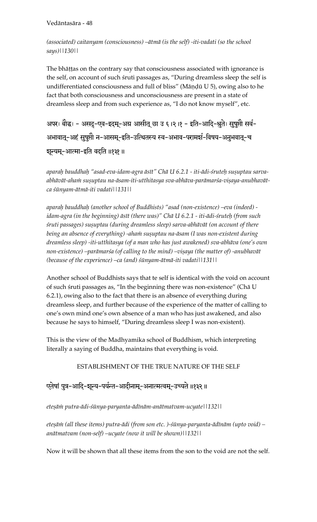#### Vedāntasāra - 48

(associated) caitanyam (consciousness) –ātmā (is the self) -iti-vadati (so the school says)||130||

The bhattas on the contrary say that consciousness associated with ignorance is the self, on account of such sruti passages as, "During dreamless sleep the self is undifferentiated consciousness and full of bliss" (Māndū U 5), owing also to he fact that both consciousness and unconsciousness are present in a state of dreamless sleep and from such experience as, "I do not know myself", etc.

अपरः बौद्धः - असदु-एव-इदम्-अग्र आसीत् छा उ ६।२।१ - इति-आदि-श्रुतेः सुषुप्तौ सर्व-अभावात्-अहं सूषुप्तौ न-आसम्-इति-उत्थितस्य स्व-अभाव-परामर्श-विषय-अनुभवात्-च शून्यम्-आत्मा-इति वदति ॥१३१॥

aparah bauddhah "asad-eva-idam-agra āsīt" Chā U 6.2.1 - iti-ādi-śruteh susuptau sarvaabhāvāt-ahaṁ suṣuptau na-āsam-iti-utthitasya sva-abhāva-parāmarśa-viṣaya-anubhavātca śūnyam-ātmā-iti vadatil | 131 | |

aparah bauddhah (another school of Buddhists) "asad (non-existence) -eva (indeed) idam-agra (in the beginning) āsīt (there was)" Chā U 6.2.1 - iti-ādi-śruteḥ (from such śruti passages) suṣuptau (during dreamless sleep) sarva-abhāvāt (on account of there being an absence of everything) -aham susuptau na-āsam (I was non-existent during dreamless sleep) -iti-utthitasya (of a man who has just awakened) sva-abhāva (one's own non-existence) –parāmarśa (of calling to the mind) –viṣaya (the matter of) -anubhavāt (because of the experience)  $-ca$  (and)  $s\bar{u}nyam-\bar{a}tm\bar{a}-it\bar{i}t$  vadatil [131]

Another school of Buddhists says that te self is identical with the void on account of such śruti passages as, "In the beginning there was non-existence" (Chā U 6.2.1), owing also to the fact that there is an absence of everything during dreamless sleep, and further because of the experience of the matter of calling to one's own mind one's own absence of a man who has just awakened, and also because he says to himself, "During dreamless sleep I was non-existent).

This is the view of the Madhyamika school of Buddhism, which interpreting literally a saying of Buddha, maintains that everything is void.

ESTABLISHMENT OF THE TRUE NATURE OF THE SELF

# एतेषां पुत्र-आदि-शून्य-पर्यन्त-आदीनाम्-अनात्मत्वम्-उच्यते ॥१३२॥

eteşāṁ putra-ādi-śūnya-paryanta-ādīnām-anātmatvam-ucyate||132||

etesām (all these items) putra-ādi (from son etc.)-śūnya-paryanta-ādīnām (upto void) – anātmatvam (non-self) -ucyate (now it will be shown) | | 132 | |

Now it will be shown that all these items from the son to the void are not the self.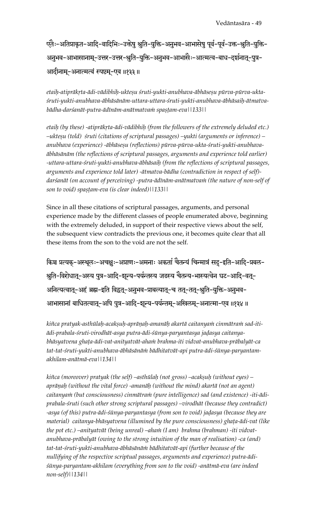एतैः-अतिप्राकृत-आदि-वादिभिः-उक्तेषु श्रुति-युक्ति-अनुभव-आभासेषु पूर्व-पूर्व-उक्त-श्रुति-युक्ति-अनुभव-आभासानाम्-उत्तर-उत्तर-श्रुति-युक्ति-अनुभव-आभासैः-आत्मत्व-बाध-दर्शनात्-पुत्र-आदीनाम्-अनात्मत्वं स्पष्टम्-एव ॥१३३॥

etaih-atiprākṛta-ādi-vādibhiḥ-ukteṣu śruti-yukti-anubhava-ābhāseṣu pūrva-pūrva-ukta*çruti-yukti-anubhava-äbhäsänäm-uttara-uttara-çruti-yukti-anubhava-äbhäsaiù-ätmatvabädha-darçanät-putra-ädénäm-anätmatvaà spañöam-eva||133||*

*etaih (by these) -atiprākrta-ādi-vādibhiḥ (from the followers of the extremely deluded etc.) –ukteñu (told) çruti (citations of scriptural passages) –yukti (arguments or inference) –* anubhava (experience) -ābhāseṣu (reflections) pūrva-pūrva-ukta-śruti-yukti-anubhava*äbhäsänäm (the reflections of scriptural passages, arguments and experience told earlier) -uttara-uttara-çruti-yukti-anubhava-äbhäsaiù (from the reflections of scriptural passages, arguments and experience told later) -ätmatva-bädha (contradiction in respect of self)* darśanāt (on account of perceiving) -putra-ādīnām-anātmatvaṁ (the nature of non-self of *son to void) spastam-eva (is clear indeed)*||133||

Since in all these citations of scriptural passages, arguments, and personal experience made by the different classes of people enumerated above, beginning with the extremely deluded, in support of their respective views about the self, the subsequent view contradicts the previous one, it becomes quite clear that all these items from the son to the void are not the self.

किञ्च प्रत्यक्-अस्थूलः-अचक्षुः-अप्राणः-अमनाः अकर्ता चैतन्यं चिन्मात्रं सदु-इति-आदि-प्रबल-श्रुति-विरोधात्-अस्य पुत्र-आदि-शून्य-पर्यन्तस्य जडस्य चैतन्य-भास्यत्वेन घट-आदि-वत्-अनित्यत्वातू-अहं ब्रह्म-इति विद्वतू-अनुभव-प्राबल्यातू-च ततू-ततू-श्रुति-युक्ति-अनुभव-आभासानां बाधितत्वातू-अपि पुत्र-आदि-शून्य-पर्यन्तमू-अखिलमू-अनात्मा-एव ॥१३४॥

kiñca pratyak-asthūlaḥ-acakṣuḥ-aprāṇaḥ-amanāḥ akartā caitanyaṁ cinmātraṁ sad-iti*ädi-prabala-çruti-virodhät-asya putra-ädi-çünya-paryantasya jaòasya caitanya*bhāsyatvena ghaṭa-ādi-vat-anityatvāt-ahaṁ brahma-iti vidvat-anubhava-prābalyāt-ca *tat-tat-çruti-yukti-anubhava-äbhäsänäà bädhitatvät-api putra-ädi-çünya-paryantamakhilam-anätmä-eva||134||* 

kiñca (moreover) pratyak (the self) –asthūlaḥ (not gross) –acakṣuḥ (without eyes) – aprāņaḥ (without the vital force) -amanāḥ (without the mind) akartā (not an agent) caitanyam (but consciousness) cinmātram (pure intelligence) sad (and existence) -iti-ādi*prabala-çruti (such other strong scriptural passages) –virodhät (because they contradict)*  -asya (of this) putra-ādi-śūnya-paryantasya (from son to void) jaḍasya (because they are material) caitanya-bhāsyatvena (illumined by the pure consciousness) ghața-ādi-vat (like the pot etc.) –anityatvāt (being unreal) –aham (I am) brahma (brahman) -iti vidvat*anubhava-präbalyät (owing to the strong intuition of the man of realisation) -ca (and) tat-tat-çruti-yukti-anubhava-äbhäsänäà bädhitatvät-api (further because of the nullifying of the respective scriptual passages, arguments and experience) putra-ädiçünya-paryantam-akhilam (everything from son to the void) -anätmä-eva (are indeed non-self)||134||*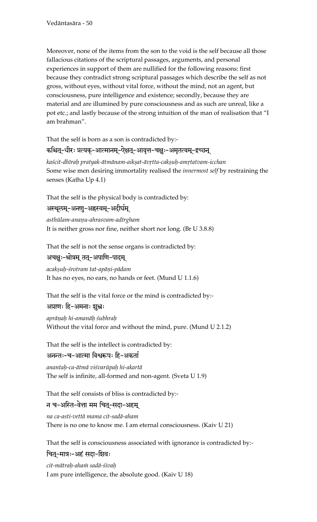Moreover, none of the items from the son to the void is the self because all those fallacious citations of the scriptural passages, arguments, and personal experiences in support of them are nullified for the following reasons: first because they contradict strong scriptural passages which describe the self as not gross, without eyes, without vital force, without the mind, not an agent, but consciousness, pure intelligence and existence; secondly, because they are material and are illumined by pure consciousness and as such are unreal, like a pot etc.; and lastly because of the strong intuition of the man of realisation that "I am brahman".

That the self is born as a son is contradicted by:-कश्चित्-धीरः प्रत्यक्-आत्मानम्-ऐक्षत्-आवृत्त-चक्षुः-अमृतत्वम्-इच्छन् kaścit-dhīrah pratyak-ātmānam-aikṣat-āvṛtta-cakṣuh-amṛtatvam-icchan

Some wise men desiring immortality realised the *innermost self* by restraining the senses (Katha Up 4.1)

That the self is the physical body is contradicted by: अस्थूलम्-अनणु-अह्रस्वम्-अदीर्घम्

asthūlam-anaņu-ahrasvam-adīrgham It is neither gross nor fine, neither short nor long. (Br U 3.8.8)

That the self is not the sense organs is contradicted by:

## अचक्षुः-श्रोत्रम् तत्-अपाणि-पादम्

acakșuh-śrotram tat-apāņi-pādam It has no eyes, no ears, no hands or feet. (Mund U 1.1.6)

That the self is the vital force or the mind is contradicted by:-

अप्राणः हि-अमनाः शुभ्रः

aprāņah hi-amanāh śubhrah Without the vital force and without the mind, pure. (Mund U 2.1.2)

That the self is the intellect is contradicted by:

## अनन्तः-च-आत्मा विश्वरूपः हि-अकर्ता

anantah-ca-ātmā viśvarūpah hi-akartā The self is infinite, all-formed and non-agent. (Sveta U 1.9)

That the self consists of bliss is contradicted by:-

## न च-अस्ति-वेत्ता मम चित्-सदा-अहम्

na ca-asti-vettā mama cit-sadā-aham There is no one to know me. I am eternal consciousness. (Kaiv U 21)

That the self is consciousness associated with ignorance is contradicted by:-

## चित्-मात्रः-अहं सदा-शिवः

cit-mātrah-aham sadā-śivah I am pure intelligence, the absolute good. (Kaiv U 18)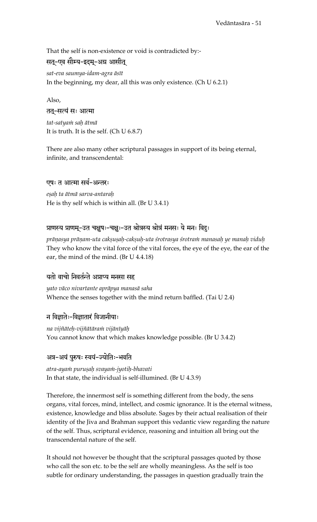That the self is non-existence or void is contradicted by:-

## सतू-एव सौम्य-इदम्-अग्र आसीत्

sat-eva saumya-idam-agra āsīt In the beginning, my dear, all this was only existence. (Ch  $U$  6.2.1)

Also,

#### तत्-सत्यं सः आत्मा

tat-satyaṁ saḥ ātmā It is truth. It is the self. (Ch U 6.8.7)

There are also many other scriptural passages in support of its being eternal, infinite, and transcendental:

## एषः त आत्मा सर्व-अन्तरः

esah ta ātmā sarva-antarah He is thy self which is within all. (Br  $U$  3.4.1)

## प्राणस्य प्राणम्-उत चक्षुषः-चक्षुः-उत श्रोत्रस्य श्रोत्रं मनसः ये मनः विदुः

prānasya prānam-uta caksusah-caksuh-uta śrotrasya śrotram manasah ye manah viduh They who know the vital force of the vital forces, the eye of the eye, the ear of the ear, the mind of the mind. (Br U 4.4.18)

## यतो वाचो निवर्तन्ते अप्राप्य मनसा सह

yato vāco nivartante aprāpya manasā saha Whence the senses together with the mind return baffled. (Tai U 2.4)

## न विज्ञातेः-विज्ञातारं विजानीयाः

na vijñāteḥ-vijñātāraṁ vijānīyāḥ You cannot know that which makes knowledge possible. (Br U 3.4.2)

## अत्र-अयं पुरुषः स्वयं-ज्योतिः-भवति

atra-ayam purusah svayam-jyotih-bhavati In that state, the individual is self-illumined. (Br U 4.3.9)

Therefore, the innermost self is something different from the body, the sens organs, vital forces, mind, intellect, and cosmic ignorance. It is the eternal witness, existence, knowledge and bliss absolute. Sages by their actual realisation of their identity of the Jiva and Brahman support this vedantic view regarding the nature of the self. Thus, scriptural evidence, reasoning and intuition all bring out the transcendental nature of the self.

It should not however be thought that the scriptural passages quoted by those who call the son etc. to be the self are wholly meaningless. As the self is too subtle for ordinary understanding, the passages in question gradually train the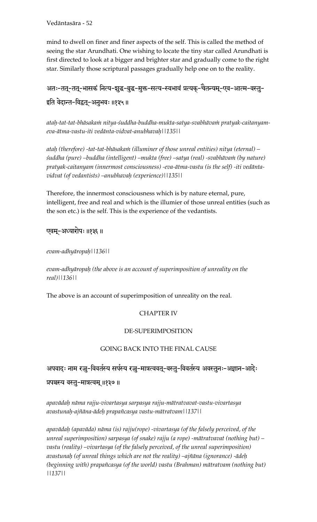Vedäntasära - 52

mind to dwell on finer and finer aspects of the self. This is called the method of seeing the star Arundhati. One wishing to locate the tiny star called Arundhati is first directed to look at a bigger and brighter star and gradually come to the right star. Similarly those scriptural passages gradually help one on to the reality.

अतः-तत्-तत्-भासकं नित्य-शुद्ध-बुद्ध-मुक्त-सत्य-स्वभावं प्रत्यक्-चैतन्यम्-एव-आत्म-वस्तु-इति वेदान्त-विद्वत्-अनुभवः ॥१३५॥

atah-tat-tat-bhāsakam nitya-śuddha-buddha-mukta-satya-svabhāvam pratyak-caitanyam*eva-ätma-vastu-iti vedänta-vidvat-anubhavaù||135||* 

ataḥ (therefore) -tat-tat-bhāsaka*in* (illuminer of those unreal entities) nitya (eternal) – *çuddha (pure) –buddha (intelligent) –mukta (free) –satya (real) -svabhävaà (by nature) pratyak-caitanyam (innermost consciousness) -eva-ätma-vastu (is the self) -iti vedäntavidvat (of vedantists) –anubhavaù (experience)||135||* 

Therefore, the innermost consciousness which is by nature eternal, pure, intelligent, free and real and which is the illumier of those unreal entities (such as the son etc.) is the self. This is the experience of the vedantists.

## एवम्-अध्यारोपः ॥१३६॥

*evam-adhyäropaù||136||* 

*evam-adhyäropaù (the above is an account of superimposition of unreality on the real)||136||* 

The above is an account of superimposition of unreality on the real.

#### CHAPTER IV

#### DE-SUPERIMPOSITION

#### GOING BACK INTO THE FINAL CAUSE

#### अपवादः नाम रज्जू-विवर्तस्य सर्पस्य रज्जू-मात्रत्ववतू-वस्तु-विवर्तस्य अवस्तुनः-अज्ञान-आदेः

#### प्रपञ्चस्य वस्तु-मात्रत्वम् ॥१३७॥

*apavädaù näma rajju-vivartasya sarpasya rajju-mätratvavat-vastu-vivartasya avastunaù-ajïäna-ädeù prapaïcasya vastu-mätratvam||137||* 

*apavädaù (apaväda) näma (is) rajju(rope) -vivartasya (of the falsely perceived, of the unreal superimposition) sarpasya (of snake) rajju (a rope) -mätratvavat (nothing but) –* vastu (reality) –vivartasya (of the falsely perceived, of the unreal superimposition) *avastunaù (of unreal things which are not the reality) –ajïäna (ignorance) -ädeù (beginning with) prapaïcasya (of the world) vastu (Brahman) mätratvam (nothing but) ||137||*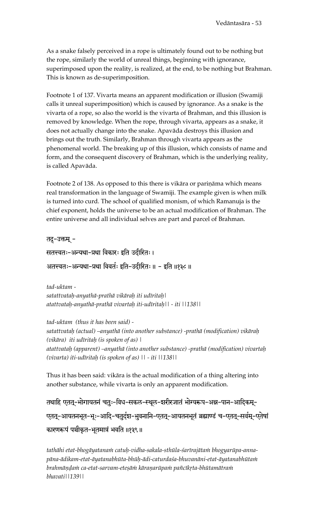As a snake falsely perceived in a rope is ultimately found out to be nothing but the rope, similarly the world of unreal things, beginning with ignorance, superimposed upon the reality, is realized, at the end, to be nothing but Brahman. This is known as de-superimposition.

Footnote 1 of 137. Vivarta means an apparent modification or illusion (Swamiji calls it unreal superimposition) which is caused by ignorance. As a snake is the vivarta of a rope, so also the world is the vivarta of Brahman, and this illusion is removed by knowledge. When the rope, through vivarta, appears as a snake, it does not actually change into the snake. Apaväda destroys this illusion and brings out the truth. Similarly, Brahman through vivarta appears as the phenomenal world. The breaking up of this illusion, which consists of name and form, and the consequent discovery of Brahman, which is the underlying reality, is called Apaväda.

Footnote 2 of 138. As opposed to this there is vikāra or pariņāma which means real transformation in the language of Swamiji. The example given is when milk is turned into curd. The school of qualified monism, of which Ramanuja is the chief exponent, holds the universe to be an actual modification of Brahman. The entire universe and all individual selves are part and parcel of Brahman.

तदु-उक्तम् -

सतत्त्वतः-अन्यथा-प्रथा विकारः इति उदीरितः । अतत्त्वतः-अन्यथा-प्रथा विवर्तः इति-उदीरितः ॥ - इति ॥१३८ ॥

*tad-uktam satattvataù-anyathä-prathä vikäraù iti udéritaù| atattvataù-anyathä-prathä vivartaù iti-udéritaù|| - iti ||138||* 

*tad-uktam (thus it has been said) satattvataù (actual) –anyathä (into another substance) -prathä (modification) vikäraù (vikāra) iti udīritaḥ (is spoken of as)* | *atattvataù (apparent) –anyathä (into another substance) -prathä (modification) vivartaù (vivarta) iti-udéritaù (is spoken of as) || - iti ||138||* 

Thus it has been said: vikära is the actual modification of a thing altering into another substance, while vivarta is only an apparent modification.

तथाहि एततू-भोगायतनं चतुः-विध-सकल-स्थूल-शरीरजातं भोग्यरूप-अन्न-पान-आदिकम्-एतत्-आयतनभूत-भूः-आदि-चतुर्दश-भुवनानि-एतत्-आयतनभूतं ब्रह्माण्डं च-एतत्-सर्वम्-एतेषां कारणरूपं पञ्चीकृत-भूतमात्रं भवति ॥१३९॥

tathāhi etat-bhogāyatana $\dot{m}$  catuḥ-vidha-sakala-sthūla-śarīrajāta $\dot{m}$  bhogyarūpa-anna*päna-ädikam-etat-äyatanabhüta-bhüù-ädi-caturdaça-bhuvanäni-etat-äyatanabhütaà*  brahmāņda $\dot m$  ca-etat-sarvam-eteșā $\dot m$  kāranarūpa $\dot m$  pañcīkṛta-bhūtamātra $\dot m$ *bhavati||139||*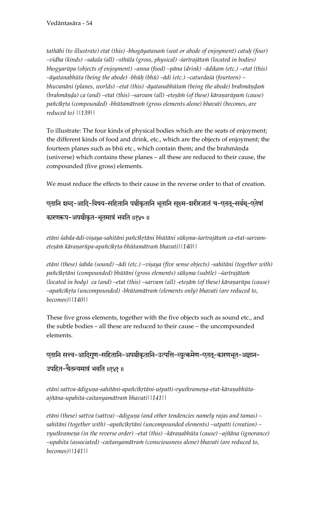tathāhi (to illustrate) etat (this) -bhogāyatanam (seat or abode of enjoyment) catuh (four) *–vidha (kinds) –sakala (all) –sthüla (gross, physical) -çarérajätaà (located in bodies) bhogyarüpa (objects of enjoyment) –anna (food) –päna (drink) –ädikam (etc.) –etat (this) –äyatanabhüta (being the abode) -bhüù (bhü) –ädi (etc.) –caturdaça (fourteen) –* bhuvanāni (planes, worlds) –etat (this) -āyatanabhūta*in (being the abode) brahmāndain (brahmānda) ca (and) –etat (this) –sarvam (all) -eteșām (of these) kāranarūpam (cause)* pañcīkṛta (compounded) -bhūtamātraṁ (gross elements alone) bhavati (becomes, are *reduced to) ||139||* 

To illustrate: The four kinds of physical bodies which are the seats of enjoyment; the different kinds of food and drink, etc., which are the objects of enjoyment; the fourteen planes such as bhū etc., which contain them; and the brahmāņḍa (universe) which contains these planes – all these are reduced to their cause, the compounded (five gross) elements.

We must reduce the effects to their cause in the reverse order to that of creation.

# एतानि शब्द-आदि-विषय-सहितानि पञ्चीकृतानि भूतानि सूक्ष्म-शरीरजातं च-एतत्-सर्वम्-एतेषां कारणरूप-अपञ्चीकृत-भूतमात्रं भवति ॥१४०॥

etāni śabda-ādi-visaya-sahitāni pañcīkṛtāni bhūtāni sūkṣma-śarīrajātaṁ ca-etat-sarvam*eteñäà käraëarüpa-apaïcékåta-bhütamätraà bhavati||140||* 

etāni (these) śabda (sound) –ādi (etc.) –viṣaya (five sense objects) -sahitāni (together with) pañcīkṛtāni (compounded) bhūtāni (gross elements) sūkṣma (subtle) –śarīrajātaṁ *(located in body) ca (and) –etat (this) –sarvam (all) -etesām (of these) kāranarūpa (cause) –apaïcékåta (uncompounded) -bhütamätraà (elements only) bhavati (are reduced to, becomes)||140||*

These five gross elements, together with the five objects such as sound etc., and the subtle bodies – all these are reduced to their cause – the uncompounded elements.

एतानि सत्त्व-आदिगुण-सहितानि-अपञ्चीकृतानि-उत्पत्ति-व्युत्क्रमेण-एतत्-कारणभूत-अज्ञान-उपहित-चैतन्यमात्रं भवति ॥१४१॥

etāni sattva-ādiguņa-sahitāni-apañcīkrtāni-utpatti-vyutkrameņa-etat-kāraņabhūta*ajïäna-upahita-caitanyamätraà bhavati||141||* 

*etāni (these) sattva (sattva) –ādiguna (and other tendencies namely rajas and tamas) – sahitäni (together with) –apaïcékåtäni (uncompounded elements) –utpatti (creation) – vyutkramena (in the reverse order) –etat (this) –kāraṇabhūta (cause) –ajñāna (ignorance) –upahita (associated) -caitanyamätraà (consciousness alone) bhavati (are reduced to, becomes)||141||*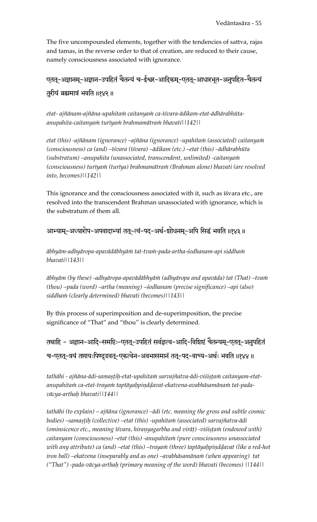The five uncompounded elements, together with the tendencies of sattva, rajas and tamas, in the reverse order to that of creation, are reduced to their cause, namely consciousness associated with ignorance.

एतत्-अज्ञानम्-अज्ञान-उपहितं चैतन्यं च-ईश्वर-आदिकम्-एतत्-आधारभूत-अनुपहित-चैतन्यं तुरीयं ब्रह्ममात्रं भवति ॥१४२॥

etat- ajñānam-ajñāna-upahitam caitanyam ca-īśvara-ādikam-etat-ādhārabhūta*anupahita-caitanyaà turéyaà brahmamätraà bhavati||142||* 

etat (this) -ajñānam (ignorance) –ajñāna (ignorance) -upahitam (associated) caitanyam *(consciousness) ca (and) –éçvara (éçvara) –ädikam (etc.) –etat (this) –ädhärabhüta (substratum) –anupahita (unassociated, transcendent, unlimited) -caitanyaà (consciousness) turéyaà (turéya) brahmamätraà (Brahman alone) bhavati (are resolved into, becomes)||142||* 

This ignorance and the consciousness associated with it, such as isvara etc., are resolved into the transcendent Brahman unassociated with ignorance, which is the substratum of them all.

आभ्याम्-अध्यारोप-अपवादाभ्यां तत्-त्वं-पद्-अर्थ-शोधनम्-अपि सिद्धं भवति ॥१४३॥

*äbhyäm-adhyäropa-apavädäbhyäà tat-tvaà-pada-artha-çodhanam-api siddhaà bhavati||143||* 

*äbhyäm (by these) -adhyäropa-apavädäbhyäà (adhyäropa and apaväda) tat (That) –tvaà (thou) –pada (word) –artha (meaning) –çodhanam (precise significance) –api (also) siddhaà (clearly determined) bhavati (becomes)||143||* 

By this process of superimposition and de-superimposition, the precise significance of "That" and "thou" is clearly determined.

तथाहि - अज्ञान-आदि-समष्टिः-एतत्-उपहितं सर्वज्ञत्व-आदि-विशिष्टं चैतन्यम्-एतत्-अनुपहितं च-एतत्-त्रयं तप्तायःपिण्दुडवत्-एकत्वेन-अवभासमानं तत्-पद-वाच्य-अर्थः भवति ॥१४४॥

tathāhi - ajñāna-ādi-samastih-etat-upahitam sarvajñatva-ādi-viśistam caitanyam-etatanupahitam ca-etat-trayam taptāyahpiņddavat-ekatvena-avabhāsamānam tat-pada*väcya-arthaù bhavati||144||* 

*tathähi (to explain) – ajïäna (ignorance) –ädi (etc. meaning the gross and subtle cosmic*  bodies) –samașțih (collective) –etat (this) -upahitam (associated) sarvajñatva-ādi *(ominsicence etc., meaning īśvara, hiranyagarbha and virāț) -viśistam (endowed with)* caitanyam (consciousness) –etat (this) -anupahitam (pure consciousness unassociated with any attribute) ca (and) –etat (this) –traya $m$  (three) taptāyahpindḍavat (like a red-hot iron ball) –ekatvena (inseparably and as one) –avabhāsamāna*in (when appearing)* tat *("That") -pada-väcya-arthaù (primary meaning of the word) bhavati (becomes) ||144||*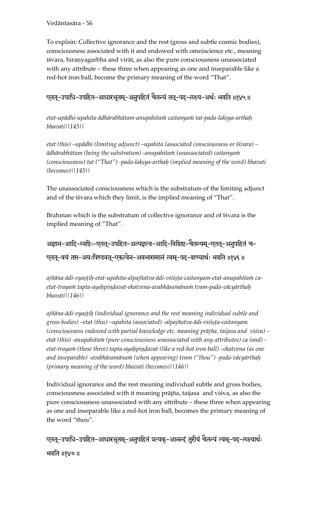Vedäntasära - 56

To explain: Collective ignorance and the rest (gross and subtle cosmic bodies), consciousness associated with it and endowed with omniscience etc., meaning īśvara, hiraņyagarbha and virāț, as also the pure consciousness unassociated with any attribute – these three when appearing as one and inseparable like a red-hot iron ball, become the primary meaning of the word "That".

# एतत्-उपाधि-उपहित-आधारभूतम्-अनुपहितं चैतन्यं तत्-पद्-लक्ष्य-अर्थः भवति ॥१४५॥

etat-upādhi-upahita-ādhārabhūtam-anupahita*n caitanyam tat-pada-lakṣya-arthaḥ bhavati||145||* 

*etat (this) –upädhi (limiting adjunct) –upahita (associated consciousness or éçvara) – ädhärabhütam (being the substratum) -anupahitaà (unassociated) caitanyaà (consciousness)* tat ("That") -pada-lakṣya-arthaḥ (implied meaning of the word) bhavati *(becomes)||145||* 

The unassociated consciousness which is the substratum of the limiting adjunct and of the isvara which they limit, is the implied meaning of "That".

Brahman which is the substratum of collective ignorance and of isvara is the implied meaning of "That".

अज्ञान-आदि-व्यष्टिः-एतत्-उपहित-अल्पज्ञत्व-आदि-विशिष्ट-चैतन्यम्-एतत्-अनुपहितं च-एतत्-त्रयं तप्त-अयःपिण्डवत्-एकत्वेन-अवभासमानं त्वम्-पद्-वाच्यार्थः भवति ॥१४६॥

ajñāna-ādi-vyașțih-etat-upahita-alpajñatva-ādi-viśișța-caitanyam-etat-anupahitam ca*etat-trayaà tapta-ayaùpiëòavat-ekatvena-avabhäsamänaà tvam-pada-väcyärthaù bhavati||146||* 

ajñāna-ādi-vyașțih (individual ignorance and the rest meaning individual subtle and *gross bodies) –etat (this) –upahita (associated) -alpajïatva-ädi-viçiñöa-caitanyam (consciousness endowed with partial knowledge etc. meaning präjïa, taijasa and viçva) – etat (this) -anupahitaà (pure consciousness unassociated with any attributes) ca (and)*  etat-traya $\dot{m}$  (these three) tapta-ayaḥpiṇḍavat (like a red-hot iron ball) –ekatvena (as one *and inseparable) -avabhäsamänaà (when appearing) tvam ("thou") -pada-väcyärthaù (primary meaning of the word) bhavati (becomes)||146||*

Individual ignorance and the rest meaning individual subtle and gross bodies, consciousness associated with it meaning prājña, taijasa and viśva, as also the pure consciousness unassociated with any attribute – these three when appearing as one and inseparable like a red-hot iron ball, becomes the primary meaning of the word "thou".

एतत्-उपाधि-उपहित-आधारभूतम्-अनुपहितं प्रत्यक्-आनन्दं तुरीयं चैतन्यं त्वम्-पद्-लक्ष्यार्थः भवति ॥१४७॥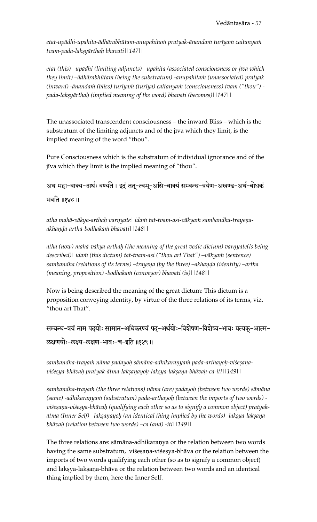etat-upādhi-upahita-ādhārabhūtam-anupahita*in pratyak-ānandain turīyain caitanyain tvam-pada-lakñyärthaù bhavati||147||* 

*etat (this) –upädhi (limiting adjuncts) –upahita (associated consciousness or jéva which they limit) –ädhärabhütam (being the substratum) -anupahitaà (unassociated) pratyak (inward) -ānandam (bliss) turīyam (turīya) caitanyam (consciousness) tvam ("thou") pada-lakñyärthaù (implied meaning of the word) bhavati (becomes)||147||*

The unassociated transcendent consciousness – the inward Bliss – which is the substratum of the limiting adjuncts and of the jīva which they limit, is the implied meaning of the word "thou".

Pure Consciousness which is the substratum of individual ignorance and of the jīva which they limit is the implied meaning of "thou".

अथ महा-वाक्य-अर्थः वर्ण्यते । इदं तत्-त्वम्-असि-वाक्यं सम्बन्ध-त्रयेण-अखण्ड-अर्थ-बोधकं भवति ॥१४८ ॥

atha mahā-vākya-arthah varņyatel idam tat-tvam-asi-vākyam sambandha-trayeņa*akhaëòa-artha-bodhakaà bhavati||148||* 

atha (now) mahā-vākya-arthaḥ (the meaning of the great vedic dictum) varnyate(is being described)| idam (this dictum) tat-tvam-asi ("thou art That") –vākyam (sentence) sambandha (relations of its terms) –trayena (by the three) –akhanda (identity) –artha *(meaning, proposition) -bodhakaà (conveyor) bhavati (is)||148||* 

Now is being described the meaning of the great dictum: This dictum is a proposition conveying identity, by virtue of the three relations of its terms, viz. "thou art That".

सम्बन्ध-त्रयं नाम पदयोः सामान-अधिकरण्यं पद-अर्थयोः-विशेषण-विशेष्य-भावः प्रत्यक-आत्म-ऌक्षणयोः−लक्ष्य−लक्षण−भावः−च−इति ॥१४९॥

sambandha-trayam nāma padayoh sāmāna-adhikaraņyam pada-arthayoh-viśesaņa*viçeñya-bhävaù pratyak-ätma-lakñaëayoù-lakñya-lakñaëa-bhävaù-ca-iti||149||* 

sambandha-trayam (the three relations) nāma (are) padayoḥ (between two words) sāmāna (same) -adhikaranyam (substratum) pada-arthayoh (between the imports of two words) viśesana-viśesya-bhāvah (qualifying each other so as to signify a common object) pratyak- $\bar{a}$ tma (Inner Self) –lakṣaṇayoḥ (an identical thing implied by the words) -lakṣya-lakṣaṇa*bhävaù (relation between two words) –ca (and) -iti||149||* 

The three relations are: sāmāna-adhikaraņya or the relation between two words having the same substratum, viśeṣaṇa-viśeṣya-bhāva or the relation between the imports of two words qualifying each other (so as to signify a common object) and lakṣya-lakṣaṇa-bhāva or the relation between two words and an identical thing implied by them, here the Inner Self.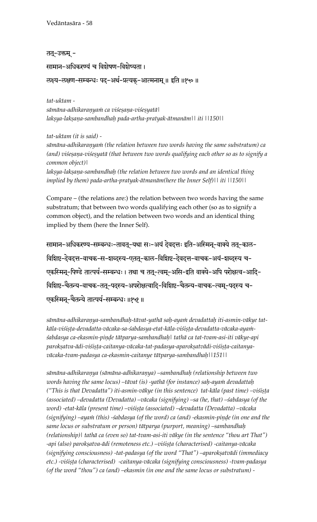Vedäntasära - 58

तत्-उक्तम् -

सामान-अधिकरण्यं च विशेषण-विशेष्यता ।

रुक्ष्य-लक्षण-सम्बन्धः पद्-अर्थ-प्रत्यक्-आत्मनाम् ॥ इति ॥१५० ॥

*tat-uktam sämäna-adhikaraëyaà ca viçeñaëa-viçeñyatä| lakñya-lakñaëa-sambandhaù pada-artha-pratyak-ätmanäm|| iti ||150||* 

*tat-uktam (it is said) sämäna-adhikaraëyaà (the relation between two words having the same substratum) ca*  (and) viśeșaņa-viśeșyatā (that between two words qualifying each other so as to signify a *common object)|*  lakṣya-lakṣaṇa-sambandhaḥ (the relation between two words and an identical thing *implied by them) pada-artha-pratyak-ätmanäm(here the Inner Self)|| iti ||150||* 

Compare – (the relations are:) the relation between two words having the same substratum; that between two words qualifying each other (so as to signify a common object), and the relation between two words and an identical thing implied by them (here the Inner Self).

सामान-अधिकरण्य-सम्बन्धः-तावतू-यथा सः-अयं देवदत्तः इति-अस्मिन्-वाक्ये ततू-काल-विशिष्ट-देवदत्त-वाचक-स-शब्दस्य-एतत्-काल-विशिष्ट-देवदत्त-वाचक-अयं-शब्दस्य च-एकस्मिन्-पिण्डे तात्पर्य-सम्बन्धः । तथा च तत्-त्वम्-असि-इति वाक्ये-अपि परोक्षत्व-आदि-विशिष्ट-चैतन्य-वाचक-तत्-पदस्य-अपरोक्षत्वादि-विशिष्ट-चैतन्य-वाचक-त्वम्-पदस्य च-एकस्मिन्-चैतन्ये तात्पर्य-सम्बन्धः ॥१५१॥

sāmāna-adhikaraņya-sambandhaḥ-tāvat-yathā saḥ-ayaṁ devadattaḥ iti-asmin-vākye tatkāla-viśiṣṭa-devadatta-vācaka-sa-śabdasya-etat-kāla-viśiṣṭa-devadatta-vācaka-ayaṁ*çabdasya ca-ekasmin-piëòe tätparya-sambandhaù| tathä ca tat-tvam-asi-iti väkye-api*  parokṣatva-ādi-viśiṣṭa-caitanya-vācaka-tat-padasya-aparokṣatvādi-viśiṣṭa-caitanya*väcaka-tvam-padasya ca-ekasmin-caitanye tätparya-sambandhaù||151||* 

*sämäna-adhikaraëya (sämäna-adhikaraëya) –sambandhaù (relationship between two*  words having the same locus) –tāvat (is) -yathā (for instance) saḥ-ayaṁ devadattaḥ ("This is that Devadatta") iti-asmin-vākye (in this sentence) tat-kāla (past time) –viśista *(associated) –devadatta (Devadatta) –väcaka (signifying) –sa (he, that) –çabdasya (of the word) -etat-käla (present time) –viçiñöa (associated) –devadatta (Devadatta) –väcaka*  (signifying) –ayam (this) -*śabdasya (of the word) ca (and) -ekasmin-pinde (in one and the same locus or substratum or person) tätparya (purport, meaning) –sambandhaù (relationship)| tathä ca (even so) tat-tvam-asi-iti väkye (in the sentence "thou art That")*  -api (also) parokșatva-ādi (remoteness etc.) –viśișța (characterised) -caitanya-vācaka (signifying consciousness) -tat-padasya (of the word "That") –aparokṣatvādi (immediacy etc.) -viśiṣṭa (characterised) -caitanya-vācaka (signifying consciousness) -tvam-padasya *(of the word "thou") ca (and) –ekasmin (in one and the same locus or substratum) -*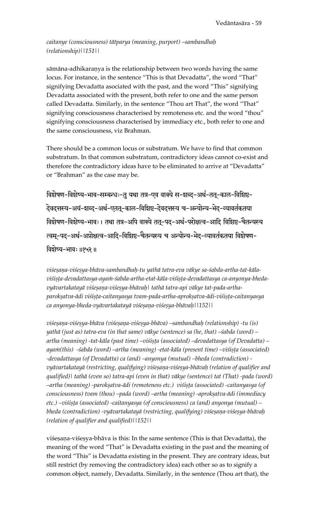#### *caitanye (consciousness) tätparya (meaning, purport) –sambandhaù (relationship)||151||*

sāmāna-adhikaraņya is the relationship between two words having the same locus. For instance, in the sentence "This is that Devadatta", the word "That" signifying Devadatta asociated with the past, and the word "This" signifying Devadatta associated with the present, both refer to one and the same person called Devadatta. Similarly, in the sentence "Thou art That", the word "That" signifying consciousness characterised by remoteness etc. and the word "thou" signifying consciousness characterised by immediacy etc., both refer to one and the same consciousness, viz Brahman.

There should be a common locus or substratum. We have to find that common substratum. In that common substratum, contradictory ideas cannot co-exist and therefore the contradictory ideas have to be eliminated to arrive at "Devadatta" or "Brahman" as the case may be.

विशेषण-विशेष्य-भाव-सम्बन्धः-तु यथा तत्र-एव वाक्ये स-शब्द-अर्थ-तत्-काल-विशिष्ट-.<br>देवदत्तस्य-अयं-शब्द-अर्थ-एतत्-काल-विशिष्ट-देवदत्तस्य च-अन्योन्य-भेद-व्यावर्तकतया विशेषण-विशेष्य-भावः । तथा तत्र-अपि वाक्ये तत्-पद्-अर्थ-परोक्षत्व-आदि विशिष्ट-चैतन्यस्य त्वम्-पद-अर्थ-अप्रोक्षत्व-आदि-विशिष्ट-चैतन्यस्य च अन्योन्य-भेद-व्यावर्तकतया विशेषण-विशेष्य-भावः ॥१५२॥

viśeṣaṇa-viśeṣya-bhāva-sambandhaḥ-tu yathā tatra-eva vākye sa-śabda-artha-tat-kālaviśista-devadattasya-aya*in-śabda-artha-etat-kāla-viśista-devadattasya ca-anyonya-bheda*vyāvartakatayā viśesaņa-viśesya-bhāvah| tathā tatra-api vākye tat-pada-arthaparokṣatva-ādi viśiṣṭa-caitanyasya tvam-pada-artha-aprokṣatva-ādi-viśiṣṭa-caitanyasya *ca anyonya-bheda-vyävartakatayä viçeñaëa-viçeñya-bhävaù||152||* 

viśesaņa-viśesya-bhāva (viśesaņa-viśesya-bhāva) –sambandhaḥ (relationship) -tu (is) *yathä (just as) tatra-eva (in that same) väkye (sentence) sa (he, that) –çabda (word) – artha (meaning) -tat-käla (past time) –viçiñöa (associated) –devadattasya (of Devadatta) –* ayam(this) -śabda (word) –artha (meaning) -etat-kāla (present time) –viśista (associated) *-devadattasya (of Devadatta) ca (and) –anyonya (mutual) –bheda (contradiction)*  vyāvartakatayā (restricting, qualifying) viśeṣaṇa-viśeṣya-bhāvaḥ (relation of qualifier and *qualified)| tathä (even so) tatra-api (even in that) väkye (sentence) tat (That) -pada (word) –artha (meaning) -parokṣatva-ādi (remoteness etc.) viśiṣṭa (associated) -caitanyasya (of* consciousness) tvam (thou) –pada (word) –artha (meaning) -aprokṣatva-ādi (immediacy *etc.) –viśista (associated) -caitanyasya (of consciousness) ca (and) anyonya (mutual) –* bheda (contradiction) -vyāvartakatayā (restricting, qualifying) viśeṣaṇa-viśeṣya-bhāvaḥ *(relation of qualifier and qualified)||152||* 

viśesana-viśesya-bhāva is this: In the same sentence (This is that Devadatta), the meaning of the word "That" is Devadatta existing in the past and the meaning of the word "This" is Devadatta existing in the present. They are contrary ideas, but still restrict (by removing the contradictory idea) each other so as to signify a common object, namely, Devadatta. Similarly, in the sentence (Thou art that), the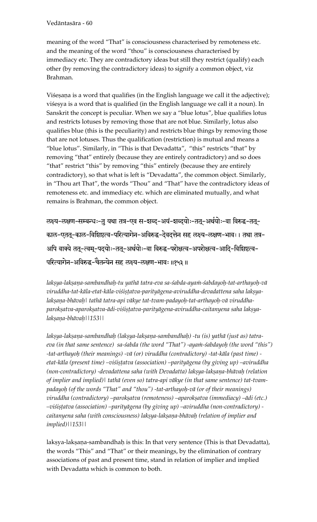Vedäntasära - 60

meaning of the word "That" is consciousness characterised by remoteness etc. and the meaning of the word "thou" is consciousness characterised by immediacy etc. They are contradictory ideas but still they restrict (qualify) each other (by removing the contradictory ideas) to signify a common object, viz Brahman.

Visesana is a word that qualifies (in the English language we call it the adjective); viśesya is a word that is qualified (in the English language we call it a noun). In Sanskrit the concept is peculiar. When we say a "blue lotus", blue qualifies lotus and restricts lotuses by removing those that are not blue. Similarly, lotus also qualifies blue (this is the peculiarity) and restricts blue things by removing those that are not lotuses. Thus the qualification (restriction) is mutual and means a "blue lotus". Similarly, in "This is that Devadatta", "this" restricts "that" by removing "that" entirely (because they are entirely contradictory) and so does "that" restrict "this" by removing "this" entirely (because they are entirely contradictory), so that what is left is "Devadatta", the common object. Similarly, in "Thou art That", the words "Thou" and "That" have the contradictory ideas of remoteness etc. and immediacy etc. which are eliminated mutually, and what remains is Brahman, the common object.

ऌक्ष्य-ऌक्षण-सम्बन्धः-तु यथा तत्र-एव स-शब्द-अयं-शब्दयोः-तत्-अर्थयोः-वा विरुद्ध-तत्-काल-एतत्-काल-विशिष्टत्व-परित्यागेन-अविरुद्ध-देवदत्तेन सह लक्ष्य-लक्षण-भावः । तथा तत्र-अपि वाक्ये तत्-त्वम्-पद्योः-तत्-अर्थयोः-वा विरुद्ध-परोक्षत्व-अपरोक्षत्व-आदि-विशिष्टत्व-परित्यागेन-अविरुद्ध-चैतन्येन सह लक्ष्य-लक्षण-भावः ॥१५३॥

*lakñya-lakñaëa-sambandhaù-tu yathä tatra-eva sa-çabda-ayaà-çabdayoù-tat-arthayoù-vä*  viruddha-tat-kāla-etat-kāla-viśiṣṭatva-parityāgena-aviruddha-devadattena saha lakṣyalakṣaṇa-bhāvaḥ | tathā tatra-api vākye tat-tvam-padayoḥ-tat-arthayoḥ-vā viruddhaparokṣatva-aparokṣatva-ādi-viśiṣṭatva-parityāgena-aviruddha-caitanyena saha lakṣya*lakñaëa-bhävaù||153||* 

lakṣya-lakṣaṇa-sambandhaḥ (lakṣya-lakṣaṇa-sambandhaḥ) -tu (is) yathā (just as) tatraeva (in that same sentence) sa-*śabda (the word "That") -ayam-śabdayoh (the word "this") -tat-arthayoù (their meanings) -vä (or) viruddha (contradictory) -tat-käla (past time)*  etat-kāla (present time) –viśistatva (association) –parityāgena (by giving up) –aviruddha (non-contradictory) -devadattena saha (with Devadatta) lakṣya-lakṣaṇa-bhāvaḥ (relation *of implier and implied)| tathä (even so) tatra-api väkye (in that same sentence) tat-tvampadayoù (of the words "That" and "thou") -tat-arthayoù-vä (or of their meanings)*  viruddha (contradictory) –parokṣatva (remoteness) –aparokṣatva (immediacy) –ādi (etc.) *–viçiñöatva (association) –parityägena (by giving up) –aviruddha (non-contradictory) caitanyena saha (with consciousness) lakñya-lakñaëa-bhävaù (relation of implier and implied)||153||*

lakṣya-lakṣaṇa-sambandhaḥ is this: In that very sentence (This is that Devadatta), the words "This" and "That" or their meanings, by the elimination of contrary associations of past and present time, stand in relation of implier and implied with Devadatta which is common to both.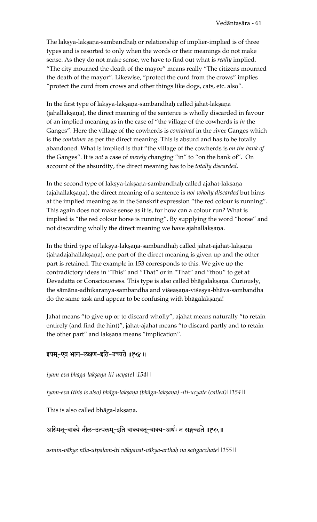The lakṣya-lakṣaṇa-sambandhaḥ or relationship of implier-implied is of three types and is resorted to only when the words or their meanings do not make sense. As they do not make sense, we have to find out what is *really* implied. "The city mourned the death of the mayor" means really "The citizens mourned the death of the mayor". Likewise, "protect the curd from the crows" implies "protect the curd from crows and other things like dogs, cats, etc. also".

In the first type of lakṣya-lakṣaṇa-sambandhaḥ called jahat-lakṣaṇa (jahallakṣaṇa), the direct meaning of the sentence is wholly discarded in favour of an implied meaning as in the case of "the village of the cowherds is *in* the Ganges". Here the village of the cowherds is *contained* in the river Ganges which is the *container* as per the direct meaning. This is absurd and has to be totally abandoned. What is implied is that "the village of the cowherds is *on the bank of* the Ganges". It is *not* a case of *merely* changing "in" to "on the bank of". On account of the absurdity, the direct meaning has to be *totally discarded*.

In the second type of lakṣya-lakṣaṇa-sambandhaḥ called ajahat-lakṣaṇa (ajahallakṣaṇa), the direct meaning of a sentence is not wholly discarded but hints at the implied meaning as in the Sanskrit expression "the red colour is running". This again does not make sense as it is, for how can a colour run? What is implied is "the red colour horse is running". By supplying the word "horse" and not discarding wholly the direct meaning we have ajahallakṣaṇa.

In the third type of lakṣya-lakṣaṇa-sambandhaḥ called jahat-ajahat-lakṣaṇa (jahadajahallakṣaṇa), one part of the direct meaning is given up and the other part is retained. The example in 153 corresponds to this. We give up the contradictory ideas in "This" and "That" or in "That" and "thou" to get at Devadatta or Consciousness. This type is also called bhāgalakṣaṇa. Curiously, the sāmāna-adhikaraņya-sambandha and viśeaṣaṇa-viśeṣya-bhāva-sambandha do the same task and appear to be confusing with bhāgalakṣaṇa!

Jahat means "to give up or to discard wholly", ajahat means naturally "to retain entirely (and find the hint)", jahat-ajahat means "to discard partly and to retain the other part" and lakṣaṇa means "implication".

## इयम्-एव भाग-लक्षण-इति-उच्यते ॥१५४॥

#### *iyam-eva bhäga-lakñaëa-iti-ucyate||154||*

*iyam-eva (this is also) bhāga-lakṣaṇa (bhāga-lakṣaṇa) -iti-ucyate (called)*||154||

This is also called bhāga-lakṣaṇa.

## अस्मिन्-वाक्ये नील-उत्पलम्-इति वाक्यवत्-वाक्य-अर्थः न सङ्गच्छते ॥१५५॥

*asmin-väkye néla-utpalam-iti väkyavat-väkya-arthaù na saìgacchate||155||*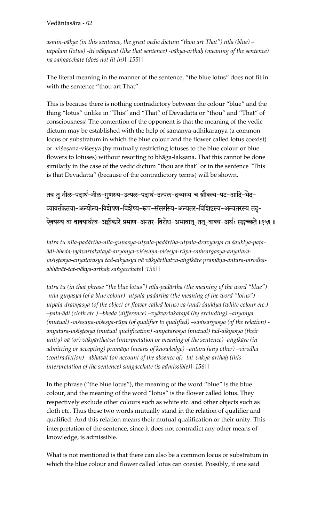Vedāntasāra - 62

asmin-vākye (in this sentence, the great vedic dictum "thou art That") nīla (blue) – utpalam (lotus) -iti vākyavat (like that sentence) -vākya-arthah (meaning of the sentence) na sangacchate (does not fit in) | | 155 | |

The literal meaning in the manner of the sentence, "the blue lotus" does not fit in with the sentence "thou art That".

This is because there is nothing contradictory between the colour "blue" and the thing "lotus" unlike in "This" and "That" of Devadatta or "thou" and "That" of consciousness! The contention of the opponent is that the meaning of the vedic dictum may be established with the help of sāmānya-adhikaranya (a common locus or substratum in which the blue colour and the flower called lotus coexist) or viśesaņa-viśesya (by mutually restricting lotuses to the blue colour or blue flowers to lotuses) without resorting to bhaga-lakṣaṇa. That this cannot be done similarly in the case of the vedic dictum "thou are that" or in the sentence "This is that Devadatta" (because of the contradictory terms) will be shown.

तत्र तु नील-पदार्थ-नील-गुणस्य-उत्पल-पदार्थ-उत्पल-द्रव्यस्य च शौक्ल्य-पट-आदि-भेद-व्यावर्तकतया-अन्योन्य-विशेषण-विशेष्य-रूप-संसर्गस्य-अन्यतर-विशिष्टस्य-अन्यतरस्य तदु-ऐक्यस्य वा वाक्यार्थत्व-अङ्गीकारे प्रमाण-अन्तर-विरोध-अभावात्-तत्-वाक्य-अर्थः सङ्गच्छते ॥१५६॥

tatra tu nīla-padārtha-nīla-guņasya-utpala-padārtha-utpala-dravyasya ca śauklya-paṭaādi-bheda-vyāvartakatayā-anyonya-viśeṣaṇa-viśeṣya-rūpa-saṁsargasya-anyataraviśistasya-anyatarasya tad-aikyasya vā vākyārthatva-aṅgīkāre pramāṇa-antara-virodhaabhāvāt-tat-vākya-arthaḥ saṅgacchate||156||

tatra tu (in that phrase "the blue lotus") nīla-padārtha (the meaning of the word "blue") -nīla-guṇasya (of a blue colour) -utpala-padārtha (the meaning of the word "lotus") utpala-dravyasya (of the object or flower called lotus) ca (and) śauklya (white colour etc.) –paṭa-ādi (cloth etc.) –bheda (difference) –vyāvartakatayā (by excluding) –anyonya (mutual) -viśesana-viśesya-rūpa (of qualifier to qualified) –samsargasya (of the relation) anyatara-viśiṣṭasya (mutual qualification) -anyatarasya (mutual) tad-aikyasya (their unity) vā (or) vākyārthatva (interpretation or meaning of the sentence) -angīkāre (in admitting or accepting) pramāṇa (means of knowledge) –antara (any other) –virodha (contradiction) – abhāvāt (on account of the absence of) - tat-vākya-arthaḥ (this interpretation of the sentence) sangacchate (is admissible) | | 156 | |

In the phrase ("the blue lotus"), the meaning of the word "blue" is the blue colour, and the meaning of the word "lotus" is the flower called lotus. They respectively exclude other colours such as white etc. and other objects such as cloth etc. Thus these two words mutually stand in the relation of qualifier and qualified. And this relation means their mutual qualification or their unity. This interpretation of the sentence, since it does not contradict any other means of knowledge, is admissible.

What is not mentioned is that there can also be a common locus or substratum in which the blue colour and flower called lotus can coexist. Possibly, if one said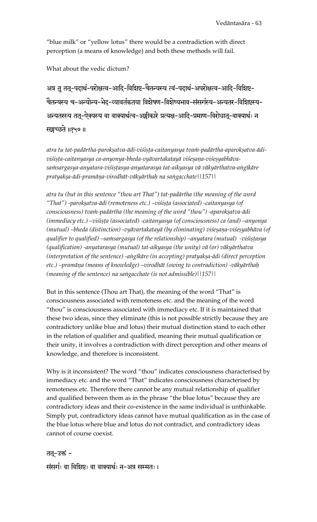"blue milk" or "yellow lotus" there would be a contradiction with direct perception (a means of knowledge) and both these methods will fail.

What about the vedic dictum?

अत्र तु तत्-पदार्थ-परोक्षत्व-आदि-विशिष्ट-चैतन्यस्य त्वं-पदार्थ-अपरोक्षत्व-आदि-विशिष्ट-चैतन्यस्य च-अन्योन्य-भेद-व्यावर्तकतया विशेषण-विशेष्यभाव-संसर्गस्य-अन्यतर-विशिष्टस्य-अन्यतरस्य तत्-ऐक्यस्य वा वाक्यार्थत्व-अङ्गीकारे प्रत्यक्ष-आदि-प्रमाण-विरोधात्-वाक्यार्थः न सङ्गच्छते ॥१५७॥

atra tu tat-padārtha-parokṣatva-ādi-viśiṣṭa-caitanyasya tvaṁ-padārtha-aparokṣatva-ādiviśista-caitanyasya ca-anyonya-bheda-vyāvartakatayā viśesaņa-viśesyabhāvasa $m$ sargasya-anyatara-viśiṣṭasya-anyatarasya tat-aikyasya vā vākyārthatva-aṅgīkāre *pratyakña-ädi-pramäëa-virodhät-väkyärthaù na saìgacchate||157||* 

*atra tu (but in this sentence "thou art That") tat-padärtha (the meaning of the word*  "That") -parokșatva-ādi (remoteness etc.) –vi*śi*sta (associated) -caitanyasya (of *consciousness) tvam-padārtha (the meaning of the word "thou") -aparokṣatva-ādi (immediacy etc.) –viśista (associated) -caitanyasya (of consciousness) ca (and) –anyonya* (mutual) –bheda (distinction) -vyāvartakatayā (by eliminating) viśeṣaṇa-viśeṣyabhāva (of qualifier to qualified) –samsargasya (of the relationship) –anyatara (mutual) *-viśistasya (qualification) -anyatarasya (mutual) tat-aikyasya (the unity) vä (or) väkyärthatva*  (interpretation of the sentence) -angīkāre (in accepting) pratyakṣa-ādi (direct perception *etc.) –pramäëa (means of knowledge) –virodhät (owing to contradiction) -väkyärthaù (meaning of the sentence) na saìgacchate (is not admissible)||157||* 

But in this sentence (Thou art That), the meaning of the word "That" is consciousness associated with remoteness etc. and the meaning of the word "thou" is consciousness associated with immediacy etc. If it is maintained that these two ideas, since they eliminate (this is not possible strictly because they are contradictory unlike blue and lotus) their mutual distinction stand to each other in the relation of qualifier and qualified, meaning their mutual qualification or their unity, it involves a contradiction with direct perception and other means of knowledge, and therefore is inconsistent.

Why is it inconsistent? The word "thou" indicates consciousness characterised by immediacy etc. and the word "That" indicates consciousness characterised by remoteness etc. Therefore there cannot be any mutual relationship of qualifier and qualified between them as in the phrase "the blue lotus" because they are contradictory ideas and their co-existence in the same individual is unthinkable. Simply put, contradictory ideas cannot have mutual qualification as in the case of the blue lotus where blue and lotus do not contradict, and contradictory ideas cannot of course coexist.

तत्-उक्तं -संसर्गः वा विशिष्टः वा वाक्यार्थः न-अत्र सम्मतः।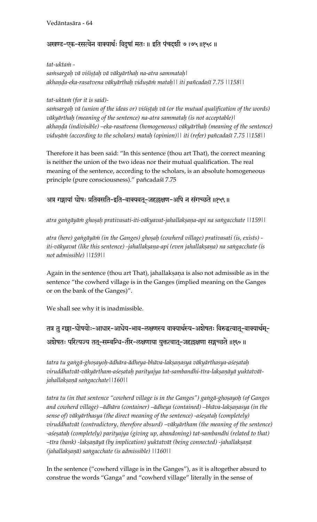## अखण्ड-एक-रसत्वेन वाक्यार्थः विदुषां मतः ॥ इति पंचदशी ७ ।७५ ॥१५८ ॥

*tat-uktaà -* 

*saàsargaù vä viçiñöaù vä väkyärthaù na-atra sammataù| akhaëòa-eka-rasatvena väkyärthaù viduñäà mataù|| iti païcadaçé 7.75 ||158||* 

#### *tat-uktaà (for it is said)-*

sa $m$ sargah vā (union of the ideas or) viśistah vā (or the mutual qualification of the words) *väkyärthaù (meaning of the sentence) na-atra sammataù (is not acceptable)| akhaëòa (indivisible) –eka-rasatvena (homogeneous) väkyärthaù (meaning of the sentence) vidușām (according to the scholars) mataḥ (opinion)|| iti (refer) pañcadaśī 7.75 ||158||* 

Therefore it has been said: "In this sentence (thou art That), the correct meaning is neither the union of the two ideas nor their mutual qualification. The real meaning of the sentence, according to the scholars, is an absolute homogeneous principle (pure consciousness)." pañcadaśī 7.75

## अत्र गङ्गायां घोषः प्रतिवसति-इति-वाक्यवत्-जहल्लक्षण-अपि न संगच्छते ॥१५९॥

atra gangāyām ghoșah prativasati-iti-vākyavat-jahallakṣaṇa-api na sangacchate ||159||

atra (here) gangāyām (in the Ganges) ghoṣaḥ (cowherd village) prativasati (is, exists) iti-vākyavat (like this sentence) -jahallakṣaṇa-api (even jahallakṣaṇa) na saṅgacchate (is *not admissible) ||159||*

Again in the sentence (thou art That), jahallakṣaṇa is also not admissible as in the sentence "the cowherd village is in the Ganges (implied meaning on the Ganges or on the bank of the Ganges)".

We shall see why it is inadmissible.

# तत्र तु गङ्गा-घोषयोः-आधार-आधेय-भाव-लक्षणस्य वाक्यार्थस्य-अशेषतः विरुद्धत्वात्-वाक्यार्थम्-अशेषतः परित्यज्य तत्-सम्बन्धि-तीर-लक्षणाया युक्तत्वात्-जहल्लक्षणा सङ्गच्छते ॥१६०॥

*tatra tu gaìgä-ghoñayoù-ädhära-ädheya-bhäva-lakñaëasya väkyärthasya-açeñataù*  viruddhatvāt-vākyārtham-aśeṣataḥ parityajya tat-sambandhi-tīra-lakṣaṇāyā yuktatvāt*jahallakñaëä saìgacchate||160||* 

tatra tu (in that sentence "cowherd village is in the Ganges") gangā-ghoṣayoḥ (of Ganges and cowherd village) –ādhāra (container) –ādheya (contained) –bhāva-lakṣaṇasya (in the *sense of) vākyārthasya (the direct meaning of the sentence) -aśeṣataḥ (completely) viruddhatvät (contradictory, therefore absurd) –väkyärtham (the meaning of the sentence)*  -aśeṣataḥ (completely) parityajya (giving up, abandoning) tat-sambandhi (related to that) *–téra (bank) -lakñaëäyä (by implication) yuktatvät (being connected) -jahallakñaëä (jahallakñaëä) saìgacchate (is admissible) ||160||* 

In the sentence ("cowherd village is in the Ganges"), as it is altogether absurd to construe the words "Ganga" and "cowherd village" literally in the sense of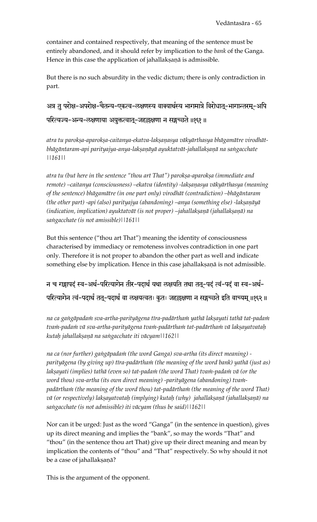container and contained respectively, that meaning of the sentence must be entirely abandoned, and it should refer by implication to the *bank* of the Ganga. Hence in this case the application of jahallakṣaṇā is admissible.

But there is no such absurdity in the vedic dictum; there is only contradiction in part.

अत्र तु परोक्ष-अपरोक्ष-चैतन्य-एकत्व-लक्षणस्य वाक्यार्थस्य भागमात्रे विरोधात्-भागान्तरम्-अपि परित्यज्य-अन्य-लक्षणाया अयुक्तत्वात्-जहल्लक्षणा न सङ्गच्छते ॥१६१॥

atra tu paroksa-aparoksa-caitanya-ekatva-laksanasya vākyārthasya bhāgamātre virodhātbhāgāntaram-api parityajya-anya-lakṣaṇāyā ayuktatvāt-jahallakṣaṇā na saṅgacchate *||161||* 

atra tu (but here in the sentence "thou art That") parokṣa-aparokṣa (immediate and remote) –caitanya (consciousness) –ekatva (identity) -lakṣaṇasya vākyārthasya (meaning *of the sentence) bhägamätre (in one part only) virodhät (contradiction) –bhägäntaram (the other part) -api (also) parityajya (abandoning) –anya (something else) -lakṣaṇāyā (indication, implication) ayuktatvāt (is not proper) –jahallakṣaṇā (jahallakṣaṇā) na saìgacchate (is not amissible)||161||* 

But this sentence ("thou art That") meaning the identity of consciousness characterised by immediacy or remoteness involves contradiction in one part only. Therefore it is not proper to abandon the other part as well and indicate something else by implication. Hence in this case jahallakṣaṇā is not admissible.

न च गङ्गापदं स्व-अर्थ-परित्यागेन तीर-पदार्थं यथा लक्षयति तथा ततु-पदं त्वं-पदं वा स्व-अर्थ-परित्यागेन त्वं-पदार्थं तत्-पदार्थं वा लक्षयत्वतः कुतः जहल्लक्षणा न सङ्गच्छते इति वाच्यम् ॥१६२॥

na ca gangāpadaṁ sva-artha-parityāgena tīra-padārthaṁ yathā lakṣayati tathā tat-padaṁ tvam-padam vā sva-artha-parityāgena tvam-padārtham tat-padārtham vā lakṣayatvataḥ *kutaù jahallakñaëä na saìgacchate iti väcyam||162||* 

*na ca (nor further) gaìgäpadaà (the word Ganga) sva-artha (its direct meaning)*  parityāgena (by giving up) tīra-padārtha*in* (the meaning of the word bank) yathā (just as) lakșayati (implies) tathā (even so) tat-pada*in (the word That) tvain-padain vā (or the* word thou) sva-artha (its own direct meaning) -parityāgena (abandoning) tvampadārtham (the meaning of the word thou) tat-padārtham (the meaning of the word That) vā (or respectively) lakṣayatvataḥ (implying) kutaḥ (why) jahallakṣaṇā (jahallakṣaṇā) na *saìgacchate (is not admissible) iti väcyam (thus be said)||162||*

Nor can it be urged: Just as the word "Ganga" (in the sentence in question), gives up its direct meaning and implies the "bank", so may the words "That" and "thou" (in the sentence thou art That) give up their direct meaning and mean by implication the contents of "thou" and "That" respectively. So why should it not be a case of jahallakṣaṇā?

This is the argument of the opponent.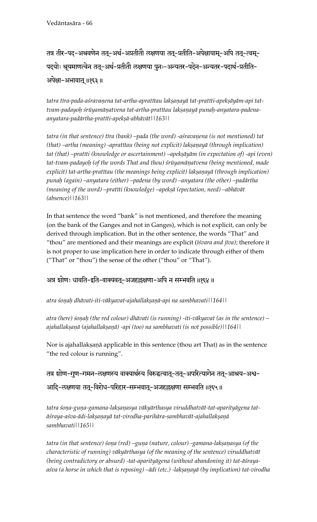तत्र तीर-पद-अश्रवणेन तत्-अर्थ-अप्रतीतौ लक्षणया तत्-प्रतीति-अपेक्षायाम्-अपि तत्-त्वम्-पदयोः श्रूयमाणत्वेन तत्-अर्थ-प्रतीतौ लक्षणया पुनः-अन्यतर-पदेन-अन्यतर-पदार्थ-प्रतीति-अपेक्षा-अभावात् ॥१६३॥

tatra tīra-pada-aśravaņena tat-artha-apratītau lakṣaṇayā tat-pratīti-apekṣāyām-api tattvam-padayoh śrūyamāṇatvena tat-artha-pratītau lakṣaṇayā punaḥ-anyatara-padena*anyatara-padärtha-pratéti-apekñä-abhävät||163||* 

tatra (in that sentence) tīra (bank) –pada (the word) -aśravaņena (is not mentioned) tat *(that) –artha (meaning) -apratītau (being not explicit) lakṣaṇayā (through implication)* tat (that) –pratīti (knowledge or ascertainment) –apekṣāyām (in expectation of) -api (even) tat-tvam-padayoh (of the words That and thou) srūyamāņatvena (being mentioned, made *explicit) tat-artha-pratītau (the meanings being explicit) lakṣaṇayā (through implication) punaù (again) –anyatara (either) –padena (by word) –anyatara (the other) –padärtha*  (meaning of the word) –pratīti (knowledge) –apekṣā (epectation, need) –abhāvāt *(absence)||163||*

In that sentence the word "bank" is not mentioned, and therefore the meaning (on the bank of the Ganges and not in Ganges), which is not explicit, can only be derived through implication. But in the other sentence, the words "That" and "thou" are mentioned and their meanings are explicit (*éçvara and jéva)*; therefore it is not proper to use implication here in order to indicate through either of them ("That" or "thou") the sense of the other ("thou" or "That").

## अत्र शोणः धावति-इति-वाक्यवत्-अजहल्लक्षणा-अपि न सम्भवति ॥१६४ ॥

*atra çoëaù dhävati-iti-väkyavat-ajahallakñaëä-api na sambhavati||164||* 

atra (here) sonah (the red colour) dhāvati (is running) -iti-vākyavat (as in the sentence) – ajahallakṣaṇā (ajahallakṣaṇā) -api (too) na sambhavati (is not possible)||164||

Nor is ajahallakṣaṇā applicable in this sentence (thou art That) as in the sentence "the red colour is running".

तत्र शोण-गुण-गमन-लक्षणस्य वाक्यार्थस्य विरुद्धत्वात्-तत्-अपरित्यागेन तत्-आश्रय-अश्व-आदि-लक्षणया तत्-विरोध-परिहार-सम्भवात्-अजहल्लक्षणा सम्भवति ॥१६५॥

tatra śoņa-guņa-gamana-lakṣaṇasya vākyārthasya viruddhatvāt-tat-aparityāgena tatāśraya-aśva-ādi-lakṣaṇayā tat-virodha-parihāra-sambhavāt-ajahallakṣaṇā *sambhavati||165||*

tatra (in that sentence) sona (red) –guna (nature, colour) -gamana-lakṣaṇasya (of the *characteristic of running) väkyärthasya (of the meaning of the sentence) viruddhatvät*  (being contradictory or absurd) -tat-aparityāgena (without abandoning it) tat-āśrayaaśva (a horse in which that is reposing) –ādi (etc.) -lakṣaṇayā (by implication) tat-virodha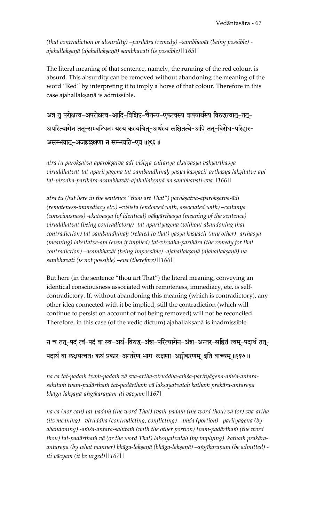*(that contradiction or absurdity) –parihära (remedy) –sambhavät (being possible) ajahallakñaëä (ajahallakñaëä) sambhavati (is possible)||165||*

The literal meaning of that sentence, namely, the running of the red colour, is absurd. This absurdity can be removed without abandoning the meaning of the word "Red" by interpreting it to imply a horse of that colour. Therefore in this case ajahallakṣaṇā is admissible.

अत्र तु परोक्षत्व-अपरोक्षत्व-आदि-विशिष्ट-चैतन्य-एकत्वस्य वाक्यार्थस्य विरुद्धत्वात्-तत्-अपरित्यागेन तत्-सम्बन्धिनः यस्य कस्यचित्-अर्थस्य लक्षितत्वे-अपि तत्-विरोध-परिहार-असम्भवात्-अजहल्लक्षणा न सम्भवति-एव ॥१६६॥

*atra tu parokñatva-aparokñatva-ädi-viçiñöa-caitanya-ekatvasya väkyärthasya*  viruddhatvāt-tat-aparityāgena tat-sambandhinaḥ yasya kasyacit-arthasya lakṣitatve-api *tat-virodha-parihära-asambhavät-ajahallakñaëä na sambhavati-eva||166||* 

atra tu (but here in the sentence "thou art That") parokṣatva-aparokṣatva-ādi (remoteness-immediacy etc.) –visista (endowed with, associated with) –caitanya *(consciousness) -ekatvasya (of identical) väkyärthasya (meaning of the sentence) viruddhatvät (being contradictory) -tat-aparityägena (without abandoning that contradiction) tat-sambandhinaù (related to that) yasya kasyacit (any other) -arthasya*  (meaning) lakșitatve-api (even if implied) tat-virodha-parihāra (the remedy for that contradiction) –asambhavāt (being impossible) -ajahallakṣaṇā (ajahallakṣaṇā) na *sambhavati (is not possible) –eva (therefore)||166||* 

But here (in the sentence "thou art That") the literal meaning, conveying an identical consciousness associated with remoteness, immediacy, etc. is selfcontradictory. If, without abandoning this meaning (which is contradictory), any other idea connected with it be implied, still the contradiction (which will continue to persist on account of not being removed) will not be reconciled. Therefore, in this case (of the vedic dictum) ajahallakṣaṇā is inadmissible.

न च तत्-पदं त्वं-पदं वा स्व-अर्थ-विरुद्ध-अंश-परित्यागेन-अंश-अन्तर-सहितं त्वम्-पदार्थं तत्-पदार्थं वा लक्षयत्वतः कथं प्रकार-अन्तरेण भाग-लक्षणा-अङ्गीकरणम्-इति वाच्यम् ॥१६७॥

na ca tat-padam tvam-padam vā sva-artha-viruddha-amśa-parityāgena-amśa-antarasahitam tvam-padārtham tat-padārtham vā lakṣayatvataḥ katham prakāra-antareṇa *bhäga-lakñaëä-aìgékaraëam-iti väcyam||167||* 

na ca (nor can) tat-pada $\dot{m}$  (the word That) tva $\dot{m}$ -pada $\dot{m}$  (the word thou) vā (or) sva-artha *(its meaning) –viruddha (contradicting, conflicting) –amśa (portion) –parityāgena (by* abandoning) -a $m$ sa-antara-sahita $m$  (with the other portion) tvam-padārtha $m$  (the word thou) tat-padārtham vā (or the word That) lakṣayatvataḥ (by implying) katham prakāraantareņa (by what manner) bhāga-lakṣaṇā (bhāga-lakṣaṇā) –aṅgīkaraṇam (be admitted) *iti väcyam (it be urged)||167||*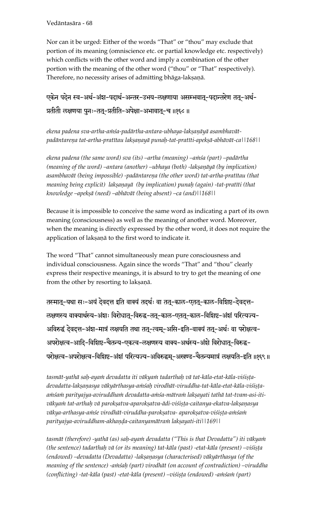Vedäntasära - 68

Nor can it be urged: Either of the words "That" or "thou" may exclude that portion of its meaning (omniscience etc. or partial knowledge etc. respectively) which conflicts with the other word and imply a combination of the other portion with the meaning of the other word ("thou" or "That" respectively). Therefore, no necessity arises of admitting bhāga-lakṣaṇā.

एकेन पदेन स्व-अर्थ-अंश-पदार्थ-अन्तर-उभय-लक्षणाया असम्भवात-पदान्तरेण तत-अर्थ-प्रतीतौ लक्षणया पुनः-तत्-प्रतीति-अपेक्षा-अभावात्-च ॥१६८॥

ekena padena sva-artha-a*inśa-padārtha-antara-ubhaya-lakṣaṇāyā* asambhavātpadāntareņa tat-artha-pratītau lakṣaṇayā punaḥ-tat-pratīti-apekṣā-abhāvāt-ca||168||

ekena padena (the same word) sva (its) –artha (meaning) –a $m$ sa (part) –padārtha *(meaning of the word) –antara (another) –ubhaya (both) -lakṣaṇāyā (by implication)* asambhavāt (being impossible) -padāntareņa (the other word) tat-artha-pratītau (that *meaning being explicit) lakṣaṇayā (by implication) punah (again) -tat-pratīti (that knowledge –apekñä (need) –abhävät (being absent) –ca (and)||168||* 

Because it is impossible to conceive the same word as indicating a part of its own meaning (consciousness) as well as the meaning of another word. Moreover, when the meaning is directly expressed by the other word, it does not require the application of lakṣaṇā to the first word to indicate it.

The word "That" cannot simultaneously mean pure consciousness and individual consciousness. Again since the words "That" and "thou" clearly express their respective meanings, it is absurd to try to get the meaning of one from the other by resorting to lakṣaṇā.

तस्मात्-यथा सः-अयं देवदत्त इति वाक्यं तदर्थः वा तत्-काल-एतत्-काल-विशिष्ट-देवदत्त-रुक्षणस्य वाक्यार्थस्य-अंशः विरोधात्-विरुद्ध-तत्-काल-एतत्-काल-विशिष्ट-अंशं परित्यज्य-अविरुद्धं देवदत्त-अंश-मात्रं लक्षयति तथा तत्-त्वम्-असि-इति-वाक्यं तत्-अर्थः वा परोक्षत्व-अपरोक्षत्व-आदि-विशिष्ट-चैतन्य-एकत्व-लक्षणस्य वाक्य-अर्थस्य-अंशे विरोधात्-विरुद्ध-परोक्षत्व-अपरोक्षत्व-विशिष्ट-अंशं परित्यज्य-अविरुद्धम्-अखण्ड-चैतन्यमात्रं लक्षयति-इति ॥१६९॥

tasmāt-yathā saḥ-ayaṁ devadatta iti vākyaṁ tadarthaḥ vā tat-kāla-etat-kāla-viśiṣṭadevadatta-lakṣaṇasya vākyārthasya-aṁśaḥ virodhāt-viruddha-tat-kāla-etat-kāla-viśiṣṭaamśam parityajya-aviruddham devadatta-amśa-mātram lakṣayati tathā tat-tvam-asi-itivākya $m$  tat-arthaḥ vā parokṣatva-aparokṣatva-ādi-viśiṣṭa-caitanya-ekatva-lakṣaṇasya vākya-arthasya-a $m$ śe virodhāt-viruddha-parokṣatva- aparokṣatva-viśiṣṭa-a $m$ śa $\dot{m}$ *parityajya-aviruddham-akhaëòa-caitanyamätraà lakñayati-iti||169||* 

tasmāt (therefore) -yathā (as) saḥ-ayaṁ devadatta ("This is that Devadatta") iti vākyaṁ *(the sentence) tadarthah vā (or its meaning) tat-kāla (past) -etat-kāla (present) –viśista* (endowed) –devadatta (Devadatta) -lakṣaṇasya (characterised) vākyārthasya (of the meaning of the sentence) -amsah (part) virodhāt (on account of contradiction) –viruddha *(conflicting) -tat-kāla (past) -etat-kāla (present) –viśista (endowed) -aniśani (part)*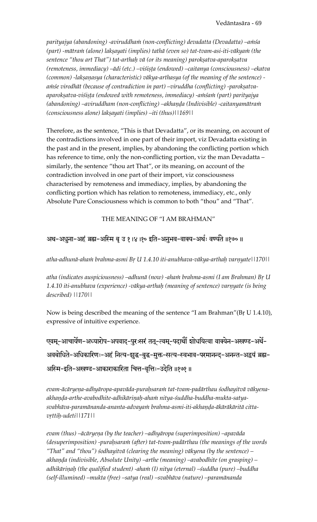parityajya (abandoning) -aviruddha*in (non-conflicting) devadatta (Devadatta)* –a*inśa* (part) -mātram (alone) lakṣayati (implies) tathā (even so) tat-tvam-asi-iti-vākyam (the sentence "thou art That") tat-arthaḥ vā (or its meaning) parokṣatva-aparokṣatva (remoteness, immediacy) –ādi (etc.) –viśista (endowed) –caitanya (consciousness) –ekatva (common) -lakṣaṇasya (characteristic) vākya-arthasya (of the meaning of the sentence) amśe virodhāt (because of contradiction in part) –viruddha (conflicting) -parokṣatvaaparokṣatva-viśiṣṭa (endowed with remoteness, immediacy) -aṁśaṁ (part) parityajya (abandoning) –aviruddham (non-conflicting) –akhanda (Indivisible) -caitanyamātra*in (consciousness alone) lakñayati (implies) –iti (thus)||169||*

Therefore, as the sentence, "This is that Devadatta", or its meaning, on account of the contradictions involved in one part of their import, viz Devadatta existing in the past and in the present, implies, by abandoning the conflicting portion which has reference to time, only the non-conflicting portion, viz the man Devadatta similarly, the sentence "thou art That", or its meaning, on account of the contradiction involved in one part of their import, viz consciousness characterised by remoteness and immediacy, implies, by abandoning the conflicting portion which has relation to remoteness, immediacy, etc., only Absolute Pure Consciousness which is common to both "thou" and "That".

## THE MEANING OF "I AM BRAHMAN"

## अथ-अधुना-अहं ब्रह्म-अस्मि बृ उ १।४।१० इति-अनुभव-वाक्य-अर्थः वर्ण्यते ॥१७०॥

atha-adhunā-aham brahma-asmi Br U 1.4.10 iti-anubhava-vākya-arthaḥ varṇyate||170||

atha (indicates auspiciousness) –adhunā (now) -aha*in brahma-asmi (I am Brahman) Br U* 1.4.10 iti-anubhava (experience) -vākya-arthaḥ (meaning of sentence) varnyate (is being *described) ||170||* 

Now is being described the meaning of the sentence "I am Brahman"(Br U 1.4.10), expressive of intuitive experience.

एवम्-आचार्येण-अध्यारोप-अपवाद-पुरःसरं तत्-त्वम्-पदार्थों शोधयित्वा वाक्येन-अखण्ड-अर्थे-अवबोधिते-अधिकारिणः-अहं नित्य-शुद्ध-बुद्ध-मुक्त-सत्य-स्वभाव-परमानन्द्-अनन्त-अद्वयं ब्रह्म-अस्मि-इति-अखण्ड-आकाराकारिता चित्त-वृत्तिः-उदेति ॥१७१॥

evam-ācāryeņa-adhyāropa-apavāda-puraḥsaraṁ tat-tvam-padārthau śodhayitvā vākyenaakhanda-arthe-avabodhite-adhikārinaḥ-ahaṁ nitya-śuddha-buddha-mukta-satyasvabhāva-paramānanda-ananta-advayaṁ brahma-asmi-iti-akhaṇḍa-ākārākāritā citta*vrttih-udeti*||171||

evam (thus) –ācāryeņa (by the teacher) –adhyāropa (superimposition) –apavāda (desuperimposition) -purahsaram (after) tat-tvam-padārthau (the meanings of the words *"That" and "thou") çodhayitvä (clearing the meaning) väkyena (by the sentence) – akhaëòa (indivisible, Absolute Unity) –arthe (meaning) –avabodhite (on grasping) –* adhikāriņaḥ (the qualified student) -ahaṁ (I) nitya (eternal) –śuddha (pure) –buddha *(self-illumined) –mukta (free) –satya (real) –svabhäva (nature) –paramänanda*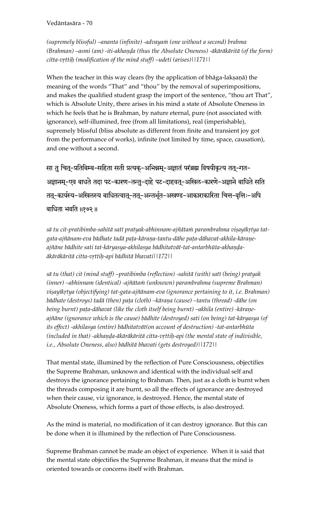Vedāntasāra - 70

(supremely blissful) –ananta (infinite) -advayam (one without a second) brahma (Brahman) –asmi (am) -iti-akhanda (thus the Absolute Oneness) -ākārākāritā (of the form) citta-vrttih (modification of the mind stuff) –udeti (arises) | | 171 | |

When the teacher in this way clears (by the application of bhaga-lakṣaṇā) the meaning of the words "That" and "thou" by the removal of superimpositions, and makes the qualified student grasp the import of the sentence, "thou art That", which is Absolute Unity, there arises in his mind a state of Absolute Oneness in which he feels that he is Brahman, by nature eternal, pure (not associated with ignorance), self-illumined, free (from all limitations), real (imperishable), supremely blissful (bliss absolute as different from finite and transient joy got from the performance of works), infinite (not limited by time, space, causation), and one without a second.

सा तु चित्-प्रतिबिम्ब-सहिता सती प्रत्यक्-अभिन्नम्-अज्ञातं परंब्रह्म विषयीकृत्य तत्-गत-अज्ञानम्-एव बाधते तदा पट-कारण-तन्तु-दाहे पट-दाहवत्-अखिल-कारणे-अज्ञाने बाधिते सति तत्-कार्यस्य-अखिलस्य बाधितत्वात्-तत्-अन्तर्भूत-अखण्ड-आकाराकारिता चित्त-वृत्तिः-अपि बाधिता भवति ॥१७२॥

sā tu cit-pratibimba-sahitā satī pratyak-abhinnam-ajñātam parambrahma visayīkrtya tatgata-ajñānam-eva bādhate tadā pata-kāraņa-tantu-dāhe pata-dāhavat-akhila-kāraņeajñāne bādhite sati tat-kāryasya-akhilasya bādhitatvāt-tat-antarbhūta-akhaņḍaākārākāritā citta-vrttih-api bādhitā bhavatil | 172 | |

sā tu (that) cit (mind stuff) -pratibimba (reflection) -sahitā (with) satī (being) pratyak (inner) –abhinnam (identical) -ajñātam (unknown) parambrahma (supreme Brahman) vișayīkŗtya (objectifying) tat-gata-ajñānam-eva (ignorance pertaining to it, i.e. Brahman) bādhate (destroys) tadā (then) paṭa (cloth) –kāraṇa (cause) –tantu (thread) -dāhe (on being burnt) pața-dāhavat (like the cloth itself being burnt) –akhila (entire) -kāraņeajñāne (ignorance which is the cause) bādhite (destroyed) sati (on being) tat-kāryasya (of its effect) -akhilasya (entire) bādhitatvāt(on account of destruction) -tat-antarbhūta (included in that) -akhanda-ākārākāritā citta-vrttih-api (the mental state of indivisible, i.e., Absolute Oneness, also) bādhitā bhavati (gets destroyed)||172||

That mental state, illumined by the reflection of Pure Consciousness, objectifies the Supreme Brahman, unknown and identical with the individual self and destroys the ignorance pertaining to Brahman. Then, just as a cloth is burnt when the threads composing it are burnt, so all the effects of ignorance are destroyed when their cause, viz ignorance, is destroyed. Hence, the mental state of Absolute Oneness, which forms a part of those effects, is also destroyed.

As the mind is material, no modification of it can destroy ignorance. But this can be done when it is illumined by the reflection of Pure Consciousness.

Supreme Brahman cannot be made an object of experience. When it is said that the mental state objectifies the Supreme Brahman, it means that the mind is oriented towards or concerns itself with Brahman.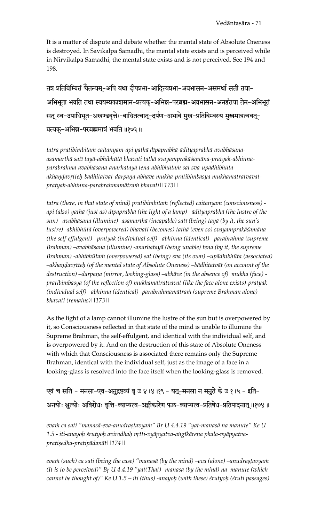It is a matter of dispute and debate whether the mental state of Absolute Oneness is destroyed. In Savikalpa Samadhi, the mental state exists and is perceived while in Nirvikalpa Samadhi, the mental state exists and is not perceived. See 194 and 198.

तत्र प्रतिबिम्बितं चैतन्यम्-अपि यथा दीपप्रभा-आदित्यप्रभा-अवभासन-असमर्था सती तया-अभिभूता भवति तथा स्वयम्प्रकाशमान-प्रत्यक्-अभिन्न-परब्रह्म-अवभासन-अनर्हतया तेन-अभिभूतं सत् स्व-उपाधिभूत-अखण्डवृत्तेः-बाधितत्वात्-दर्पण-अभावे मुख-प्रतिबिम्बस्य मुखमात्रत्ववत्-प्रत्यक्-अभिन्न-परब्रह्ममात्रं भवति ॥१७३॥

tatra pratibimbitam caitanyam-api yathā dīpaprabhā-ādityaprabhā-avabhāsanaasamarthā satī tayā-abhibhūtā bhavati tathā svayamprakāśamāna-pratyak-abhinnaparabrahma-avabhāsana-anarhatayā tena-abhibhūtam sat sva-upādhibhūtaakhandavrtteh-bādhitatvāt-darpaņa-abhāve mukha-pratibimbasya mukhamātratvavatpratyak-abhinna-parabrahmamātraṁ bhavati∏173∏

tatra (there, in that state of mind) pratibimbitam (reflected) caitanyam (consciousness) api (also) yathā (just as) dīpaprabhā (the light of a lamp) –ādityaprabhā (the lustre of the sun) –avabhāsana (illumine) -asamarthā (incapable) satī (being) tayā (by it, the sun's lustre) -abhibhūtā (overpowered) bhavati (becomes) tathā (even so) svayamprakāśamāna (the self-effulgent) –pratyak (individual self) –abhinna (identical) –parabrahma (supreme Brahman) –avabhāsana (illumine) -anarhatayā (being unable) tena (by it, the supreme Brahman) -abhibhūtam (overpowered) sat (being) sva (its own) -upādhibhūta (associated) –akhaṇḍavṛtteḥ (of the mental state of Absolute Oneness) –bādhitatvāt (on account of the destruction) –darpana (mirror, looking-glass) –abhāve (in the absence of) mukha (face) pratibimbasya (of the reflection of) mukhamātratvavat (like the face alone exists)-pratyak (individual self) –abhinna (identical) -parabrahmamātram (supreme Brahman alone) bhavati (remains)||173||

As the light of a lamp cannot illumine the lustre of the sun but is overpowered by it, so Consciousness reflected in that state of the mind is unable to illumine the Supreme Brahman, the self-effulgent, and identical with the individual self, and is overpowered by it. And on the destruction of this state of Absolute Oneness with which that Consciousness is associated there remains only the Supreme Brahman, identical with the individual self, just as the image of a face in a looking-glass is resolved into the face itself when the looking-glass is removed.

एवं च सति - मनसा-एव-अनुद्रष्टव्यं बृ उ ४।४।१९ - यत्-मनसा न मनुते के उ १।५ - इति-अनयोः श्चत्योः अविरोधः वृत्ति-व्याप्यत्व-अङ्गीकारेण फल-व्याप्यत्व-प्रतिषेध-प्रतिपादनात् ॥१७४॥

evam ca sati "manasā-eva-anudrastavyam" Br U 4.4.19 "yat-manasā na manute" Ke U 1.5 - iti-anayoh śrutyoh avirodhah vrtti-vyāpyatva-angīkāreņa phala-vyāpyatvapratiședha-pratipādanāt | 174 | |

evam (such) ca sati (being the case) "manasā (by the mind) -eva (alone) -anudrașțavyam (It is to be perceived)" Br  $U$  4.4.19 "yat(That) -manasa (by the mind) na manute (which cannot be thought of)" Ke U  $1.5 - iti$  (thus) -anayoh (with these) srutyoh (sruti passages)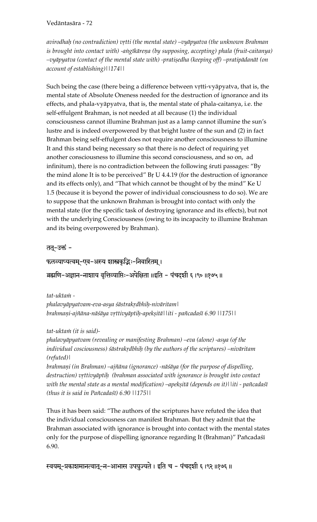Vedāntasāra - 72

avirodhah (no contradiction) vrtti (the mental state) –vyāpyatva (the unknown Brahman is brought into contact with) -angīkāreņa (by supposing, accepting) phala (fruit-caitanya) -vyāpyatva (contact of the mental state with) -pratiṣedha (keeping off) –pratipādanāt (on account of establishing)||174||

Such being the case (there being a difference between vrtti-vyāpyatva, that is, the mental state of Absolute Oneness needed for the destruction of ignorance and its effects, and phala-vyāpyatva, that is, the mental state of phala-caitanya, i.e. the self-effulgent Brahman, is not needed at all because (1) the individual consciousness cannot illumine Brahman just as a lamp cannot illumine the sun's lustre and is indeed overpowered by that bright lustre of the sun and (2) in fact Brahman being self-effulgent does not require another consciousness to illumine It and this stand being necessary so that there is no defect of requiring yet another consciousness to illumine this second consciousness, and so on, ad infinitum), there is no contradiction between the following sruti passages: "By the mind alone It is to be perceived" Br U 4.4.19 (for the destruction of ignorance and its effects only), and "That which cannot be thought of by the mind" Ke U 1.5 (because it is beyond the power of individual consciousness to do so). We are to suppose that the unknown Brahman is brought into contact with only the mental state (for the specific task of destroying ignorance and its effects), but not with the underlying Consciousness (owing to its incapacity to illumine Brahman and its being overpowered by Brahman).

तत्-उक्तं -

फलव्याप्यत्वम्-एव-अस्य शास्त्रकृद्भिः-निवारितम् ।

ब्रह्मणि-अज्ञान-नाशाय वृत्तिव्याप्तिः-अपेक्षिता ॥इति - पंचदशी ६ ।९० ॥१७५ ॥

tat-uktam phalavyāpyatvam-eva-asya śāstrakrdbhih-nivāritam\ brahmaņi-ajñāna-nāśāya vṛttivyāptiḥ-apekṣitā||iti - pañcadaśī 6.90 ||175||

tat-uktam (it is said)-

phalavyāpyatvam (revealing or manifesting Brahman) –eva (alone) -asya (of the individual cosciousness) śāstrakŗdbhiḥ (by the authors of the scriptures) –nivāritam  $(refuted)$ 

brahmani (in Brahman) – ajñāna (ignorance) - nāśāya (for the purpose of dispelling, destruction) vrttivyāptih (brahman associated with ignorance is brought into contact with the mental state as a mental modification) –apekṣitā (depends on it)||iti - pañcadaśī (thus it is said in Pañcadaśī) 6.90 | | 175 | |

Thus it has been said: "The authors of the scriptures have refuted the idea that the individual consciousness can manifest Brahman. But they admit that the Brahman associated with ignorance is brought into contact with the mental states only for the purpose of dispelling ignorance regarding It (Brahman)" Pañcadaśī 6.90.

स्वयम्-प्रकाशमानत्वात्-न-आभास उपयुज्यते । इति च - पंचदशी ६ १९२ ॥१७६ ॥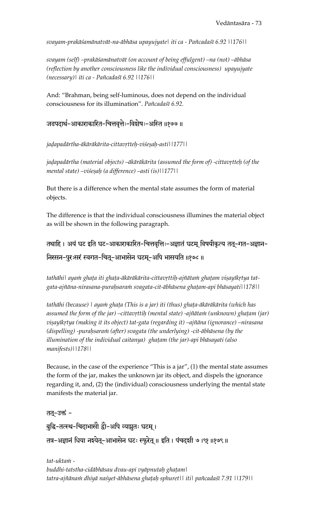*svayam-prakäçamänatvät-na-äbhäsa upayujyate| iti ca - Païcadaçé 6.92 ||176||* 

*svayam (self) –prakäçamänatvät (on account of being effulgent) –na (not) –äbhäsa (reflection by another consciousness like the individual consciousness) upayujyate (necessary)| iti ca - Païcadaçé 6.92 ||176||*

And: "Brahman, being self-luminous, does not depend on the individual consciousness for its illumination". *Païcadaçé 6.92.* 

#### जडपदार्थ-आकाराकारित-चित्तवृत्तेः-विशेषः-अस्ति ॥१७७॥

*jaòapadärtha-äkäräkärita-cittavåtteù-viçeñaù-asti||177||* 

jadapadārtha (material objects) –ākārākārita (assumed the form of) -cittavrtteḥ (of the *mental state) –viçeñaù (a difference) –asti (is)||177||*

But there is a difference when the mental state assumes the form of material objects.

The difference is that the individual consciousness illumines the material object as will be shown in the following paragraph.

तथाहि । अयं घट इति घट-आकाराकारित-चित्तवृत्तिः-अज्ञातं घटम् विषयीकृत्य तत्-गत-अज्ञान-निरसन-पुरःसरं स्वगत-चितू-आभासेन घटमू-अपि भासयति ॥१७८॥

tathāhi| ayann ghața iti ghața-ākārākārita-cittavrttiḥ-ajñātann ghațam viṣayīkrtya tat*gata-ajïäna-nirasana-puraùsaraà svagata-cit-äbhäsena ghaöam-api bhäsayati||178||* 

tathāhi (because) *| ayam ghața (This is a jar) iti (thus) ghața-ākārākārita (which has* assumed the form of the jar) –cittavrttih (mental state) -ajñātam (unknown) ghațam (jar) *viñayékåtya (making it its object) tat-gata (regarding it) –ajïäna (ignorance) –nirasana*  (dispelling) -purahsaram (after) svagata (the underlying) -cit-ābhāsena (by the *illumination of the individual caitanya*) ghatam (the jar)-api bhāsayati (also *manifests)||178||*

Because, in the case of the experience "This is a jar", (1) the mental state assumes the form of the jar, makes the unknown jar its object, and dispels the ignorance regarding it, and, (2) the (individual) consciousness underlying the mental state manifests the material jar.

#### तत्-उक्तं -

बुद्धि-तत्स्थ-चिदाभासौ द्वौ-अपि व्याप्नुतः घटम् ।

तत्र-अज्ञानं धिया नश्येत्-आभासेन घटः स्फुरेत् ॥ इति । पंचदशी ७ ।९१ ॥१७९ ॥

tat-ukta*n*i *buddhi-tatstha-cidäbhäsau dvau-api vyäpnutaù ghaöam| tatra-ajïänaà dhiyä naçyet-äbhäsena ghaöaù sphuret|| iti| païcadaçé 7.91 ||179||*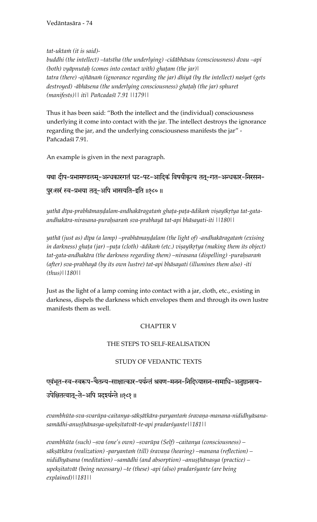*tat-uktaà (it is said)-* 

*buddhi (the intellect) –tatstha (the underlying) -cidäbhäsau (consciousness) dvau –api (both) vyāpnutah (comes into contact with) ghatam (the jar)*| tatra (there) -ajñānam (ignorance regarding the jar) dhiyā (by the intellect) naśyet (gets destroyed) -ābhāsena (the underlying consciousness) ghatah (the jar) sphuret *(manifests)|| iti| Païcadaçé 7.91 ||179||* 

Thus it has been said: "Both the intellect and the (individual) consciousness underlying it come into contact with the jar. The intellect destroys the ignorance regarding the jar, and the underlying consciousness manifests the jar" - Pañcadaśī 7.91.

An example is given in the next paragraph.

यथा दीप-प्रभामण्डलम्-अन्धकारगतं घट-पट-आदिकं विषयीकृत्य तत्-गत-अन्धकार-निरसन-पुरःसरं स्व-प्रभया ततू-अपि भासयति-इति ॥१८०॥

yathā dīpa-prabhāmaņḍalam-andhakāragatam ghaṭa-paṭa-ādikam viṣayīkṛtya tat-gata*andhakära-nirasana-puraùsaraà sva-prabhayä tat-api bhäsayati-iti ||180||* 

yathā (just as) dīpa (a lamp) –prabhāmaṇḍalam (the light of) -andhakāragata*in* (exising in darkness) ghața (jar) –pața (cloth) -ādikam (etc.) vișayīkrtya (making them its object) tat-gata-andhakāra (the darkness regarding them) –nirasana (dispelling) -puraḥsaraṁ *(after) sva-prabhayä (by its own lustre) tat-api bhäsayati (illumines them also) -iti (thus)||180||*

Just as the light of a lamp coming into contact with a jar, cloth, etc., existing in darkness, dispels the darkness which envelopes them and through its own lustre manifests them as well.

## CHAPTER V

#### THE STEPS TO SELF-REALISATION

## STUDY OF VEDANTIC TEXTS

एवंभूत-स्व-स्वरूप-चैतन्य-साक्षात्कार-पर्यन्तं श्रवण-मनन-निदिध्यासन-समाधि-अनुष्ठानस्य-

उपेक्षितत्वात्-ते-अपि प्रदर्श्यन्ते ॥१८१॥

evambhūta-sva-svarūpa-caitanya-sākṣātkāra-paryantaṁ śravaṇa-manana-nididhyāsana*samädhi-anuñöhänasya-upekñitatvät-te-api pradarçyante||181||* 

*evambhüta (such) –sva (one's own) –svarüpa (Self) –caitanya (consciousness) –* sākṣātkāra (realization) -paryanta*in* (till) śravaṇa (hearing) –manana (reflection) – *nididhyäsana (meditation) –samädhi (and absorption) –anuñöhänasya (practice) –* upekṣitatvāt (being necessary) –te (these) -api (also) pradarśyante (are being *explained)||181||*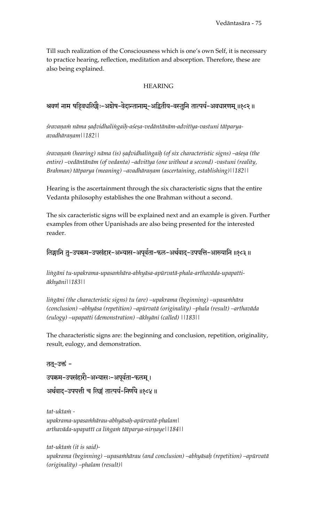Till such realization of the Consciousness which is one's own Self, it is necessary to practice hearing, reflection, meditation and absorption. Therefore, these are also being explained.

#### HEARING

## श्रवणं नाम षड्विघलिङ्गैः-अशेष-वेदान्तानाम्-अद्वितीय-वस्तुनि तात्पर्य-अवधारणम् ॥१८२॥

śravaņam nāma sadvidhalingaih-aśesa-vedāntānām-advitīya-vastuni tātparya*avadhäraëam||182||* 

*çravaëaà (hearing) näma (is) ñaòvidhaliìgaiù (of six characteristic signs) –açeña (the entire) –vedäntänäm (of vedanta) –advitéya (one without a second) -vastuni (reality, Brahman) tātparya (meaning) –avadhāraņam (ascertaining, establishing)*||182||

Hearing is the ascertainment through the six characteristic signs that the entire Vedanta philosophy establishes the one Brahman without a second.

The six caracteristic signs will be explained next and an example is given. Further examples from other Upanishads are also being presented for the interested reader.

## लिङ्गानि तु-उपक्रम-उपसंहार-अभ्यास-अपूर्वता-फल-अर्थवाद-उपपत्ति-आख्यानि ॥१८३॥

lingāni tu-upakrama-upasa*nhāra-abhyāsa-apūrvatā-phala-arthavāda-upapattiäkhyäni||183||* 

lingāni (the characteristic signs) tu (are) –upakrama (beginning) –upasamhāra *(conclusion) –abhyäsa (repetition) –apürvatä (originality) –phala (result) –arthaväda (eulogy) –upapatti (demonstration) –äkhyäni (called) ||183||* 

The characteristic signs are: the beginning and conclusion, repetition, originality, result, eulogy, and demonstration.

तत्-उक्तं -उपक्रम-उपसंहारोे-अभ्यासः-अपूर्वता-फलम्। अर्थवाद-उपपत्ती च लिङ्गं तात्पर्य-निर्णये ॥१८४॥

tat-ukta*m upakrama-upasaàhärau-abhyäsaù-apürvatä-phalam|*  arthavāda-upapattī ca lingam tātparya-nirņaye||184||

*tat-uktaà (it is said) upakrama (beginning) –upasaàhärau (and conclusion) –abhyäsaù (repetition) –apürvatä (originality) –phalam (result)|*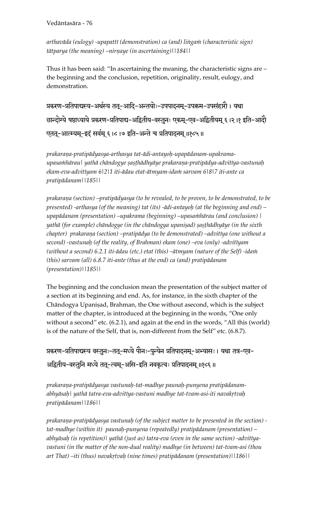arthavāda (eulogy) -upapattī (demonstration) ca (and) lingam (characteristic sign) *tātparya (the meaning) –nirnaye (in ascertaining)*||184||

Thus it has been said: "In ascertaining the meaning, the characteristic signs are – the beginning and the conclusion, repetition, originality, result, eulogy, and demonstration.

प्रकरण-प्रतिपाद्यस्य-अर्थस्य तत्-आदि-अन्तयोः-उपपादनम्-उपक्रम-उपसंहारौ । यथा छान्दोग्ये षष्ठाध्याये प्रकरण-प्रतिपाद्य-अद्वितीय-वस्तुनः एकम्-एव-अद्वितीयम् ६ ।२ ।१ इति-आदो एतत्-आत्म्यम्-इदं सर्वम् ६।८।७ इति-अन्ते च प्रतिपादनम् ॥१८५॥

*prakaraëa-pratipädyasya-arthasya tat-ädi-antayoù-upapädanam-upakramaupasaàhärau| yathä chändogye ñañöhädhyäye prakaraëa-pratipädya-advitéya-vastunaù ekam-eva-advitéyam 6|2|1 iti-ädau etat-ätmyam-idaà sarvam 6|8|7 iti-ante ca pratipädanam||185||* 

prakarana (section) –pratipādyasya (to be revealed, to be proven, to be demonstrated, to be *presented) -arthasya (of the meaning) tat (its) -ädi-antayoù (at the beginning and end) – upapädanam (presentation) –upakrama (beginning) –upasaàhärau (and conclusion) |*  yathā (for example) chāndogye (in the chāndogya upaniṣad) ṣaṣṭhādhyāye (in the sixth chapter) prakaraņa (section) –pratipādya (to be demonstrated) –advitīya (one without a *second) -vastunaù (of the reality, of Brahman) ekam (one) –eva (only) -advitéyam*  (without a second) 6.2.1 iti-ādau (etc.) etat (this) –ātmyam (nature of the Self) -idam *(this) sarvam (all) 6.8.7 iti-ante (thus at the end) ca (and) pratipädanam (presentation)||185||* 

The beginning and the conclusion mean the presentation of the subject matter of a section at its beginning and end. As, for instance, in the sixth chapter of the Chāndogya Upaniṣad, Brahman, the One without asecond, which is the subject matter of the chapter, is introduced at the beginning in the words, "One only without a second" etc. (6.2.1), and again at the end in the words, "All this (world) is of the nature of the Self, that is, non-different from the Self" etc. (6.8.7).

प्रकरण-प्रतिपाद्यस्य वस्तुनः-तत्-मध्ये पौनः-पुन्येन प्रतिपादनम्-अभ्यासः । यथा तत्र-एव-अद्वितीय-वस्तुनि मध्ये तत्-त्वम्-असि-इति नवकृत्वः प्रतिपादनम् ॥१८६॥

*prakaraëa-pratipädyasya vastunaù-tat-madhye paunaù-punyena pratipädanamabhyäsaù| yathä tatra-eva-advitéya-vastuni madhye tat-tvam-asi-iti navakåtvaù pratipädanam||186||* 

*prakaraëa-pratipädyasya vastunaù (of the subject matter to be presented in the section) tat-madhye (within it) paunaù-punyena (repeatedly) pratipädanam (presentation) –* abhyāsah (is repetition) *yathā (just as) tatra-eva (even in the same section) -advitīyavastuni (in the matter of the non-dual reality) madhye (in between) tat-tvam-asi (thou art That) –iti (thus) navakåtvaù (nine times) pratipädanam (presentation)||186||*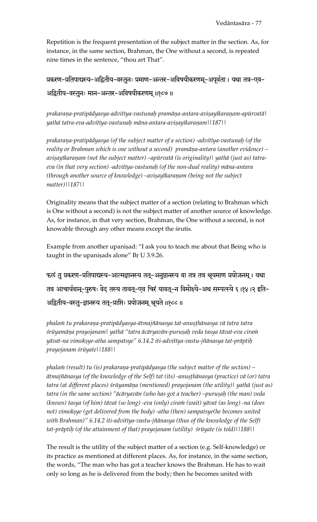Repetition is the frequent presentation of the subject matter in the section. As, for instance, in the same section, Brahman, the One without a second, is repeated nine times in the sentence, "thou art That".

प्रकरण-प्रतिपाद्यस्य-अद्वितीय-वस्तुनः प्रमाण-अन्तर-अविषयीकरणम्-अपूर्वता । यथा तत्र-एव-अद्वितीय-वस्तुनः मान-अन्तर-अविषयीकरणम् ॥१८७॥

prakarana-pratipādyasya-advitīya-vastunah pramāņa-antara-aviṣayīkaraṇam-apūrvatā| *yathä tatra-eva-advitéya-vastunaù mäna-antara-aviñayékaraëam||187||* 

prakarana-pratipādyasya (of the subject matter of a section) -advitīya-vastunah (of the *reality or Brahman which is one without a second) pramāna-antara (another evidence) –* avișayīkaraņam (not the subject matter) –apūrvatā (is originality)| yathā (just as) tatra*eva (in that very section) -advitéya-vastunaù (of the non-dual reality) mäna-antara (through another source of knowledge) –avisayikaranam (being not the subject matter)||187||* 

Originality means that the subject matter of a section (relating to Brahman which is One without a second) is not the subject matter of another source of knowledge. As, for instance, in that very section, Brahman, the One without a second, is not knowable through any other means except the śrutis.

Example from another upanisad: "I ask you to teach me about that Being who is taught in the upaniṣads alone" Bŗ U 3.9.26.

फलं तु प्रकरण-प्रतिपाद्यस्य-आत्मज्ञानस्य तत्-अनुष्ठानस्य वा तत्र तत्र श्रूयमाण प्रयोजनम् । यथा तत्र आचार्यवान्-पुरुषः वेद् तस्य तावत्-एव चिरं यावत्-न विमोक्ष्ये-अथ सम्पत्स्ये ६ ११४ ।२ इति-अद्वितीय-वस्तु-ज्ञानस्य तत्-प्राप्तिः प्रयोजनम् श्रूयते ॥१८८ ॥

phalam tu prakarana-pratipādyasya-ātmajñānasya tat-anuṣṭhānasya vā tatra tatra *çrüyamäëa prayojanam| yathä "tatra äcäryavän-puruñaù veda tasya tävat-eva ciraà yävat-na vimokñye-atha sampatsye" 6.14.2 iti-advitéya-vastu-jïänasya tat-präptiù prayojanam çrüyate||188||* 

*phalam (result) tu (is) prakarana-pratipādyasya (the subject matter of the section) –*  $\bar{a}$ tmajñānasya (of the knowledge of the Self) tat (its) -anuṣṭhānasya (practice) vā (or) tatra tatra (at different places) *śrūyamāņa (mentioned) prayojanam (the utility)* | yathā (just as) tatra (in the same section) "ācāryavān (who has got a teacher) –puruṣaḥ (the man) veda *(knows) tasya (of him) tävat (so long) -eva (only) ciraà (wait) yävat (as long) -na (does*  not) vimoksye (get delivered from the body) -atha (then) sampatsye(he becomes united with Brahman)" 6.14.2 iti-advitīya-vastu-jñānasya (thus of the knowledge of the Self) *tat-präptiù (of the attainment of that) prayojanam (utility) çrüyate (is told)||188||*

The result is the utility of the subject matter of a section (e.g. Self-knowledge) or its practice as mentioned at different places. As, for instance, in the same section, the words, "The man who has got a teacher knows the Brahman. He has to wait only so long as he is delivered from the body; then he becomes united with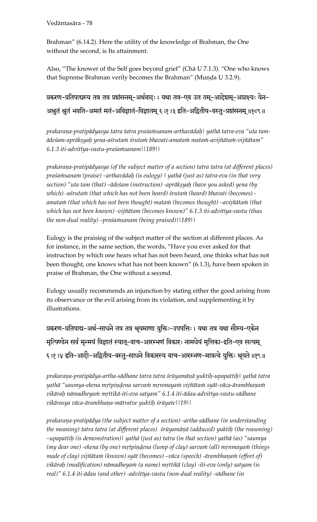Brahman" (6.14.2). Here the utility of the knowledge of Brahman, the One without the second, is Its attainment.

Also, "The knower of the Self goes beyond grief" (Chä U 7.1.3). "One who knows that Supreme Brahman verily becomes the Brahman" (Munda U 3.2.9).

प्रकरण-प्रतिपाद्यस्य तत्र तत्र प्रशंसनम्-अर्थवादः । यथा तत्र-एव उत तम्-आदेशम्-अप्राक्ष्यः येन-अश्चतं श्चतं भवति-अमतं मतं-अविज्ञातं-विज्ञातम् ६ ।१ ।३ इति-अद्वितीय-वस्तु-प्रशंसनम् ॥१८९॥

prakarana-pratipādyasya tatra tatra praśa*nisanam-arthavādaḥ\ yathā tatra-eva* "uta tam*ädeçam-apräkñyaù yena-açrutaà çrutaà bhavati-amataà mataà-avijïätaà-vijïätam" 6.1.3 iti-advitéya-vastu-praçaàsanam||189||* 

prakarana-pratipādyasya (of the subject matter of a section) tatra tatra (at different places) *praçaàsanam (praise) –arthavädaù (is eulogy) | yathä (just as) tatra-eva (in that very section)* "uta tam (that) –ādeśam (instruction) -aprākṣyaḥ (have you asked) yena (by *which) -açrutaà (that which has not been heard) çrutaà (heard) bhavati (becomes)*  amatam (that which has not been thought) matam (becomes thought) –avijñātam (that *which has not been known) -vijïätam (becomes known)" 6.1.3 iti-advitéya-vastu (thus the non-dual reality) –praçaàsanam (being praised)||189||*

Eulogy is the praising of the subject matter of the section at different places. As for instance, in the same section, the words, "Have you ever asked for that instruction by which one hears what has not been heard, one thinks what has not been thought, one knows what has not been known" (6.1.3), have been spoken in praise of Brahman, the One without a second.

Eulogy usually recommends an injunction by stating either the good arising from its observance or the evil arising from its violation, and supplementing it by illustrations.

प्रकरण-प्रतिपाद्य-अर्थ-साधने तत्र तत्र श्रूयमाणा युक्तिः-उपपत्तिः । यथा तत्र यथा सौम्य-एकेन मृत्पिण्डेन सर्वं मृन्मयं विज्ञातं स्यात्-वाच-आरम्भणं विकारः नामधेयं मृत्तिका-इति-एव सत्यम् ६।१।४ इति-आदौ-अद्वितीय-वस्तु-साधने विकारस्य वाच-आरम्भण-मात्रत्वे युक्तिः श्रूयते ॥१९॥

prakaraṇa-pratipādya-artha-sādhane tatra tatra śrūyamāṇā yuktiḥ-upapattiḥ| yathā tatra yathā "saumya-ekena mṛtpiṇḍena sarvaṁ mṛnmayaṁ vijñātaṁ syāt-vāca-ārambhaṇaṁ *vikäraù nämadheyaà måttikä-iti-eva satyam" 6.1.4 iti-ädau-advitéya-vastu-sädhane vikärasya väca-ärambhaëa-mätratve yuktiù çrüyate||19||* 

*prakaraëa-pratipädya (the subject matter of a section) -artha-sädhane (in understanding*  the meaning) tatra tatra (at different places) *śrūyamāņā (adduced) yuktih (the reasoning*) *–upapattiù (is demonstration)| yathä (just as) tatra (in that section) yathä (as) "saumya (my dear one) -ekena (by one) mrtpindena (lump of clay) sarvam (all) mrnmayam (things* made of clay) vijñātam (known) syāt (becomes) –vāca (speech) -ārambhaņam (effort of) *vikäraù (modification) nämadheyaà (a name) måttikä (clay) -iti-eva (only) satyam (is real)" 6.1.4 iti-ädau (and other) -advitéya-vastu (non-dual reality) -sädhane (in*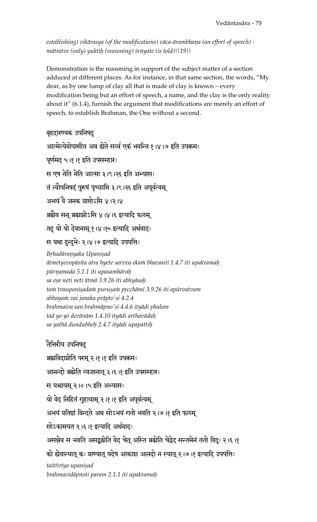establishing) vikārasya (of the modifications) vāca-ārambhaņa (an effort of speech) *mätratve (only) yuktiù (reasoning) çrüyate (is told)||19||*

Demonstration is the reasoning in support of the subject matter of a section adduced at different places. As for instance, in that same section, the words, "My dear, as by one lump of clay all that is made of clay is known – every modification being but an effort of speech, a name, and the clay is the only reality about it" (6.1.4), furnish the argument that modifications are merely an effort of speech, to establish Brahman, the One without a second.

#### बृहदारण्यक उपनिषदु

आत्मेत्येवोपासीत अत्र ह्येते सर्व्व एकं भवन्ति १।४।७ इति उपक्रमः

पूर्णमद ५ ११ |१ इति उपसम्हारः

स एष नेति नेति आत्मा ३।९।२६ इति अभ्यासः

तं त्वौपनिषदं पुरुषं पृच्छामि ३।९।२६ इति अपूर्वत्वम्

अभयं वे जनक प्राप्तोऽसि ४।२।४

ब्रह्मैव सन् ब्रह्माप्नोऽसि ४।४।६ इत्यादि फलम्

तदु यो यो देवानाम् १।४।१० इत्यादि अर्थवादः

स यथा दुन्दुभेः २।४।७ इत्यादि उपपत्तिः

 $B$ *rhadāraņyaka Upaniṣad* 

*ätmetyevopäséta atra hyete sarvva ekaà bhavanti 1.4.7 iti upakramaù pürëamada 5.1.1 iti upasamhäraù sa eña neti neti ätmä 3.9.26 iti abhyäsaù*  tam tvaupanișadam purușam prcchāmi 3.9.26 iti apūrvatvam *abhayaà vai janaka präpto'si 4.2.4 brahmaiva san brahmäpno'si 4.4.6 ityädi phalam tad yo yo devänäm 1.4.10 ityädi arthavädaù sa yathä dundubheù 2.4.7 ityädi upapattiù* 

तेत्तिरीय उपनिषद ब्रह्मविदाप्नोति परम् २।१।१ इति उपक्रमः आनन्दो ब्रह्मेति व्यजानात् ३।६।१ इति उपसम्हारः स यश्चायम् २।८।५ इति अभ्यासः यो वेद निहितं गुहायाम् २ ।१ ।१ इति अपूर्वत्वम् अभयं प्रतिष्ठां विन्दते अथ सोऽभयं गतो भवति २।७।१ इति फलम् सोऽकामयत २।६।१ इत्यादि अर्थवादः असन्नेव स भवति असद्बूह्मेति वेद चेत् अस्ति ब्रह्मेति चेद्वेद सन्तमेनं ततो विदुः २।६।१ को ह्येवान्यात् कः प्राण्यात् यदेष आकाश आनदो न स्यात् २।७।१ इत्यादि उपपत्तिः  $t$ aittirīya upaniṣad *brahmavidäpnoti param 2.1.1 iti upakramaù*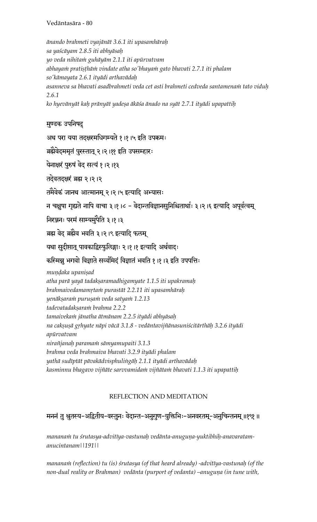*änando brahmeti vyajänät 3.6.1 iti upasamhäraù sa yaçcäyam 2.8.5 iti abhyäsaù yo veda nihitaà guhäyäm 2.1.1 iti apürvatvam*  abhaya*in pratisthāin vindate atha so'bhayain gato bhavati 2.7.1 iti phalam so'kämayata 2.6.1 ityädi arthavädaù asanneva sa bhavati asadbrahmeti veda cet asti brahmeti cedveda santamenaà tato viduù 2.6.1 ko hyevänyät kaù pränyät yadeña äkäça änado na syät 2.7.1 ityädi upapattiù* 

## मुण्डक उपनिषदु

अथ परा यया तदक्षरमधिगम्यते १।१।५ इति उपक्रमः

ब्रह्मैवेदममृतं पुरस्तात् २।२।११ इति उपसम्हारः

येनाक्षरं पुरुषं वेद सत्यं १।२।१३

तदेवतदक्षरं ब्रह्म २।२।२

तमेवेकं जानथ आत्मानम् २।२।५ इत्यादि अभ्यासः

न चक्षुषा गृह्यते नापि वाचा ३।१।८ - वेदान्तविज्ञानसुनिश्चितार्थाः ३।२।६ इत्यादि अपूर्वत्वम्

निरञ्जनः परमं साम्यमुपैति ३।१।३

ब्रह्म वेद ब्रह्मैव भवति ३।२।९ इत्यादि फलम्

यथा सुदीप्तात् पावकाद्विस्फुलिङ्गाः २।१।१ इत्यादि अर्थवादः

## कस्मिन्नू भगवो विज्ञाते सर्व्वमिदं विज्ञातं भवति १।१।३ इति उपपत्तिः

*mundaka upanisad atha parä yayä tadakñaramadhigamyate 1.1.5 iti upakramaù brahmaivedamamåtaà purastät 2.2.11 iti upasamhäraù yenäkñaraà puruñaà veda satyaà 1.2.13 tadevatadakñaraà brahma 2.2.2 tamaivekaà jänatha ätmänam 2.2.5 ityädi abhyäsaù na cakñuñä gåhyate näpi väcä 3.1.8 - vedäntavijïänasuniçcitärthäù 3.2.6 ityädi apürvatvam niraïjanaù paramaà sämyamupaiti 3.1.3 brahma veda brahmaiva bhavati 3.2.9 ityädi phalam yathä sudéptät pävakädvisphuliìgäù 2.1.1 ityädi arthavädaù kasminnu bhagavo vijïäte sarvvamidaà vijïätaà bhavati 1.1.3 iti upapattiù* 

## REFLECTION AND MEDITATION

## मननं तु श्चतस्य-अद्वितीय-वस्तुनः वेदान्त-अनुगुण-युक्तिभिः-अनवरतम्-अनुचिन्तनम् ॥१९१ ॥

*mananaà tu çrutasya-advitéya-vastunaù vedänta-anuguëa-yuktibhiù-anavaratamanucintanam||191||* 

manana $\dot{m}$  (reflection) tu (is) śrutasya (of that heard already) -advitīya-vastunaḥ (of the non-dual reality or Brahman) vedānta (purport of vedanta) –anuguņa (in tune with,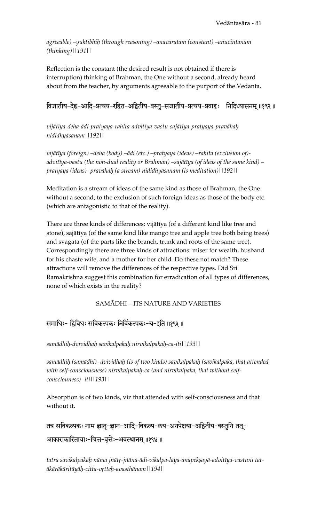*agreeable) –yuktibhiù (through reasoning) –anavaratam (constant) –anucintanam (thinking)||191||*

Reflection is the constant (the desired result is not obtained if there is interruption) thinking of Brahman, the One without a second, already heard about from the teacher, by arguments agreeable to the purport of the Vedanta.

## विजातीय-देह-आदि-प्रत्यय-रहित-अद्वितीय-वस्तु-सजातीय-प्रत्यय-प्रवाहः निदिध्यासनम् ॥१९२॥

*vijätéya-deha-ädi-pratyaya-rahita-advitéya-vastu-sajätéya-pratyaya-pravähaù nididhyäsanam||192||* 

*vijätéya (foreign) –deha (body) –ädi (etc.) –pratyaya (ideas) –rahita (exclusion of) advitéya-vastu (the non-dual reality or Brahman) –sajätéya (of ideas of the same kind) – pratyaya (ideas) -pravähaù (a stream) nididhyäsanam (is meditation)||192||* 

Meditation is a stream of ideas of the same kind as those of Brahman, the One without a second, to the exclusion of such foreign ideas as those of the body etc. (which are antagonistic to that of the reality).

There are three kinds of differences: vijātīya (of a different kind like tree and stone), sajātīya (of the same kind like mango tree and apple tree both being trees) and svagata (of the parts like the branch, trunk and roots of the same tree). Correspondingly there are three kinds of attractions: miser for wealth, husband for his chaste wife, and a mother for her child. Do these not match? These attractions will remove the differences of the respective types. Did Sri Ramakrishna suggest this combination for erradication of all types of differences, none of which exists in the reality?

#### SAMÄDHI – ITS NATURE AND VARIETIES

#### समाधिः- द्विविधः सविकल्पकः निर्विकल्पकः-च-इति ॥१९३॥

*samädhiù-dvividhaù savikalpakaù nirvikalpakaù-ca-iti||193||* 

*samädhiù (samädhi) -dvividhaù (is of two kinds) savikalpakaù (savikalpaka, that attended with self-consciousness) nirvikalpakaù-ca (and nirvikalpaka, that without selfconsciouness) -iti||193||*

Absorption is of two kinds, viz that attended with self-consciousness and that without it.

तत्र सविकल्पकः नाम ज्ञात-ज्ञान-आदि-विकल्प-लय-अनपेक्षया-अद्वितीय-वस्तुनि तत्-आकाराकारितायाः-चित्त-वृत्तेः-अवस्थानम् ॥१९४॥

tatra savikalpakah nāma jñātr-jñāna-ādi-vikalpa-laya-anapekṣayā-advitīya-vastuni tat*äkäräkäritäyäù-citta-våtteù-avasthänam||194||*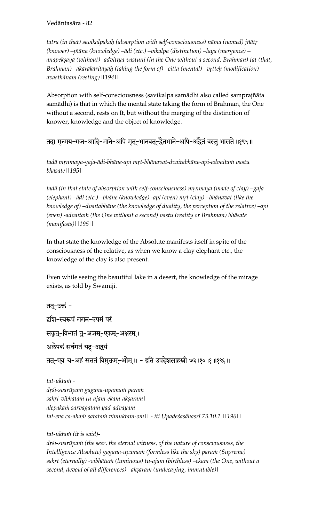tatra (in that) savikalpakah (absorption with self-consciousness) nāma (named) jñātr *(knower) –jïäna (knowledge) –ädi (etc.) –vikalpa (distinction) –laya (mergence) –* anapekṣayā (without) -advitīya-vastuni (in the One without a second, Brahman) tat (that, *Brahman) –ākārākāritāyāh (taking the form of) –citta (mental) –vṛtteḥ (modification) – avasthänam (resting)||194||*

Absorption with self-consciousness (savikalpa samādhi also called samprajñāta samädhi) is that in which the mental state taking the form of Brahman, the One without a second, rests on It, but without the merging of the distinction of knower, knowledge and the object of knowledge.

तदा मृन्मय-गज-आदि-भाने-अपि मृत्-भानवत्-द्वैतभाने-अपि-अद्वैतं वस्तु भासते ॥१९५॥

*tadä månmaya-gaja-ädi-bhäne-api måt-bhänavat-dvaitabhäne-api-advaitaà vastu bhäsate||195||* 

tadā (in that state of absorption with self-consciousness) mrnmaya (made of clay) –gaja (elephant) –ādi (etc.) –bhāne (knowledge) -api (even) mṛt (clay) –bhānavat (like the *knowledge of) –dvaitabhäne (the knowledge of duality, the perception of the relative) –api (even) -advaitaà (the One without a second) vastu (reality or Brahman) bhäsate (manifests)||195||*

In that state the knowledge of the Absolute manifests itself in spite of the consciousness of the relative, as when we know a clay elephant etc., the knowledge of the clay is also present.

Even while seeing the beautiful lake in a desert, the knowledge of the mirage exists, as told by Swamiji.

तत्-उक्तं -हशि-स्वरूपं गगन-उपमं परं सकृत्-विभातं तु-अजम्-एकम्-अक्षरम्। अलेपकं सर्वगतं यदु-अद्वयं तत्-एव च-अहं सततं विमुक्तम्-ओम् ॥ - इति उपदेशसाहस्री ७३।१०।१॥१९६॥ *tat-uktaà dåçi-svarüpaà gagana-upamaà paraà* 

*sakåt-vibhätaà tu-ajam-ekam-akñaram| alepakaà sarvagataà yad-advayaà tat-eva ca-ahaà satataà vimuktam-om|| - iti Upadeçasähasré 73.10.1 ||196||* 

tat-ukta*in* (it is said)-

drśi-svarūpam (the seer, the eternal witness, of the nature of consciousness, the Intelligence Absolute) gagana-upama*in* (formless like the sky) para*in* (Supreme) sakṛt (eternally) -vibhātaṁ (luminous) tu-ajam (birthless) –ekam (the One, without a second, devoid of all differences) –akṣaram (undecaying, immutable) |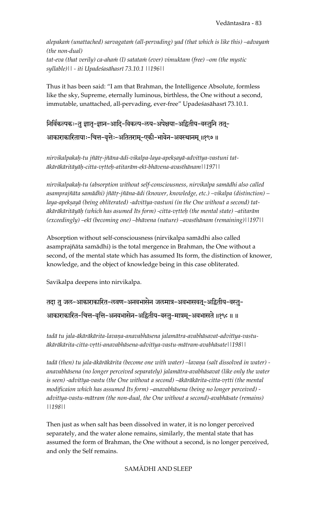alepakam (unattached) sarvagatam (all-pervading) yad (that which is like this) –advayam *(the non-dual)*  tat-eva (that verily) ca-aha $\dot{m}$  (I) satata $\dot{m}$  (ever) vimuktam (free) –om (the mystic *syllable)|| - iti Upadeçasähasré 73.10.1 ||196||* 

Thus it has been said: "I am that Brahman, the Intelligence Absolute, formless like the sky, Supreme, eternally luminous, birthless, the One without a second, immutable, unattached, all-pervading, ever-free" Upadeśasāhasrī 73.10.1.

निर्विकल्पकः-तु ज्ञात-ज्ञान-आदि-विकल्प-लय-अपेक्षया-अद्वितीय-वस्तुनि तत्-आकाराकारितायाः-चित्त-वृत्तेः-अतितराम्-एकी-भावेन-अवस्थानम् ॥१९७॥

nirvikalpakah-tu jñātr-jñāna-ādi-vikalpa-laya-apekṣayā-advitīya-vastuni tat*äkäräkäritäyäù-citta-våtteù-atitaräm-eké-bhävena-avasthänam||197||* 

*nirvikalpakaù-tu (absorption without self-consciousness, nirvikalpa samädhi also called*  asamprajñāta samādhi) jñātṛ-jñāna-ādi (knower, knowledge, etc.) –vikalpa (distinction) – laya-apekșayā (being obliterated) -advitīya-vastuni (in the One without a second) tat*äkäräkäritäyäù (which has asumed Its form) -citta-våtteù (the mental state) –atitaräm (exceedingly) –eké (becoming one) –bhävena (nature) –avasthänam (remaining)||197||* 

Absorption without self-consciousness (nirvikalpa samädhi also called asamprajïäta samädhi) is the total mergence in Brahman, the One without a second, of the mental state which has assumed Its form, the distinction of knower, knowledge, and the object of knowledge being in this case obliterated.

Savikalpa deepens into nirvikalpa.

तदा तु जल-आकाराकारित-लवण-अनवभासेन जलमात्र-अवभासवत्-अद्वितीय-वस्तु-आकाराकारित-चित्त-वृत्ति-अनवभासेन-अद्वितीय-वस्तु-मात्रम्-अवभासते ॥१९८॥॥

tadā tu jala-ākārākārita-lavaņa-anavabhāsena jalamātra-avabhāsavat-advitīya-vastu*äkäräkärita-citta-våtti-anavabhäsena-advitéya-vastu-mätram-avabhäsate||198||* 

tadā (then) tu jala-ākārākārita (become one with water) –lavaņa (salt dissolved in water) *anavabhäsena (no longer perceived separately) jalamätra-avabhäsavat (like only the water*  is seen) -advitīya-vastu (the One without a second) –ākārākārita-citta-vrtti (the mental *modificaion which has assumed Its form) –anavabhäsena (being no longer perceived) advitéya-vastu-mätram (the non-dual, the One without a second)-avabhäsate (remains) ||198||* 

Then just as when salt has been dissolved in water, it is no longer perceived separately, and the water alone remains, similarly, the mental state that has assumed the form of Brahman, the One without a second, is no longer perceived, and only the Self remains.

SAMÄDHI AND SLEEP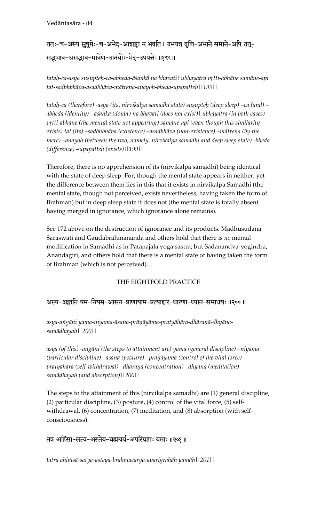# ततः-च-अस्य सुषुप्तेः-च-अभेद-आशङ्का न भवति । उभयत्र वृत्ति-अभाने समाने-अपि तत्-सद्भमाव-असद्भाव-मात्रेण-अनयोः-भेद-उपपत्तेः ॥१९९॥

tatah-ca-asya sușupteh-ca-abheda-āśankā na bhavati| ubhayatra vrtti-abhāne samāne-api *tat-sadbhbhäva-asadbhäva-mätreëa-anayoù-bheda-upapatteù||199||* 

*tatah-ca (therefore) -asya (its, nirvikalpa samadhi state) susupteh (deep sleep) –ca (and) – abheda (identity) -äçaìkä (doubt) na bhavati (does not exist)| ubhayatra (in both cases)*   $v$ <sub>r</sub>tti-abhāne (the mental state not appearing) samāne-api (even though this similarity exists) tat (its) –sadbhbhāva (existence) –asadbhāva (non-existence) –mātreņa (by the *mere) –anayoù (between the two, namely, nirvikalpa samadhi and deep sleep state) -bheda (difference) –upapatteù (exists)||199||* 

Therefore, there is no apprehension of its (nirvikalpa samadhi) being identical with the state of deep sleep. For, though the mental state appears in neither, yet the difference between them lies in this that it exists in nirvikalpa Samadhi (the mental state, though not perceived, exists nevertheless, having taken the form of Brahman) but in deep sleep state it does not (the mental state is totally absent having merged in ignorance, which ignorance alone remains).

See 172 above on the destruction of ignorance and its products. Madhusudana Saraswati and Gaudabrahmananda and others hold that there is *no* mental modification in Samadhi as in Patanajala yoga sastra; but Sadanandva-yogindra, Anandagiri, and others hold that there is a mental state of having taken the form of Brahman (which is not perceived).

## THE EIGHTFOLD PRACTICE

#### अस्य-अङ्गानि यम-नियम-आसन-प्राणायाम-प्रत्याहार-धारणा-ध्यान-समाधयः ॥२००॥

asya-aṅgāni yama-niyama-āsana-prāṇāyāma-pratyāhāra-dhāraṇā-dhyāna*samädhayaù||200||* 

*asya (of this) -aìgäni (the steps to attainment are) yama (general discipline) –niyama*  (particular discipline) –āsana (posture) –prāņāyāma (control of the vital force) – *pratyähära (self-withdrawal) –dhäraëä (concentration) –dhyäna (meditation) – samädhayaù (and absorption)||200||* 

The steps to the attainment of this (nirvikalpa samadhi) are (1) general discipline, (2) particular discipline, (3) posture, (4) control of the vital force, (5) selfwithdrawal, (6) concentration, (7) meditation, and (8) absorption (with selfconsciousness).

#### तत्र अहिंसा-सत्य-अस्तेय-ब्रह्मचर्य-अपरिग्रहाः यमाः॥२०१॥

*tatra ahiàsä-satya-asteya-brahmacarya-aparigrahäù yamäù||201||*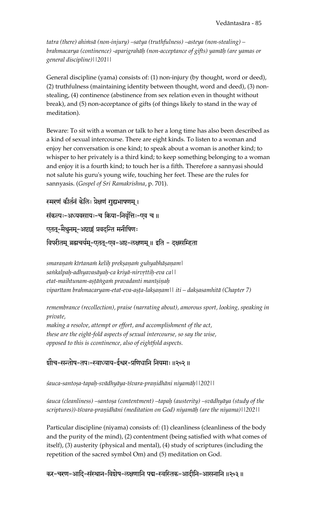tatra (there) ahi $m$ sā (non-injury) –satya (truthfulness) –asteya (non-stealing) – *brahmacarya (continence) -aparigrahäù (non-acceptance of gifts) yamäù (are yamas or general discipline)||201||*

General discipline (yama) consists of: (1) non-injury (by thought, word or deed), (2) truthfulness (maintaining identity between thought, word and deed), (3) nonstealing, (4) continence (abstinence from sex relation even in thought without break), and (5) non-acceptance of gifts (of things likely to stand in the way of meditation).

Beware: To sit with a woman or talk to her a long time has also been described as a kind of sexual intercourse. There are eight kinds. To listen to a woman and enjoy her conversation is one kind; to speak about a woman is another kind; to whisper to her privately is a third kind; to keep something belonging to a woman and enjoy it is a fourth kind; to touch her is a fifth. Therefore a sannyasi should not salute his guru's young wife, touching her feet. These are the rules for sannyasis. (*Gospel of Sri Ramakrishna*, p. 701).

```
स्मरणं कीर्तनं केलिः प्रेक्षणं गुह्यभाषणम् ।
संकल्पः-अध्यवसायः-च क्रिया-निर्वृत्तिः-एव च ॥
```

```
एतत्-मैथुनम्-अष्टाङ्गं प्रवदन्ति मनीषिणः
```
विपरीतम् ब्रह्मचर्यम्-एतत्-एव-अष्ट-लक्षणम् ॥ इति - दक्षसम्हिता

smaranam kīrtanam kelih prekṣaṇam guhyabhāṣaṇam | sankalpah-adhyavasāyah-ca kriyā-nirvrttih-eva ca|| etat-maihtunam-așțāngam pravadanti manīșiņah viparītam brahmacaryam-etat-eva-așța-lakșaņam|| iti – dakșasamhitā (Chapter 7)

*remembrance (recollection), praise (narrating about), amorous sport, looking, speaking in private, making a resolve, attempt or effort, and accomplishment of the act,* 

*these are the eight-fold aspects of sexual intercourse, so say the wise, opposed to this is ccontinence, also of eightfold aspects.* 

श्रौच-सन्तोष-तपः-स्वाध्याय-ईश्वर-प्रणिधानि नियमाः ॥२०२॥

*çauca-santoña-tapaù-svädhyäya-éçvara-praëidhäni niyamäù||202||* 

 $s$ auca (cleanliness) –santoṣa (contentment) –tapaḥ (austerity) –svādhyāya (study of the *scriptures))-éçvara-praëidhäni (meditation on God) niyamäù (are the niyama)||202||*

Particular discipline (niyama) consists of: (1) cleanliness (cleanliness of the body and the purity of the mind), (2) contentment (being satisfied with what comes of itself), (3) austerity (physical and mental), (4) study of scriptures (including the repetition of the sacred symbol Om) and (5) meditation on God.

कर-चरण-आदि-संस्थान-विशेष-लक्षणानि पद्म-स्वस्तिक-आदीनि-आसनानि ॥२०३॥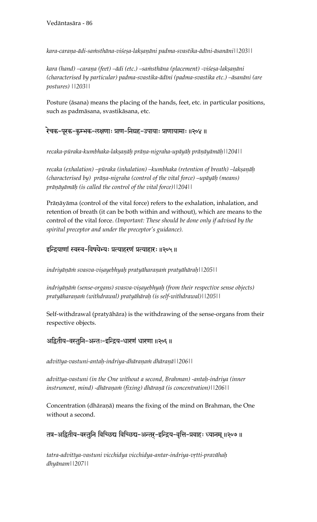*kara-caraëa-ädi-saàsthäna-viçeña-lakñaëäni padma-svastika-ädéni-äsanäni||203||* 

kara (hand) –caraņa (feet) –ādi (etc.) –sa $m$ sthāna (placement) -viśeṣa-lakṣaṇāni *(characterised by particular) padma-svastika-ädéni (padma-svastika etc.) –äsanäni (are postures) ||203||*

Posture (äsana) means the placing of the hands, feet, etc. in particular positions, such as padmäsana, svastikäsana, etc.

#### रेचक-पुरक-कुम्भक-लक्षणाः प्राण-निग्रह-उपायाः प्राणायामाः ॥२०४॥

*recaka-püraka-kumbhaka-lakñaëäù präëa-nigraha-upäyäù präëäyämäù||204||* 

recaka (exhalation) –pūraka (inhalation) –kumbhaka (retention of breath) –lakṣaṇāḥ (characterised by) prāņa-nigraha (control of the vital force) –upāyāḥ (means) prāņāyāmāḥ (is called the control of the vital force)||204||

Prāņāyāma (control of the vital force) refers to the exhalation, inhalation, and retention of breath (it can be both within and without), which are means to the control of the vital force. *(Important: These should be done only if advised by the spiritul preceptor and under the preceptor's guidance).* 

## इन्द्रियाणां स्वस्व-विषयेभ्यः प्रत्याहरणं प्रत्याहारः ॥२०५॥

indriyāņām svasva-viṣayebhyaḥ pratyāharaṇam pratyāhāraḥ||205||

*indriyānām (sense-organs) svasva-viṣayebhyaḥ (from their respective sense objects) pratyäharaëaà (withdrawal) pratyähäraù (is self-withdrawal)||205||* 

Self-withdrawal (pratyähära) is the withdrawing of the sense-organs from their respective objects.

## अद्वितीय-वस्तुनि-अन्तः-इन्द्रिय-धारणं धारणा ॥२०६ ॥

*advitéya-vastuni-antaù-indriya-dhäraëaà dhäraëä||206||* 

advitīya-vastuni (in the One without a second, Brahman) -antaḥ-indriya (inner *instrument, mind) -dhāraṇaṁ (fixing) dhāraṇā (is concentration)*||206||

Concentration (dhāraṇā) means the fixing of the mind on Brahman, the One without a second.

तत्र-अद्वितीय-वस्तुनि विच्छिद्य विच्छिद्य-अन्तर्-इन्द्रिय-वृत्ति-प्रवाहः ध्यानम् ॥२०७ ॥

*tatra-advitéya-vastuni vicchidya vicchidya-antar-indriya-våtti-pravähaù dhyänam||207||*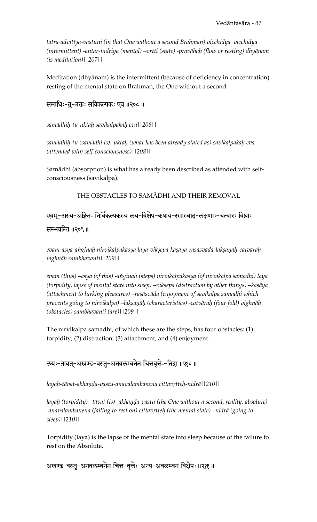*tatra-advitéya-vastuni (in that One without a second Brahman) vicchidya vicchidya (intermittent) -antar-indriya (mental) –våtti (state) -pravähaù (flow or resting) dhyänam (is meditation)||207||* 

Meditation (dhyänam) is the intermittent (because of deficiency in concentration) resting of the mental state on Brahman, the One without a second.

समाधिः-तु-उक्तः सविकल्पकः एव ॥२०८॥

*samädhiù-tu-uktaù savikalpakaù eva||208||* 

*samädhiù-tu (samädhi is) -uktaù (what has been already stated as) savikalpakaù eva (attended with self-consciousness)||208||* 

Samädhi (absorption) is what has already been described as attended with selfconsciousness (savikalpa).

THE OBSTACLES TO SAMÄDHI AND THEIR REMOVAL

एवम्-अस्य-अङ्गिनः निर्विकल्पकस्य लय-विक्षेप-कषाय-रसास्वाद-लक्षणाः-चत्वारः विघ्नाः

सम्भवन्ति ॥२०९ ॥

evam-asya-anginah nirvikalpakasya laya-vikṣepa-kaṣāya-rasāsvāda-lakṣaṇāh-catvāraḥ *vighnäù sambhavanti||209||* 

*evam (thus) –asya (of this) -aìginaù (steps) nirvikalpakasya (of nirvikalpa samadhi) laya (torpidity, lapse of mental state into sleep) –vikṣepa (distraction by other things) –kaṣāya (attachment to lurking pleasures) –rasäsväda (enjoyment of savikalpa samadhi which prevents going to nirvikalpa) –lakñaëäù (characteristics) -catväraù (four fold) vighnäù (obstacles) sambhavanti (are)||209||* 

The nirvikalpa samadhi, of which these are the steps, has four obstacles: (1) torpidity, (2) distraction, (3) attachment, and (4) enjoyment.

रुयः-तावत्-अखण्ड-वस्तु-अनवलम्बनेन चित्तवृत्तेः-निद्रा ॥२१०॥

*layaḥ-tāvat-akhaṇḍa-vastu-anavalambanena cittavṛtteḥ-nidrā*||210||

*layah (torpidity) –tāvat (is) -akhanda-vastu (the One without a second, reality, absolute)* -anavalambanena (failing to rest on) cittavrtteh (the mental state) –nidrā (going to *sleep)||210||* 

Torpidity (laya) is the lapse of the mental state into sleep because of the failure to rest on the Absolute.

अखण्ड-वस्तु-अनवलम्बनेन चित्त-वृत्तेः-अन्य-अवलम्बनं विक्षेपः॥२११॥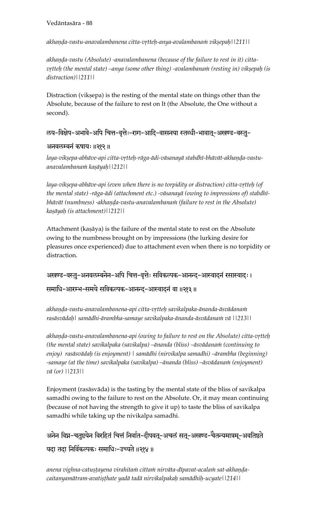akhanda-vastu-anavalambanena citta-vṛtteḥ-anya-avalambanaṁ vikṣepaḥ||211||

akhanda-vastu (Absolute) -anavalambanena (because of the failure to rest in it) citta*vrtteh (the mental state) –anya (some other thing) -avalambanam (resting in) vikṣepaḥ (is distraction)||211||*

Distraction (vikṣepa) is the resting of the mental state on things other than the Absolute, because of the failure to rest on It (the Absolute, the One without a second).

रुय-विक्षेप-अभावे-अपि चित्त-वृत्तेः-राग-आदि-वासनया स्तब्धी-भावात्-अखण्ड-वस्तु-

#### अनवलम्बनं कषायः ॥२१२॥

laya-vikṣepa-abhāve-api citta-vṛtteḥ-rāga-ādi-vāsanayā stabdhī-bhāvāt-akhaṇḍa-vastu*anavalambanaà kañäyaù||212||* 

laya-viksepa-abhāve-api (even when there is no torpidity or distraction) citta-vrtteh (of *the mental state) -räga-ädi (attachment etc.) -väsanayä (owing to impressions of) stabdhé*bhāvāt (numbness) -akhaņḍa-vastu-anavalambana*in (failure to rest in the Absolute*) *kañäyaù (is attachment)||212||*

Attachment (kaṣāya) is the failure of the mental state to rest on the Absolute owing to the numbness brought on by impressions (the lurking desire for pleasures once experienced) due to attachment even when there is no torpidity or distraction.

अखण्ड-वस्तु-अनवलम्बनेन-अपि चित्त-वृत्तेः सविकल्पक-आनन्द्-आस्वाद्नं रसास्वाद्ः । समाधि-आरम्भ-समये सविकल्पक-आनन्द-आस्वादनं वा ॥२१३॥

akhanda-vastu-anavalambanena-api citta-vrtteh savikalpaka-ānanda-āsvādanam *rasäsvädaù| samädhi-ärambha-samaye savikalpaka-änanda-äsvädanaà vä ||213||* 

akhanda-vastu-anavalambanena-api (owing to failure to rest on the Absolute) citta-vrtteh (the mental state) savikalpaka (savikalpa) –ānanda (bliss) –āsvādana*in (continuing to enjoy) rasäsvädaù (is enjoyment) | samädhi (nirvikalpa samadhi) –ärambha (beginning)*  -samaye (at the time) savikalpaka (savikalpa) –ānanda (bliss) –āsvādana*ni (enjoyment*) *vä (or) ||213||*

Enjoyment (rasäsväda) is the tasting by the mental state of the bliss of savikalpa samadhi owing to the failure to rest on the Absolute. Or, it may mean continuing (because of not having the strength to give it up) to taste the bliss of savikalpa samadhi while taking up the nivikalpa samadhi.

अनेन विघ्न-चतुष्टयेन विरहितं चित्तं निर्वात-दीपवत्-अचलं सत्-अखण्ड-चैतन्यमात्रम्-अवतिष्ठते यदा तदा निर्विकल्पकः समाधिः-उच्यते ॥२१४॥

anena vighna-catustayena virahitam cittam nirvāta-dīpavat-acalam sat-akhanda*caitanyamätram-avatiñöhate yadä tadä nirvikalpakaù samädhiù-ucyate||214||*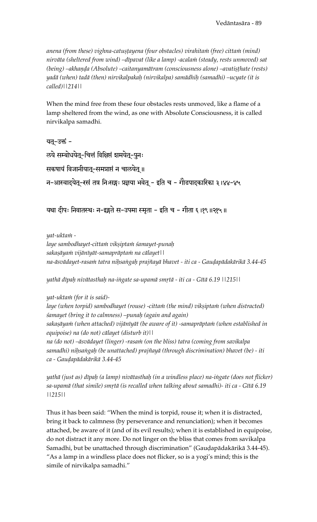anena (from these) vighna-catustayena (four obstacles) virahitam (free) cittam (mind) *nirväta (sheltered from wind) –dépavat (like a lamp) -acalaà (steady, rests unmoved) sat (being) –akhanda (Absolute) –caitanyamātram (consciousness alone) –avatisthate (rests) yadä (when) tadä (then) nirvikalpakaù (nirvikalpa) samädhiù (samadhi) –ucyate (it is called)||214||*

When the mind free from these four obstacles rests unmoved, like a flame of a lamp sheltered from the wind, as one with Absolute Consciousness, it is called nirvikalpa samadhi.

```
यत्-उक्तं -
रुये सम्बोधयेत्-चित्तं विक्षिप्तं शमयेत्-पुनः
सकषायं विजानीयात्-समप्राप्तं न चालयेत् ॥
न-आस्वाद्येतू-रसं तत्र निःसङ्गः प्रज्ञया भवेत् - इति च - गौडपादकारिका ३।४४-४५
```
यथा दीपः निवातस्थः न-इङ्गते स-उपमा स्मृता - इति च - गीता ६ ।१९ ॥२१५ ॥

*yat-uktaà -* 

laye sambodhayet-citta*in viksiptam śamayet-punah sakañäyaà vijänéyät-samapräptaà na cälayet|| na-äsvädayet-rasaà tatra niùsaìgaù prajïayä bhavet - iti ca - Gauòapädakärikä 3.44-45* 

*yathä dépaù nivätasthaù na-iìgate sa-upamä småtä - iti ca - Gétä 6.19 ||215||* 

*yat-uktaà (for it is said)-* 

laye (when torpid) sambodhayet (rouse) -cittam (the mind) vikṣiptam (when distracted) *çamayet (bring it to calmness) –punaù (again and again)*  sakașāyam (when attached) vijānīyāt (be aware of it) -samaprāptam (when established in *equipoise) na (do not) cälayet (disturb it)||*  na (do not) –āsvādayet (linger) -rasa*in (on the bliss) tatra (coming from savikalpa samadhi) niùsaìgaù (be unattached) prajïayä (through discrimination) bhavet (be) - iti ca - Gauòapädakärikä 3.44-45* 

*yathä (just as) dépaù (a lamp) nivätasthaù (in a windless place) na-iìgate (does not flicker)*  sa-upamā (that simile) smṛtā (is recalled when talking about samadhi)- iti ca - Gītā 6.19 *||215||*

Thus it has been said: "When the mind is torpid, rouse it; when it is distracted, bring it back to calmness (by perseverance and renunciation); when it becomes attached, be aware of it (and of its evil results); when it is established in equipoise, do not distract it any more. Do not linger on the bliss that comes from savikalpa Samadhi, but be unattached through discrimination" (Gauḍapādakārikā 3.44-45). "As a lamp in a windless place does not flicker, so is a yogi's mind; this is the simile of nirvikalpa samadhi."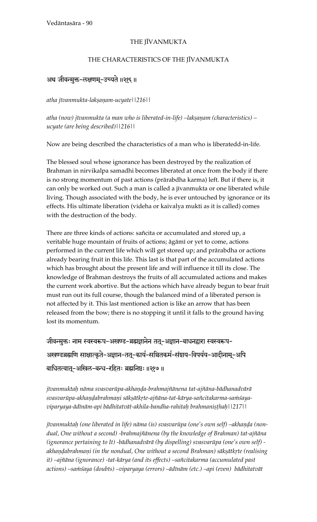#### THE JĪVANMUKTA

#### THE CHARACTERISTICS OF THE JĪVANMUKTA

# अथ जीवन्मुक्त-लक्षणम्-उच्यते ॥२१६॥

*atha jévanmukta-lakñaëam-ucyate||216||* 

atha (now) jīvanmukta (a man who is liberated-in-life) –lakṣaṇam (characteristics) – *ucyate (are being described)||216||* 

Now are being described the characteristics of a man who is liberatedd-in-life.

The blessed soul whose ignorance has been destroyed by the realization of Brahman in nirvikalpa samadhi becomes liberated at once from the body if there is no strong momentum of past actions (prärabdha karma) left. But if there is, it can only be worked out. Such a man is called a jīvanmukta or one liberated while living. Though associated with the body, he is ever untouched by ignorance or its effects. His ultimate liberation (videha or kaivalya mukti as it is called) comes with the destruction of the body.

There are three kinds of actions: sañcita or accumulated and stored up, a veritable huge mountain of fruits of actions; āgāmī or yet to come, actions performed in the current life which will get stored up; and prärabdha or actions already bearing fruit in this life. This last is that part of the accumulated actions which has brought about the present life and will influence it till its close. The knowledge of Brahman destroys the fruits of all accumulated actions and makes the current work abortive. But the actions which have already begun to bear fruit must run out its full course, though the balanced mind of a liberated person is not affected by it. This last mentioned action is like an arrow that has been released from the bow; there is no stopping it until it falls to the ground having lost its momentum.

जीवन्मुक्तः नाम स्वस्वरूप-अखण्ड-ब्रह्मज्ञानेन तत्-अज्ञान-बाधनद्वारा स्वस्वरूप-अखण्डब्रह्मणि साक्षात्कृते-अज्ञान-तत्-कार्य-सञ्चितकर्म-संशय-विपर्यय-आदीनाम्-अपि बाधितत्वातू-अखिल-बन्ध-रहितः ब्रह्मनिष्ठः ॥२१७॥

*jévanmuktaù näma svasvarüpa-akhaëòa-brahmajïänena tat-ajïäna-bädhanadvärä*  svasvarūpa-akhaņdabrahmaņi sākṣātkṛte-ajñāna-tat-kārya-sañcitakarma-saṁśaya*viparyaya-ädénäm-api bädhitatvät-akhila-bandha-rahitaù brahmaniñöhaù||217||* 

*j*īvanmuktah (one liberated in life) nāma (is) svasvarūpa (one's own self) –akhaņḍa (non*dual, One without a second) -brahmajïänena (by the knowledge of Brahman) tat-ajïäna (ignorance pertaining to It) -bädhanadvärä (by dispelling) svasvarüpa (one's own self)*  akhandabrahmani (in the nondual, One without a second Brahman) sākṣātkṛte (realising *it) –ajïäna (ignorance) -tat-kärya (and its effects) –saïcitakarma (accumulated past*  actions) –sa $m$ śaya (doubts) –viparyaya (errors) –ādīnām (etc.) –api (even) bādhitatvāt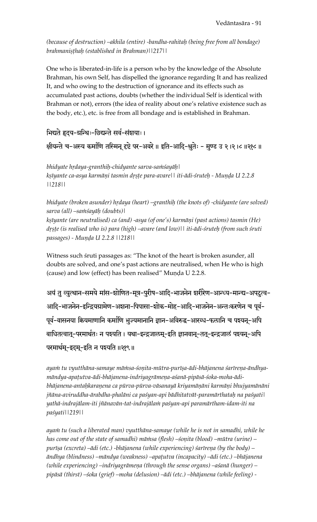*(because of destruction) –akhila (entire) -bandha-rahitaù (being free from all bondage) brahmanisthah (established in Brahman)*||217||

One who is liberated-in-life is a person who by the knowledge of the Absolute Brahman, his own Self, has dispelled the ignorance regarding It and has realized It, and who owing to the destruction of ignorance and its effects such as accumulated past actions, doubts (whether the individual Self is identical with Brahman or not), errors (the idea of reality about one's relative existence such as the body, etc.), etc. is free from all bondage and is established in Brahman.

मिद्यते हृदय-ग्रन्थिः-छिद्यन्ते सर्व-संशयाः।

क्षीयन्ते च-अस्य कर्माणि तस्मिन् दृष्टे पर-अवरे ॥ इति-आदि-श्रुतेः - मुण्ड उ २ ।२ ।८ ॥२१८ ॥

bhidyate hrdaya-granthih-chidyante sarva-samśayāh | kṣīyante ca-asya karmāṇi tasmin dṛṣṭe para-avare|| iti-ādi-śruteḥ - Muṇḍa U 2.2.8 *||218||* 

bhidyate (broken asunder) hrdaya (heart) –granthiḥ (the knots of) -chidyante (are solved)  $sarva$  (all) –sa $m\sin\left(\frac{du}{dx}\right)$  (doubts)| *kñéyante (are neutralised) ca (and) -asya (of one's) karmäëi (past actions) tasmin (He) dåñöe (is realised who is) para (high) –avare (and low)|| iti-ädi-çruteù (from such çruti passages) - Munda U 2.2.8 ||218||* 

Witness such śruti passages as: "The knot of the heart is broken asunder, all doubts are solved, and one's past actions are neutralised, when He who is high (cause) and low (effect) has been realised" Munda U 2.2.8.

अयं तु व्युत्थान-समये मांस-शोणित-मूत्र-पुरीष-आदि-भाजनेन शरीरेण-आन्ध्य-मान्द्य-अपटुत्व-आदि-भाजनेन-इन्द्रियग्रामेण-अशना-पिपासा-शोक-मोह-आदि-भाजनेन-अन्तःकरणेन च पूर्व-पूर्व-वासनया कियमाणानि कर्माणि भुज्यमानानि ज्ञान-अविरुद्ध-आरब्ध-फलानि च पश्यन्-अपि बाधितत्वात-परमार्थतः न पश्यति । यथा-इन्द्रजालम्-इति ज्ञानवान्-तत्-इन्द्रजालं पश्यन्-अपि परमार्थम्-इदम्-इति न पश्यति ॥२१९॥

ayan ttu vyutthāna-samaye mānisa-śoņita-mūtra-purīṣa-ādi-bhājanena śarīreņa-āndhyamāndya-apaṭutva-ādi-bhājanena-indriyagrāmeṇa-aśanā-pipāsā-śoka-moha-ādibhājanena-antaḥkaraṇena ca pūrva-pūrva-vāsanayā kriyamāṇāni karmāṇi bhujyamānāni *jïäna-aviruddha-ärabdha-phaläni ca paçyan-api bädhitatvät-paramärthataù na paçyati| yathä-indrajälam-iti jïänavän-tat-indrajälaà paçyan-api paramärtham-idam-iti na paçyati||219||* 

ayann tu (such a liberated man) vyutthāna-samaye (while he is not in samadhi, while he *has come out of the state of samadhi) mā* $\dot{m}$ *sa (flesh) –śoņita (blood) –mūtra (urine) –* purīșa (excreta) –ādi (etc.) -bhājanena (while experiencing) śarīreņa (by the body) –  $\bar{a}$ ndhya (blindness) –māndya (weakness) –apatutva (incapacity) –ādi (etc.) –bhājanena (while experiencing) –indriyagrāmeņa (through the sense organs) –aśanā (hunger) – *pipäsä (thirst) –çoka (grief) –moha (delusion) –ädi (etc.) –bhäjanena (while feeling) -*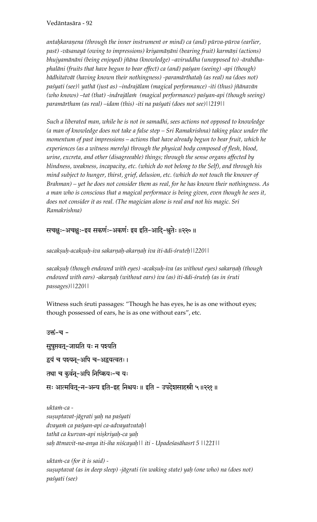antahkaranena (through the inner instrument or mind) ca (and) pūrva-pūrva (earlier, past) -vāsanayā (owing to impressions) kriyamāņāni (bearing fruit) karmāņi (actions) *bhujyamänäni (being enjoyed) jïäna (knowledge) –aviruddha (unopposed to) -ärabdhaphaläni (fruits that have begun to bear effect) ca (and) paçyan (seeing) -api (though) bädhitatvät (having known their nothingness) -paramärthataù (as real) na (does not) paçyati (see)| yathä (just as) –indrajälam (magical performance) -iti (thus) jïänavän*  (who knows) –tat (that) -indrajālam (magical performance) paśyan-api (though seeing) *paramärtham (as real) –idam (this) -iti na paçyati (does not see)||219||* 

*Such a liberated man, while he is not in samadhi, sees actions not opposed to knowledge (a man of knowledge does not take a false step – Sri Ramakrishna) taking place under the momentum of past impressions – actions that have already begun to bear fruit, which he experiences (as a witness merely) through the physical body composed of flesh, blood, urine, excreta, and other (disagreeable) things; through the sense organs affected by blindness, weakness, incapacity, etc. (which do not belong to the Self), and through his mind subject to hunger, thirst, grief, delusion, etc. (which do not touch the knower of Brahman) – yet he does not consider them as real, for he has known their nothingness. As a man who is conscious that a magical performace is being given, even though he sees it, does not consider it as real. (The magician alone is real and not his magic. Sri Ramakrishna)*

सचक्षुः-अचक्षुः-इव सकर्णः-अकर्णः इव इति-आदि-श्रुतेः ॥२२०॥

*sacakñuù-acakñuù-iva sakarëaù-akarëaù iva iti-ädi-çruteù||220||* 

sacakșuh (though endowed with eyes) -acakșuh-iva (as without eyes) sakarnah (though endowed with ears) -akarņaḥ (without ears) iva (as) iti-ādi-śruteḥ (as in śruti *passages)||220||* 

Witness such struti passages: "Though he has eyes, he is as one without eyes; though possessed of ears, he is as one without ears", etc.

```
उक्तं-च -
सुषुप्तवत्-जाग्रति यः न पश्यति
द्वयं च पश्यन्-अपि च-अद्वयत्वतः।
तथा च कुर्वन्-अपि निष्कियः-च यः
सः आत्मवित्-न-अन्य इति-इह निश्चयः॥ इति - उपदेशसाहस्री ५॥२२१॥
```
ukta*in-ca suñuptavat-jägrati yaù na paçyati dvayaà ca paçyan-api ca-advayatvataù| tathä ca kurvan-api niñkriyaù-ca yaù saù ätmavit-na-anya iti-iha niçcayaù|| iti - Upadeçasähasré 5 ||221||* 

*uktaà-ca (for it is said)*  sușuptavat (as in deep sleep) -jāgrati (in waking state) yah (one who) na (does not) *paçyati (see)*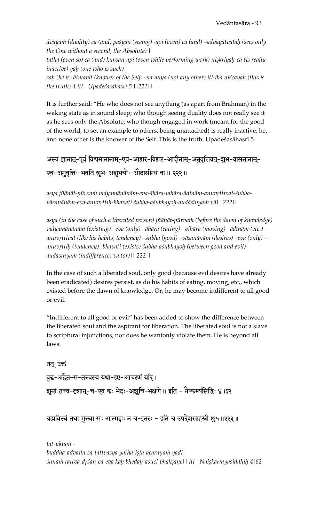*dvayaà (duality) ca (and) paçyan (seeing) -api (even) ca (and) –advayatvataù (sees only the One without a second, the Absolute) |* 

tathā (even so) ca (and) kurvan-api (even while performing work) niṣkriyaḥ-ca (is really *inactive) yaù (one who is such)* 

*saù (he is) ätmavit (knower of the Self) -na-anya (not any other) iti-iha niçcayaù (this is the truth)|| iti - Upadeçasähasré 5 ||221||*

It is further said: "He who does not see anything (as apart from Brahman) in the waking state as in sound sleep; who though seeing duality does not really see it as he sees only the Absolute; who though engaged in work (meant for the good of the world, to set an example to others, being unattached) is really inactive; he, and none other is the knower of the Self. This is the truth. Upadeśasāhasrī 5.

# अस्य ज्ञानात्-पूर्वं विद्यमानानाम्-एव-आहार-विहार-आदीनाम्-अनुवृत्तिवत्-श्चभ-वासनानाम्-एव-अनुवृत्तिः-भवति झूभ-अञ्चभयोः-ओदासीन्यं वा॥ २२२॥

asya jñānāt-pūrvam vidyamānānām-eva-āhāra-vihāra-ādīnām-anuvŗttivat-śubha*väsanänäm-eva-anuvåttiù-bhavati çubha-açubhayoù-audäsényaà vä|| 222||* 

asya (in the case of such a liberated person) jñānāt-pūrva*in* (before the dawn of knowledge) *vidyamänänäm (existing) –eva (only) –ähära (eating) –vihära (moving) –ädénäm (etc.) – anuvåttivat (like his habits, tendency) –çubha (good) –väsanänäm (desires) –eva (only) – anuvåttiù (tendency) -bhavati (exists) çubha-açubhayoù (between good and evil) audäsényaà (indifference) vä (or)|| 222||* 

In the case of such a liberated soul, only good (because evil desires have already been eradicated) desires persist, as do his habits of eating, moving, etc., which existed before the dawn of knowledge. Or, he may become indifferent to all good or evil.

"Indifferent to all good or evil" has been added to show the difference between the liberated soul and the aspirant for liberation. The liberated soul is not a slave to scriptural injunctions, nor does he wantonly violate them. He is beyond all laws.

तत्-उक्तं -बुद्ध-अद्वैत-स-तत्त्वस्य यथा-इष्ट-आचरणं यदि । र्शनां तत्त्व-दृशान्-च-एव कः भेदः-अशुचि-भक्षणे ॥ इति - नैष्कर्म्यसिद्धिः ४।६२

ब्रह्मवित्त्वं तथा मुक्तवा सः आत्मज्ञः न च-इतरः - इति च उपदेशसाहस्री ११५॥२२३॥

tat-ukta*in buddha-advaita-sa-tattvasya yathä-iñöa-äcaraëaà yadi| çunäà tattva-dåçän-ca-eva kaù bhedaù-açuci-bhakñaëe|| iti - Naiñkarmyasiddhiù 4|62*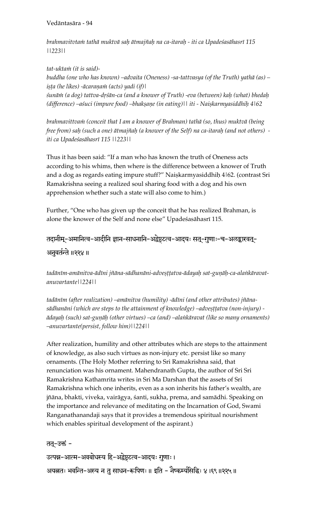*brahmavitvtaà tathä muktvä saù ätmajïaù na ca-itaraù - iti ca Upadeçasähasré 115 ||223||* 

*tat-uktaà (it is said) buddha (one who has known) –advaita (Oneness) -sa-tattvasya (of the Truth) yathä (as) – iñöa (he likes) -äcaraëaà (acts) yadi (if)| çunäà (a dog) tattva-dåçän-ca (and a knower of Truth) -eva (between) kaù (what) bhedaù (difference) –aśuci (impure food) –bhakṣaṇe (in eating)*|| *iti - Naiṣkarmyasiddhiḥ 4*|62

*brahmavittvaà (conceit that I am a knower of Brahman) tathä (so, thus) muktvä (being free from) saù (such a one) ätmajïaù (a knower of the Self) na ca-itaraù (and not others) iti ca Upadeçasähasré 115 ||223||*

Thus it has been said: "If a man who has known the truth of Oneness acts according to his whims, then where is the difference between a knower of Truth and a dog as regards eating impure stuff?" Naiṣkarmyasiddhiḥ 4|62. (contrast Sri Ramakrishna seeing a realized soul sharing food with a dog and his own apprehension whether such a state will also come to him.)

Further, "One who has given up the conceit that he has realized Brahman, is alone the knower of the Self and none else" Upadeśasāhasrī 115.

# तदानीम्-अमानित्व-आदीनि ज्ञान-साधनानि-अद्वेष्टटत्व-आदयः सत्-गुणाः-च-अलङ्कारवत्-

## अनुवर्तन्ते ॥२२४ ॥

tadānīm-amānitva-ādīni jñāna-sādhanāni-adveṣṭṭatva-ādayaḥ sat-guṇāḥ-ca-alaṅkāravat*anuvartante||224||* 

tadānīm (after realization) –amānitva (humility) -ādīni (and other attributes) jñānasādhanāni (which are steps to the attainment of knowledge) –adveṣṭṭatva (non-injury) *ädayaù (such) sat-guëäù (other virtues) –ca (and) –alaìkäravat (like so many ornaments) –anuvartante(persist, follow him)||224||*

After realization, humility and other attributes which are steps to the attainment of knowledge, as also such virtues as non-injury etc. persist like so many ornaments. (The Holy Mother referring to Sri Ramakrishna said, that renunciation was his ornament. Mahendranath Gupta, the author of Sri Sri Ramakrishna Kathamrita writes in Sri Ma Darshan that the assets of Sri Ramakrishna which one inherits, even as a son inherits his father's wealth, are jñāna, bhakti, viveka, vairāgya, śanti, sukha, prema, and samādhi. Speaking on the importance and relevance of meditating on the Incarnation of God, Swami Ranganathanandaji says that it provides a tremendous spiritual nourishment which enables spiritual development of the aspirant.)

तत्-उक्तं -

उत्पन्न-आत्म-अवबोधस्य हि-अद्वेष्टृटत्व-आदयः गुणाः । अयत्नतः भवन्ति-अस्य न तु साधन-रूपिणः ॥ इति - नैष्कर्म्यसिद्धिः ४।६९॥२२५॥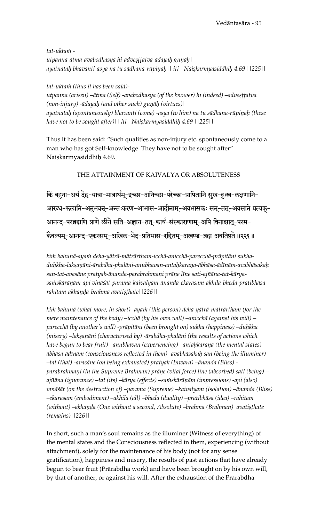tat-ukta*m* utpanna-ātma-avabodhasya hi-advesttatva-ādayah gunāh | *ayatnataù bhavanti-asya na tu sädhana-rüpiëaù|| iti - Naiñkarmyasiddhiù 4.69 ||225||* 

*tat-uktaà (thus it has been said)*  utpanna (arisen) –ātma (Self) -avabodhasya (of the knower) hi (indeed) –advesttatva *(non-injury) -ādayaḥ (and other such) guṇāḥ (virtues)*| ayatnatah (spontaneously) bhavanti (come) -asya (to him) na tu sādhana-rūpinah (these *have not to be sought after)|| iti - Naiñkarmyasiddhiù 4.69 ||225||*

Thus it has been said: "Such qualities as non-injury etc. spontaneously come to a man who has got Self-knowledge. They have not to be sought after" Naiskarmyasiddhih 4.69.

#### THE ATTAINMENT OF KAIVALYA OR ABSOLUTENESS

किं बहूना-अयं देह-यात्रा-मात्रार्थम्-इच्छा-अनिच्छा-परेच्छा-प्रापितानि सुख-दुःख-लक्षणानि-आरब्ध-फलानि-अनुभवन्-अन्तःकरण-आभास-आदीनाम्-अवभासकः सन्-तत्-अवसाने प्रत्यक्-आनन्द-परब्रह्मणि प्राणे लीने सति-अज्ञान-तत्-कार्य-संस्काराणाम्-अपि विनाशात्-परम-कैवल्यम्-आनन्द-एकरसम्-अखिल-भेद-प्रतिभास-रहितम्-अखण्ड-ब्रह्म अवतिष्ठते ॥२२६॥

kim bahunā-ayam deha-yātrā-mātrārtham-icchā-anicchā-parecchā-prāpitāni sukha*duùkha-lakñaëäni-ärabdha-phaläni-anubhavan-antaùkaraëa-äbhäsa-ädénäm-avabhäsakaù*  san-tat-avasāne pratyak-ānanda-parabrahmaņi prāņe līne sati-ajñāna-tat-kāryasa $\dot{m}$ skārāņām-api vināśāt-parama-kaivalyam-ānanda-ekarasam-akhila-bheda-pratibhāsa $rahit$ am-akhanda-brahma avatisthate||226||

*kià bahunä (what more, in short) -ayaà (this person) deha-yäträ-mäträrtham (for the mere maintenance of the body) –icchä (by his own will) –anicchä (against his will) – parecchä (by another's will) -präpitäni (been brought on) sukha (happiness) –duùkha (misery)* –lakṣaṇāni (characterised by) -ārabdha-phalāni (the results of actions which *have begun to bear fruit) –anubhavan (experiencing) –antaùkaraëa (the mental states) äbhäsa-ädénäm (consciousness reflected in them) -avabhäsakaù san (being the illuminer) –tat (that) -avasäne (on being exhausted) pratyak (Inward) –änanda (Bliss)*  parabrahmani (in the Supreme Brahman) prāņe (vital force) līne (absorbed) sati (being) – ajñāna (ignorance) –tat (its) –kārya (effects) –sa*inskārāņām (impressions) -api (also*) *vinäçät (on the destruction of) –parama (Supreme) –kaivalyam (Isolation) –änanda (Bliss) –ekarasam (embodiment) –akhila (all) –bheda (duality) –pratibhäsa (idea) –rahitam*  (without) –akhanda (One without a second, Absolute) –brahma (Brahman) avatisthate *(remains)||226||*

In short, such a man's soul remains as the illuminer (Witness of everything) of the mental states and the Consciousness reflected in them, experiencing (without attachment), solely for the maintenance of his body (not for any sense gratification), happiness and misery, the results of past actions that have already begun to bear fruit (Prärabdha work) and have been brought on by his own will, by that of another, or against his will. After the exhaustion of the Prärabdha